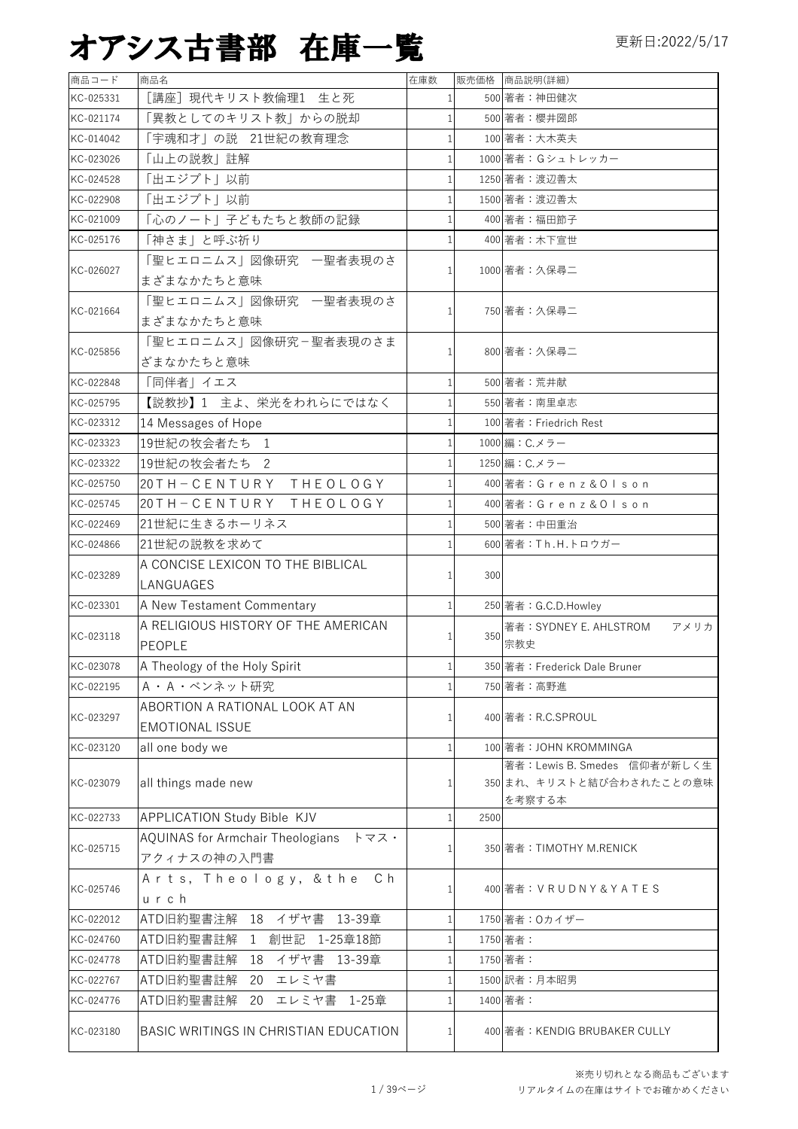| 商品コード     | 商品名                                     | 在庫数          |      | 販売価格 商品説明(詳細)                  |
|-----------|-----------------------------------------|--------------|------|--------------------------------|
| KC-025331 | [講座] 現代キリスト教倫理1 生と死                     |              |      | 500 著者:神田健次                    |
| KC-021174 | 「異教としてのキリスト教」からの脱却                      | 1            |      | 500 著者:櫻井圀郎                    |
| KC-014042 | 「宇魂和才」の説 21世紀の教育理念                      | $\mathbf{1}$ |      | 100 著者:大木英夫                    |
| KC-023026 | 「山上の説教」註解                               |              |      | 1000 著者: Gシュトレッカー              |
| KC-024528 | 「出エジプト」以前                               |              |      | 1250 著者: 渡辺善太                  |
| KC-022908 | 「出エジプト」以前                               |              |      | 1500 著者:渡辺善太                   |
| KC-021009 | 「心のノート」子どもたちと教師の記録                      |              |      | 400 著者:福田節子                    |
| KC-025176 | 「神さま」と呼ぶ祈り                              |              |      | 400 著者:木下宣世                    |
|           | 「聖ヒエロニムス」図像研究 一聖者表現のさ                   |              |      |                                |
| KC-026027 | まざまなかたちと意味                              |              |      | 1000 著者:久保尋二                   |
|           | 「聖ヒエロニムス」図像研究 一聖者表現のさ                   |              |      |                                |
| KC-021664 | まざまなかたちと意味                              | $\mathbf{1}$ |      | 750 著者:久保尋二                    |
|           | 「聖ヒエロニムス」図像研究ー聖者表現のさま                   |              |      | 800 著者:久保尋二                    |
| KC-025856 | ざまなかたちと意味                               |              |      |                                |
| KC-022848 | 「同伴者」イエス                                |              |      | 500 著者:荒井献                     |
| KC-025795 | 【説教抄】1 主よ、栄光をわれらにではなく                   |              |      | 550 著者:南里卓志                    |
| KC-023312 | 14 Messages of Hope                     |              |      | 100 著者: Friedrich Rest         |
| KC-023323 | 19世紀の牧会者たち 1                            | $\mathbf{1}$ |      | 1000 編: C.メラー                  |
| KC-023322 | 19世紀の牧会者たち 2                            | 1            |      | 1250 編: C.メラー                  |
| KC-025750 | 20TH-CENTURY THEOLOGY                   | $\mathbf{1}$ |      | 400 著者: Grenz&Olson            |
| KC-025745 | 20TH-CENTURY THEOLOGY                   | $\mathbf{1}$ |      | 400 著者:Grenz&Olson             |
| KC-022469 | 21世紀に生きるホーリネス                           | 1            |      | 500 著者:中田重治                    |
| KC-024866 | 21世紀の説教を求めて                             | 1            |      | 600 著者: Th.H.トロウガー             |
|           | A CONCISE LEXICON TO THE BIBLICAL       |              |      |                                |
| KC-023289 | LANGUAGES                               |              | 300  |                                |
| KC-023301 | A New Testament Commentary              |              |      | 250 著者: G.C.D.Howley           |
|           | A RELIGIOUS HISTORY OF THE AMERICAN     |              |      | 著者: SYDNEY E. AHLSTROM<br>アメリカ |
| KC-023118 | PEOPLE                                  |              | 350  | 宗教史                            |
| KC-023078 | A Theology of the Holy Spirit           |              |      | 350 著者: Frederick Dale Bruner  |
| KC-022195 | A · A · ベンネット研究                         |              |      | 750 著者:高野進                     |
|           | ABORTION A RATIONAL LOOK AT AN          |              |      |                                |
| KC-023297 | <b>EMOTIONAL ISSUE</b>                  |              |      | 400 著者: R.C.SPROUL             |
| KC-023120 | all one body we                         | 1            |      | 100 著者: JOHN KROMMINGA         |
|           |                                         |              |      | 著者: Lewis B. Smedes 信仰者が新しく生   |
| KC-023079 | all things made new                     | 1            |      | 350 まれ、キリストと結び合わされたことの意味       |
| KC-022733 | APPLICATION Study Bible KJV             | 1            | 2500 | を考察する本                         |
|           | <b>AQUINAS for Armchair Theologians</b> |              |      |                                |
| KC-025715 | トマス・<br>アクィナスの神の入門書                     |              |      | 350 著者: TIMOTHY M.RENICK       |
|           | Arts, Theology, & the Ch                |              |      |                                |
| KC-025746 | urch                                    |              |      | 400 著者: VRUDNY&YATES           |
| KC-022012 | ATD旧約聖書注解 18 イザヤ書 13-39章                |              |      | 1750 著者: 0カイザー                 |
| KC-024760 | ATD旧約聖書註解<br>1 創世記 1-25章18節             |              |      | 1750 著者:                       |
| KC-024778 | ATD旧約聖書註解<br>18 イザヤ書 13-39章             |              |      | 1750 著者:                       |
| KC-022767 | ATD旧約聖書註解<br>エレミヤ書<br>20                |              |      | 1500 訳者:月本昭男                   |
| KC-024776 | ATD旧約聖書註解<br>20 エレミヤ書 1-25章             |              |      | 1400 著者:                       |
|           |                                         |              |      |                                |
| KC-023180 | BASIC WRITINGS IN CHRISTIAN EDUCATION   |              |      | 400 著者: KENDIG BRUBAKER CULLY  |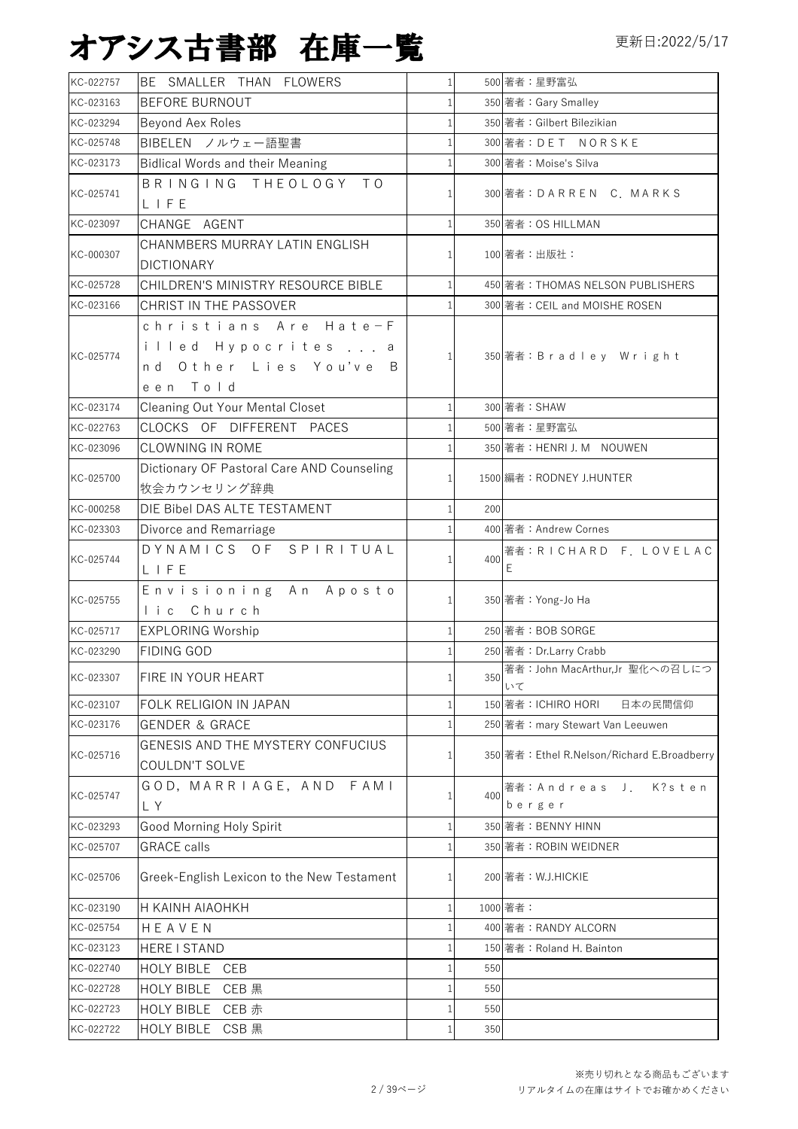| KC-022757 | BE SMALLER THAN FLOWERS                                                               | $\mathbf{1}$ |     | 500 著者:星野富弘                                 |
|-----------|---------------------------------------------------------------------------------------|--------------|-----|---------------------------------------------|
| KC-023163 | <b>BEFORE BURNOUT</b>                                                                 | 1            |     | 350 著者: Gary Smalley                        |
| KC-023294 | Beyond Aex Roles                                                                      | $\mathbf{1}$ |     | 350 著者: Gilbert Bilezikian                  |
| KC-025748 | BIBELEN ノルウェー語聖書                                                                      | 1            |     | 300 著者: DET NORSKE                          |
| KC-023173 | <b>Bidlical Words and their Meaning</b>                                               | $\mathbf{1}$ |     | 300 著者: Moise's Silva                       |
| KC-025741 | BRINGING THEOLOGY TO<br>LIFE                                                          |              |     | 300 著者:DARREN C. MARKS                      |
| KC-023097 | CHANGE AGENT                                                                          | $\mathbf{1}$ |     | 350 著者: OS HILLMAN                          |
| KC-000307 | CHANMBERS MURRAY LATIN ENGLISH<br><b>DICTIONARY</b>                                   |              |     | 100 著者:出版社:                                 |
| KC-025728 | CHILDREN'S MINISTRY RESOURCE BIBLE                                                    |              |     | 450 著者: THOMAS NELSON PUBLISHERS            |
| KC-023166 | CHRIST IN THE PASSOVER                                                                |              |     | 300 著者: CEIL and MOISHE ROSEN               |
| KC-025774 | christians Are Hate-F<br>illed Hypocrites  a<br>nd Other Lies You've<br>B<br>een Told | $\mathbf{1}$ |     | 350 著者:Bradley Wright                       |
| KC-023174 | <b>Cleaning Out Your Mental Closet</b>                                                | $\mathbf{1}$ |     | 300 著者: SHAW                                |
| KC-022763 | CLOCKS OF DIFFERENT PACES                                                             | $\mathbf{1}$ |     | 500 著者:星野富弘                                 |
| KC-023096 | <b>CLOWNING IN ROME</b>                                                               |              |     | 350 著者: HENRI J. M NOUWEN                   |
| KC-025700 | Dictionary OF Pastoral Care AND Counseling<br>牧会カウンセリング辞典                             |              |     | 1500 編者: RODNEY J.HUNTER                    |
| KC-000258 | DIE Bibel DAS ALTE TESTAMENT                                                          | $\mathbf{1}$ | 200 |                                             |
| KC-023303 | Divorce and Remarriage                                                                | 1            |     | 400 著者: Andrew Cornes                       |
| KC-025744 | DYNAMICS OF SPIRITUAL<br>LIFE                                                         |              | 400 | 著者: RICHARD F. LOVELAC<br>E.                |
| KC-025755 | Envisioning An Aposto<br>lic Church                                                   |              |     | 350 著者: Yong-Jo Ha                          |
| KC-025717 | <b>EXPLORING Worship</b>                                                              | $\mathbf{1}$ |     | 250 著者: BOB SORGE                           |
| KC-023290 | <b>FIDING GOD</b>                                                                     | 1            |     | 250 著者: Dr.Larry Crabb                      |
| KC-023307 | FIRE IN YOUR HEART                                                                    | $\mathbf{1}$ | 350 | 著者: John MacArthur,Jr 聖化への召しにつ<br>いて        |
| KC-023107 | FOLK RELIGION IN JAPAN                                                                | 1            |     | 日本の民間信仰<br>150 著者: ICHIRO HORI              |
| KC-023176 | <b>GENDER &amp; GRACE</b>                                                             | $\mathbf{1}$ |     | 250 著者: mary Stewart Van Leeuwen            |
| KC-025716 | GENESIS AND THE MYSTERY CONFUCIUS<br>COULDN'T SOLVE                                   | 1            |     | 350 著者: Ethel R.Nelson/Richard E.Broadberry |
| KC-025747 | GOD, MARRIAGE, AND FAMI<br>LY                                                         |              | 400 | 著者: Andreas J.<br>K?sten<br>berger          |
| KC-023293 | Good Morning Holy Spirit                                                              | 1            |     | 350 著者: BENNY HINN                          |
| KC-025707 | <b>GRACE</b> calls                                                                    | $\mathbf{1}$ |     | 350 著者: ROBIN WEIDNER                       |
| KC-025706 | Greek-English Lexicon to the New Testament                                            |              |     | 200 著者: W.J.HICKIE                          |
| KC-023190 | H KAINH AIAOHKH                                                                       |              |     | 1000 著者:                                    |
| KC-025754 | HEAVEN                                                                                |              |     | 400 著者: RANDY ALCORN                        |
| KC-023123 | HERE I STAND                                                                          |              |     | 150 著者: Roland H. Bainton                   |
| KC-022740 | HOLY BIBLE CEB                                                                        | $\mathbf{1}$ | 550 |                                             |
| KC-022728 | HOLY BIBLE CEB 黒                                                                      |              | 550 |                                             |
| KC-022723 | HOLY BIBLE CEB 赤                                                                      |              | 550 |                                             |
| KC-022722 | HOLY BIBLE CSB 黒                                                                      | 1            | 350 |                                             |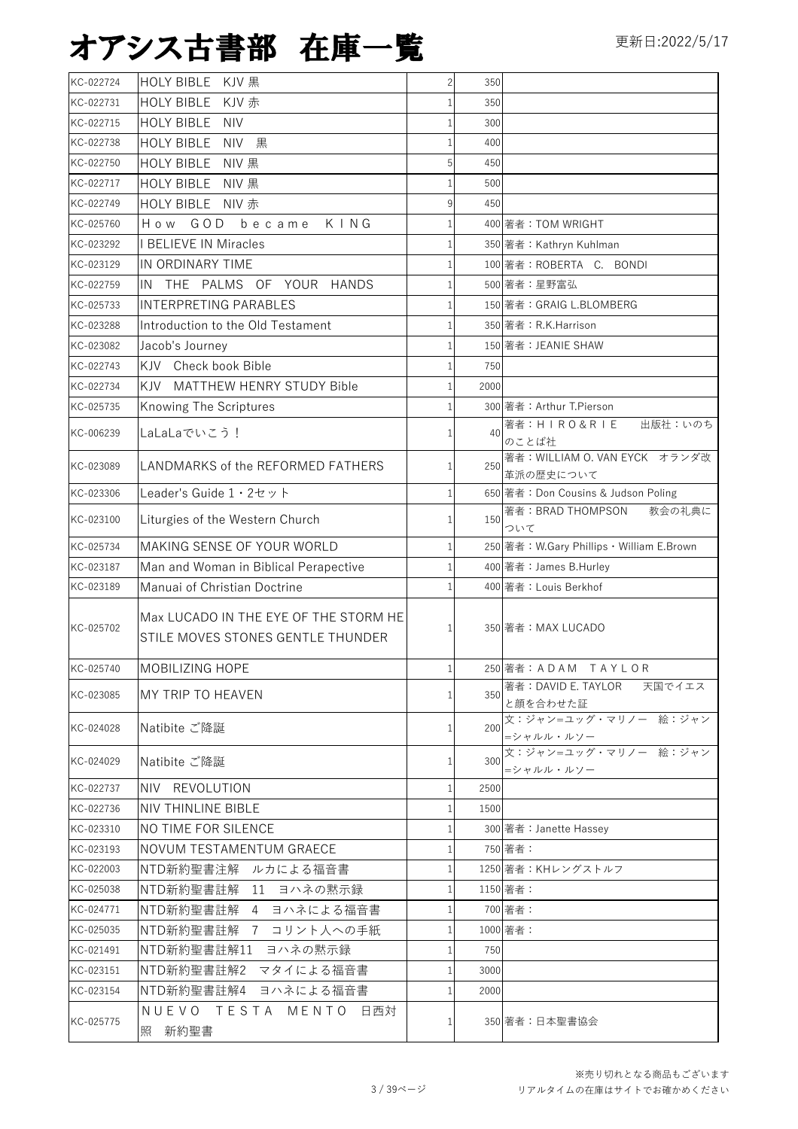| KC-022724 | HOLY BIBLE KJV 黒                           | $\overline{2}$ | 350  |                                            |
|-----------|--------------------------------------------|----------------|------|--------------------------------------------|
| KC-022731 | HOLY BIBLE KJV 赤                           |                | 350  |                                            |
| KC-022715 | <b>HOLY BIBLE</b><br><b>NIV</b>            |                | 300  |                                            |
| KC-022738 | HOLY BIBLE NIV 黒                           |                | 400  |                                            |
| KC-022750 | HOLY BIBLE NIV 黒                           | 5              | 450  |                                            |
| KC-022717 | HOLY BIBLE NIV 黒                           |                | 500  |                                            |
| KC-022749 | HOLY BIBLE NIV 赤                           | 9              | 450  |                                            |
| KC-025760 | How GOD<br>became KING                     |                |      | 400 著者: TOM WRIGHT                         |
| KC-023292 | <b>I BELIEVE IN Miracles</b>               |                |      | 350 著者: Kathryn Kuhlman                    |
| KC-023129 | IN ORDINARY TIME                           |                |      | 100 著者: ROBERTA C. BONDI                   |
| KC-022759 | IN THE PALMS OF YOUR HANDS                 |                |      | 500 著者:星野富弘                                |
| KC-025733 | <b>INTERPRETING PARABLES</b>               |                |      | 150 著者: GRAIG L.BLOMBERG                   |
| KC-023288 | Introduction to the Old Testament          |                |      | 350 著者: R.K.Harrison                       |
| KC-023082 | Jacob's Journey                            |                |      | 150 著者: JEANIE SHAW                        |
| KC-022743 | KJV Check book Bible                       |                | 750  |                                            |
| KC-022734 | KJV MATTHEW HENRY STUDY Bible              |                | 2000 |                                            |
| KC-025735 | Knowing The Scriptures                     |                |      | 300 著者: Arthur T.Pierson                   |
| KC-006239 | LaLaLaでいこう!                                |                | 40   | 著者:HIRO&RIE<br>出版社:いのち                     |
|           |                                            |                |      | のことば社                                      |
| KC-023089 | LANDMARKS of the REFORMED FATHERS          |                | 250  | 著者: WILLIAM O. VAN EYCK オランダ改<br>革派の歴史について |
| KC-023306 | Leader's Guide $1 \cdot 2 \cdot \vee \vee$ |                |      | 650 著者: Don Cousins & Judson Poling        |
|           |                                            |                |      | 教会の礼典に<br>著者:BRAD THOMPSON                 |
| KC-023100 | Liturgies of the Western Church            | 1              | 150  | ついて                                        |
| KC-025734 | MAKING SENSE OF YOUR WORLD                 |                |      | 250 著者: W.Gary Phillips · William E.Brown  |
| KC-023187 | Man and Woman in Biblical Perapective      |                |      | 400 著者: James B.Hurley                     |
| KC-023189 | Manuai of Christian Doctrine               |                |      | 400 著者: Louis Berkhof                      |
|           | Max LUCADO IN THE EYE OF THE STORM HE      |                |      |                                            |
| KC-025702 | STILE MOVES STONES GENTLE THUNDER          |                |      | 350 著者: MAX LUCADO                         |
|           |                                            |                |      |                                            |
| KC-025740 | MOBILIZING HOPE                            |                |      | 250 著者:ADAM TAYLOR                         |
| KC-023085 | MY TRIP TO HEAVEN                          |                | 350  | 著者:DAVID E. TAYLOR<br>天国でイエス               |
|           |                                            |                |      | と顔を合わせた証<br>文:ジャン=ユッグ・マリノー 絵:ジャン           |
| KC-024028 | Natibite ご降誕                               | 1              | 200  | =シャルル・ルソー                                  |
| KC-024029 | Natibite ご降誕                               | 1              | 300  | 文:ジャン=ユッグ・マリノー 絵:ジャン                       |
|           |                                            |                |      | =シャルル・ルソー                                  |
| KC-022737 | NIV REVOLUTION                             | 1              | 2500 |                                            |
| KC-022736 | NIV THINLINE BIBLE                         |                | 1500 |                                            |
| KC-023310 | NO TIME FOR SILENCE                        |                |      | 300 著者: Janette Hassey                     |
| KC-023193 | NOVUM TESTAMENTUM GRAECE                   |                |      | 750 著者:                                    |
| KC-022003 | NTD新約聖書注解<br>ルカによる福音書                      |                |      | 1250 著者: KHレングストルフ                         |
| KC-025038 | NTD新約聖書註解 11 ヨハネの黙示録                       |                |      | 1150 著者:                                   |
| KC-024771 | NTD新約聖書註解<br>4 ヨハネによる福音書                   |                |      | 700 著者:                                    |
| KC-025035 | 7 コリント人への手紙<br>NTD新約聖書註解                   |                |      | 1000 著者:                                   |
| KC-021491 | NTD新約聖書註解11<br>ヨハネの黙示録                     |                | 750  |                                            |
| KC-023151 | マタイによる福音書<br>NTD新約聖書註解2                    | 1              | 3000 |                                            |
| KC-023154 | NTD新約聖書註解4<br>ヨハネによる福音書                    |                | 2000 |                                            |
| KC-025775 | NUEVO TESTA MENTO<br>日西対                   |                |      | 350 著者:日本聖書協会                              |
|           | 照 新約聖書                                     |                |      |                                            |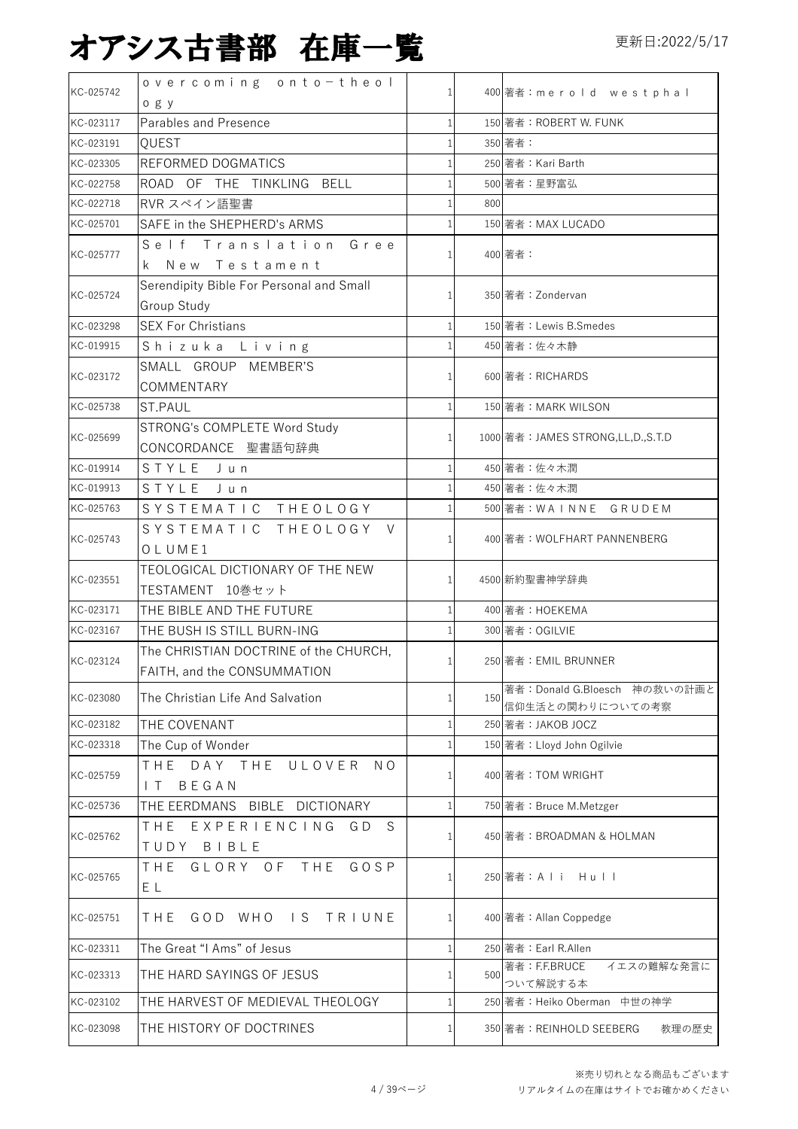| KC-025742 | overcoming onto-theol                                                |     | 400 著者:merold westphal                            |
|-----------|----------------------------------------------------------------------|-----|---------------------------------------------------|
|           | ogy                                                                  |     |                                                   |
| KC-023117 | Parables and Presence                                                |     | 150 著者: ROBERT W. FUNK                            |
| KC-023191 | QUEST                                                                |     | 350 著者:                                           |
| KC-023305 | REFORMED DOGMATICS                                                   |     | 250 著者: Kari Barth                                |
| KC-022758 | ROAD OF THE TINKLING BELL                                            |     | 500 著者:星野富弘                                       |
| KC-022718 | RVR スペイン語聖書                                                          | 800 |                                                   |
| KC-025701 | SAFE in the SHEPHERD's ARMS                                          |     | 150 著者: MAX LUCADO                                |
| KC-025777 | Self Translation Gree<br>k New Testament                             |     | 400 著者:                                           |
| KC-025724 | Serendipity Bible For Personal and Small<br>Group Study              |     | 350 著者: Zondervan                                 |
| KC-023298 | <b>SEX For Christians</b>                                            |     | 150 著者: Lewis B.Smedes                            |
| KC-019915 | Shizuka Living                                                       |     | 450 著者:佐々木静                                       |
|           | SMALL GROUP MEMBER'S                                                 |     |                                                   |
| KC-023172 | COMMENTARY                                                           |     | 600 著者: RICHARDS                                  |
| KC-025738 | ST.PAUL                                                              |     | 150 著者: MARK WILSON                               |
|           | <b>STRONG's COMPLETE Word Study</b>                                  |     |                                                   |
| KC-025699 | CONCORDANCE 聖書語句辞典                                                   |     | 1000 著者: JAMES STRONG, LL, D., S.T. D             |
| KC-019914 | STYLE Jun                                                            |     | 450 著者:佐々木潤                                       |
| KC-019913 | STYLE Jun                                                            |     | 450 著者:佐々木潤                                       |
| KC-025763 | SYSTEMATIC THEOLOGY                                                  |     | 500 著者:WAINNE GRUDEM                              |
|           | SYSTEMATIC THEOLOGY V                                                |     |                                                   |
| KC-025743 | OLUME1                                                               |     | 400 著者: WOLFHART PANNENBERG                       |
| KC-023551 | TEOLOGICAL DICTIONARY OF THE NEW<br>TESTAMENT 10巻セット                 |     | 4500 新約聖書神学辞典                                     |
| KC-023171 | THE BIBLE AND THE FUTURE                                             |     | 400 著者: HOEKEMA                                   |
| KC-023167 | THE BUSH IS STILL BURN-ING                                           |     | 300 著者: OGILVIE                                   |
|           |                                                                      |     |                                                   |
| KC-023124 | The CHRISTIAN DOCTRINE of the CHURCH,<br>FAITH, and the CONSUMMATION |     | 250 著者:EMIL BRUNNER                               |
| KC-023080 | The Christian Life And Salvation                                     | 150 | 著者: Donald G.Bloesch 神の救いの計画と<br>信仰生活との関わりについての考察 |
| KC-023182 | THE COVENANT                                                         |     | 250 著者: JAKOB JOCZ                                |
| KC-023318 | The Cup of Wonder                                                    |     | 150 著者: Lloyd John Ogilvie                        |
| KC-025759 | THE<br>DAY THE<br>ULOVER<br>N O<br>BEGAN<br>$\mathsf{I}$             |     | 400 著者: TOM WRIGHT                                |
| KC-025736 | THE EERDMANS BIBLE DICTIONARY                                        |     | 750 著者: Bruce M.Metzger                           |
| KC-025762 | THF<br>EXPERIENCING<br>G D<br>S<br>TUDY BIBLE                        |     | 450 著者:BROADMAN & HOLMAN                          |
| KC-025765 | GLORY OF<br>THE<br>THE<br>GOSP<br>E L                                |     | 250 著者:A l i H u l l                              |
| KC-025751 | GOD WHO IS TRIUNE<br>THE                                             |     | 400 著者: Allan Coppedge                            |
| KC-023311 | The Great "I Ams" of Jesus                                           |     | 250 著者: Earl R.Allen                              |
| KC-023313 | THE HARD SAYINGS OF JESUS                                            | 500 | 著者: F.F.BRUCE<br>イエスの難解な発言に<br>ついて解説する本           |
| KC-023102 | THE HARVEST OF MEDIEVAL THEOLOGY                                     |     | 250 著者: Heiko Oberman 中世の神学                       |
|           |                                                                      |     |                                                   |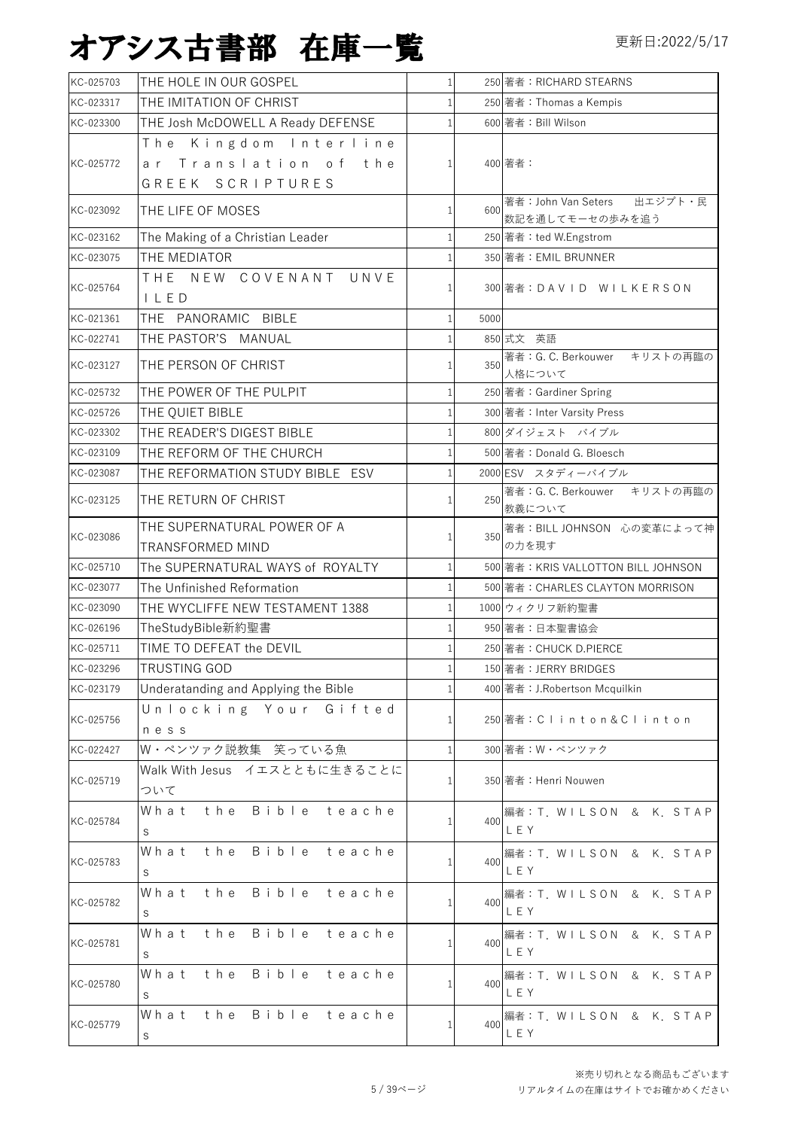| KC-025703 | THE HOLE IN OUR GOSPEL               | $\mathbf{1}$ |      | 250 著者: RICHARD STEARNS                |
|-----------|--------------------------------------|--------------|------|----------------------------------------|
| KC-023317 | THE IMITATION OF CHRIST              |              |      | 250 著者: Thomas a Kempis                |
| KC-023300 | THE Josh McDOWELL A Ready DEFENSE    |              |      | 600 著者: Bill Wilson                    |
|           | The Kingdom Interline                |              |      |                                        |
| KC-025772 | ar Translation of the                | 1            |      | 400 著者:                                |
|           | GREEK SCRIPTURES                     |              |      |                                        |
| KC-023092 |                                      |              | 600  | 著者: John Van Seters 出エジプト・民            |
|           | THE LIFE OF MOSES                    | 1            |      | 数記を通してモーセの歩みを追う                        |
| KC-023162 | The Making of a Christian Leader     |              |      | 250 著者: ted W.Engstrom                 |
| KC-023075 | THE MEDIATOR                         |              |      | 350 著者: EMIL BRUNNER                   |
| KC-025764 | THE NEW COVENANT UNVE                |              |      | 300 著者:DAVID WILKERSON                 |
|           | ILED                                 |              |      |                                        |
| KC-021361 | THE PANORAMIC BIBLE                  |              | 5000 |                                        |
| KC-022741 | THE PASTOR'S MANUAL                  |              |      | 850 式文 英語                              |
| KC-023127 | THE PERSON OF CHRIST                 |              | 350  | 著者: G. C. Berkouwer キリストの再臨の           |
|           |                                      |              |      | 人格について                                 |
| KC-025732 | THE POWER OF THE PULPIT              |              |      | 250 著者: Gardiner Spring                |
| KC-025726 | THE QUIET BIBLE                      |              |      | 300 著者: Inter Varsity Press            |
| KC-023302 | THE READER'S DIGEST BIBLE            |              |      | 800 ダイジェスト バイブル                        |
| KC-023109 | THE REFORM OF THE CHURCH             |              |      | 500 著者: Donald G. Bloesch              |
| KC-023087 | THE REFORMATION STUDY BIBLE ESV      |              |      | 2000 ESV スタディーバイブル                     |
| KC-023125 | THE RETURN OF CHRIST                 | 1            | 250  | 著者: G. C. Berkouwer キリストの再臨の<br>教義について |
|           | THE SUPERNATURAL POWER OF A          |              |      | 著者: BILL JOHNSON 心の変革によって神             |
| KC-023086 | TRANSFORMED MIND                     | 1            | 350  | の力を現す                                  |
| KC-025710 | The SUPERNATURAL WAYS of ROYALTY     |              |      | 500 著者: KRIS VALLOTTON BILL JOHNSON    |
| KC-023077 | The Unfinished Reformation           |              |      | 500 著者: CHARLES CLAYTON MORRISON       |
| KC-023090 | THE WYCLIFFE NEW TESTAMENT 1388      |              |      | 1000 ウィクリフ新約聖書                         |
| KC-026196 | TheStudyBible新約聖書                    |              |      | 950 著者:日本聖書協会                          |
| KC-025711 | TIME TO DEFEAT the DEVIL             |              |      | 250 著者: CHUCK D.PIERCE                 |
| KC-023296 | TRUSTING GOD                         |              |      | 150 著者: JERRY BRIDGES                  |
| KC-023179 | Underatanding and Applying the Bible | 1            |      | 400 著者:J.Robertson Mcquilkin           |
|           | Unlocking Your Gifted                |              |      |                                        |
| KC-025756 | ness                                 | 1            |      | 250 著者:Clinton&Clinton                 |
| KC-022427 | W·ペンツァク説教集 笑っている魚                    | $\mathbf{1}$ |      | 300 著者: W・ペンツァク                        |
|           | Walk With Jesus イエスとともに生きることに        |              |      |                                        |
| KC-025719 | ついて                                  | 1            |      | 350 著者:Henri Nouwen                    |
|           | What the Bible teache                |              |      | 編者: T. WILSON & K. STAP                |
| KC-025784 | S                                    | 1            | 400  | LEY                                    |
|           | Bible teache<br>the<br>What          |              |      | 編者: T. WILSON & K. STAP                |
| KC-025783 | S                                    | 1            | 400  | LEY                                    |
|           | Bible<br>What<br>the<br>teache       |              |      | 編者: T. WILSON & K. STAP                |
| KC-025782 | S                                    |              | 400  | LEY                                    |
|           | Bible teache<br>What<br>the          |              |      | 編者: T. WILSON & K. STAP                |
| KC-025781 |                                      | 1            | 400  | LEY                                    |
|           | S<br>Bible<br>What<br>the<br>teache  |              |      |                                        |
| KC-025780 |                                      |              | 400  | 編者: T. WILSON & K. STAP<br>LEY         |
|           | S                                    |              |      |                                        |
| KC-025779 | What<br>the Bible teache             |              | 400  | 編者: T. WILSON & K. STAP<br>LEY         |
|           | S                                    |              |      |                                        |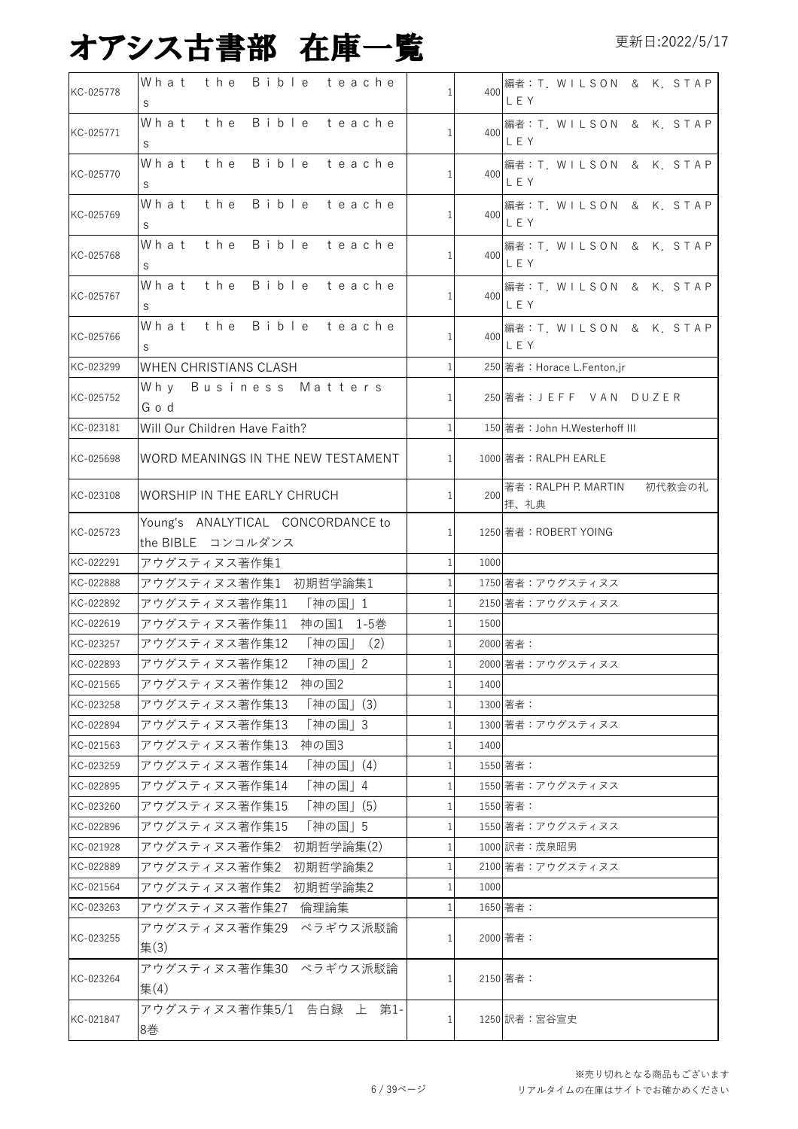| KC-025778              | What the Bible teache<br>S                             | 1            | 400  | 編者: T. WILSON & K. STAP<br>LEY     |
|------------------------|--------------------------------------------------------|--------------|------|------------------------------------|
| KC-025771              | the Bible teache<br>What<br>S                          |              | 400  | 編者: T. WILSON & K. STAP<br>LEY     |
| KC-025770              | What the Bible teache<br>S                             | 1            | 400  | 編者: T. WILSON & K. STAP<br>LEY     |
| KC-025769              | What the Bible teache<br>S                             |              | 400  | 編者: T. WILSON & K. STAP<br>LEY     |
| KC-025768              | What the Bible teache<br>S                             | 1            | 400  | 編者: T. WILSON & K. STAP<br>LEY     |
| KC-025767              | What the Bible teache<br>S                             |              | 400  | 編者:T. WILSON & K. STAP<br>LEY      |
| KC-025766              | What the Bible teache<br>S                             | 1            | 400  | 編者: T. WILSON & K. STAP<br>LEY     |
| KC-023299              | WHEN CHRISTIANS CLASH                                  | 1            |      | 250 著者: Horace L.Fenton,jr         |
| KC-025752              | Why Business Matters<br>God                            | 1            |      | 250 著者:J E F F V A N D U Z E R     |
| KC-023181              | Will Our Children Have Faith?                          |              |      | 150 著者: John H.Westerhoff III      |
| KC-025698              | WORD MEANINGS IN THE NEW TESTAMENT                     | $\mathbf{1}$ |      | 1000 著者: RALPH EARLE               |
| KC-023108              | WORSHIP IN THE EARLY CHRUCH                            | $\mathbf{1}$ | 200  | 著者: RALPH P. MARTIN 初代教会の礼<br>拝、礼典 |
| KC-025723              | Young's ANALYTICAL CONCORDANCE to<br>the BIBLE コンコルダンス | 1            |      | 1250 著者: ROBERT YOING              |
| KC-022291              | アウグスティヌス著作集1                                           | $\mathbf{1}$ | 1000 |                                    |
| KC-022888              | アウグスティヌス著作集1 初期哲学論集1                                   | 1            |      | 1750 著者:アウグスティヌス                   |
| KC-022892              | アウグスティヌス著作集11 「神の国」1                                   | $\mathbf{1}$ |      | 2150 著者:アウグスティヌス                   |
| KC-022619              | アウグスティヌス著作集11 神の国1 1-5巻                                | 1            | 1500 |                                    |
| KC-023257              | アウグスティヌス著作集12 「神の国」 (2)                                | $\mathbf{1}$ |      | 2000 著者:                           |
| KC-022893              | アウグスティヌス著作集12 「神の国」2                                   | $\mathbf{1}$ |      | 2000 著者:アウグスティヌス                   |
| KC-021565              | アウグスティヌス著作集12 神の国2                                     | $\mathbf{1}$ | 1400 |                                    |
| KC-023258              | アウグスティヌス著作集13<br>「神の国」(3)                              |              |      | 1300 著者:                           |
| KC-022894              | アウグスティヌス著作集13<br>「神の国」3                                | $\mathbf{1}$ |      | 1300 著者:アウグスティヌス                   |
| KC-021563              | アウグスティヌス著作集13<br>神の国3                                  |              | 1400 |                                    |
| KC-023259              | 「神の国」(4)<br>アウグスティヌス著作集14<br>アウグスティヌス著作集14             | $\mathbf{1}$ |      | 1550 著者:                           |
| KC-022895<br>KC-023260 | 「神の国」4<br>アウグスティヌス著作集15<br>「神の国」(5)                    | 1            |      | 1550 著者:アウグスティヌス<br>1550 著者:       |
| KC-022896              | アウグスティヌス著作集15<br>「神の国」5                                |              |      | 1550 著者:アウグスティヌス                   |
| KC-021928              | 初期哲学論集(2)<br>アウグスティヌス著作集2                              | 1            |      | 1000 訳者:茂泉昭男                       |
| KC-022889              | アウグスティヌス著作集2<br>初期哲学論集2                                |              |      | 2100 著者:アウグスティヌス                   |
| KC-021564              | 初期哲学論集2<br>アウグスティヌス著作集2                                | -1           | 1000 |                                    |
| KC-023263              | アウグスティヌス著作集27<br>倫理論集                                  | 1            |      | 1650 著者:                           |
| KC-023255              | ペラギウス派駁論<br>アウグスティヌス著作集29<br>集(3)                      | 1            |      | 2000 著者:                           |
| KC-023264              | アウグスティヌス著作集30 ペラギウス派駁論<br>集(4)                         |              |      | 2150 著者:                           |
| KC-021847              | アウグスティヌス著作集5/1 告白録 上 第1-<br>8巻                         |              |      | 1250 訳者:宮谷宣史                       |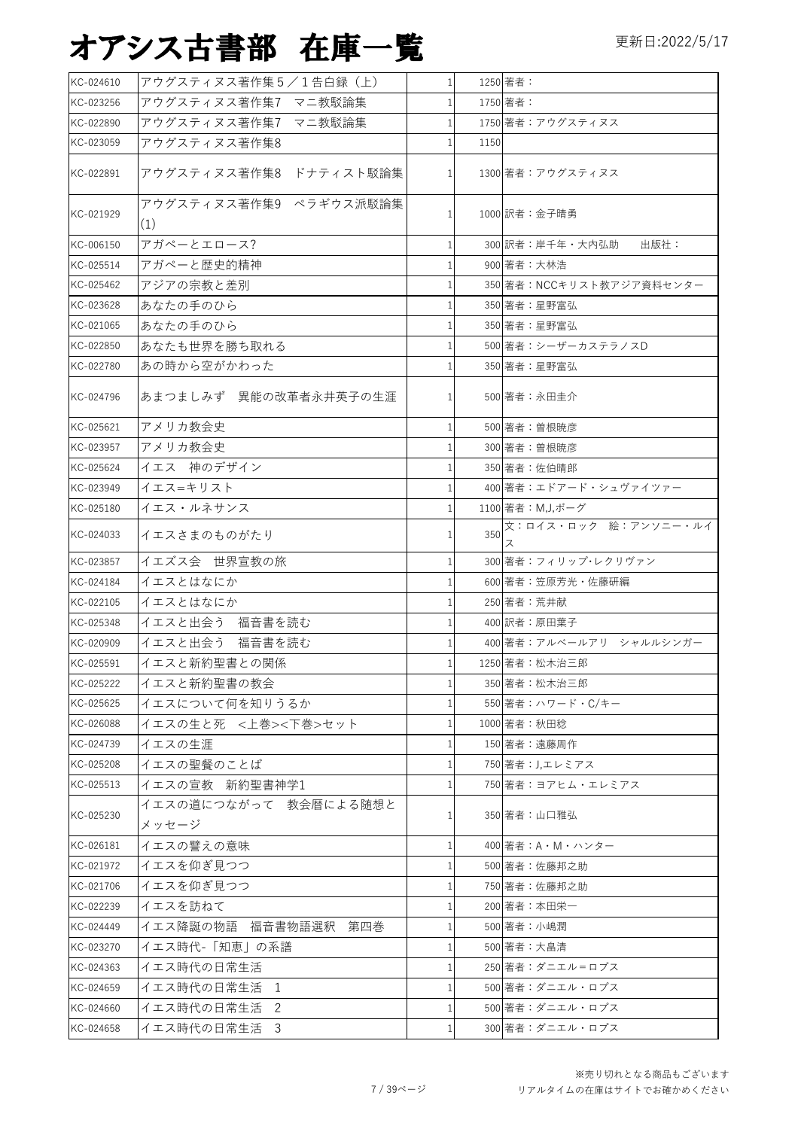| KC-024610 | アウグスティヌス著作集5/1告白録 (上)          | 1 <sup>1</sup> |      | 1250 著者:                  |
|-----------|--------------------------------|----------------|------|---------------------------|
| KC-023256 | アウグスティヌス著作集7 マニ教駁論集            | 1 <sup>1</sup> |      | 1750 著者:                  |
| KC-022890 | アウグスティヌス著作集7 マニ教駁論集            |                |      | 1750 著者:アウグスティヌス          |
| KC-023059 | アウグスティヌス著作集8                   | 1 <sup>1</sup> | 1150 |                           |
| KC-022891 | アウグスティヌス著作集8 ドナティスト駁論集         | 1 <sup>1</sup> |      | 1300 著者:アウグスティヌス          |
| KC-021929 | アウグスティヌス著作集9 ペラギウス派駁論集<br>(1)  | 1 <sup>1</sup> |      | 1000 訳者:金子晴勇              |
| KC-006150 | アガペーとエロース?                     |                |      | 300 訳者:岸千年·大内弘助<br>出版社:   |
| KC-025514 | アガペーと歴史的精神                     |                |      | 900 著者:大林浩                |
| KC-025462 | アジアの宗教と差別                      |                |      | 350 著者: NCCキリスト教アジア資料センター |
| KC-023628 | あなたの手のひら                       |                |      | 350 著者:星野富弘               |
| KC-021065 | あなたの手のひら                       |                |      | 350 著者:星野富弘               |
| KC-022850 | あなたも世界を勝ち取れる                   |                |      | 500 著者:シーザーカステラノスD        |
| KC-022780 | あの時から空がかわった                    |                |      | 350 著者:星野富弘               |
| KC-024796 | あまつましみず 異能の改革者永井英子の生涯          |                |      | 500 著者:永田圭介               |
| KC-025621 | アメリカ教会史                        | 1              |      | 500 著者:曽根暁彦               |
| KC-023957 | アメリカ教会史                        | 1              |      | 300 著者: 曽根暁彦              |
| KC-025624 | イエス 神のデザイン                     |                |      | 350 著者:佐伯晴郎               |
| KC-023949 | イエス=キリスト                       |                |      | 400 著者:エドアード・シュヴァイツァー     |
| KC-025180 | イエス・ルネサンス                      | 1              |      | 1100 著者: M,J,ボーグ          |
| KC-024033 | イエスさまのものがたり                    |                | 350  | 文:ロイス・ロック 絵:アンソニー・ルイ      |
| KC-023857 | イエズス会 世界宣教の旅                   |                |      | 300 著者: フィリップ・レクリヴァン      |
| KC-024184 | イエスとはなにか                       |                |      | 600 著者:笠原芳光・佐藤研編          |
| KC-022105 | イエスとはなにか                       |                |      | 250 著者: 荒井献               |
| KC-025348 | イエスと出会う<br>福音書を読む              |                |      | 400 訳者:原田葉子               |
| KC-020909 | イエスと出会う 福音書を読む                 |                |      | 400 著者:アルベールアリ シャルルシンガー   |
| KC-025591 | イエスと新約聖書との関係                   |                |      | 1250 著者:松木治三郎             |
| KC-025222 | イエスと新約聖書の教会                    |                |      | 350 著者:松木治三郎              |
| KC-025625 | イエスについて何を知りうるか                 |                |      | 550 著者: ハワード·C/キー         |
| KC-026088 | イエスの生と死 <上巻><下巻>セット            |                |      | 1000 著者: 秋田稔              |
| KC-024739 | イエスの生涯                         |                |      | 150 著者:遠藤周作               |
| KC-025208 | イエスの聖餐のことば                     |                |      | 750 著者:J,エレミアス            |
| KC-025513 | イエスの宣教 新約聖書神学1                 |                |      | 750 著者:ヨアヒム・エレミアス         |
| KC-025230 | イエスの道につながって 教会暦による随想と<br>メッセージ |                |      | 350 著者:山口雅弘               |
| KC-026181 | イエスの譬えの意味                      | 1              |      | 400 著者: A · M · ハンター      |
| KC-021972 | イエスを仰ぎ見つつ                      | 1              |      | 500 著者:佐藤邦之助              |
| KC-021706 | イエスを仰ぎ見つつ                      |                |      | 750 著者:佐藤邦之助              |
| KC-022239 | イエスを訪ねて                        | 1              |      | 200 著者:本田栄一               |
| KC-024449 | イエス降誕の物語 福音書物語選釈 第四巻           |                |      | 500 著者:小嶋潤                |
| KC-023270 | イエス時代-「知恵」の系譜                  |                |      | 500 著者:大畠清                |
| KC-024363 | イエス時代の日常生活                     |                |      | 250 著者:ダニエル=ロブス           |
| KC-024659 | イエス時代の日常生活 1                   |                |      | 500 著者:ダニエル・ロプス           |
| KC-024660 | イエス時代の日常生活<br>-2               |                |      | 500 著者:ダニエル・ロプス           |
| KC-024658 | イエス時代の日常生活<br>$\overline{3}$   | 1              |      | 300 著者:ダニエル・ロプス           |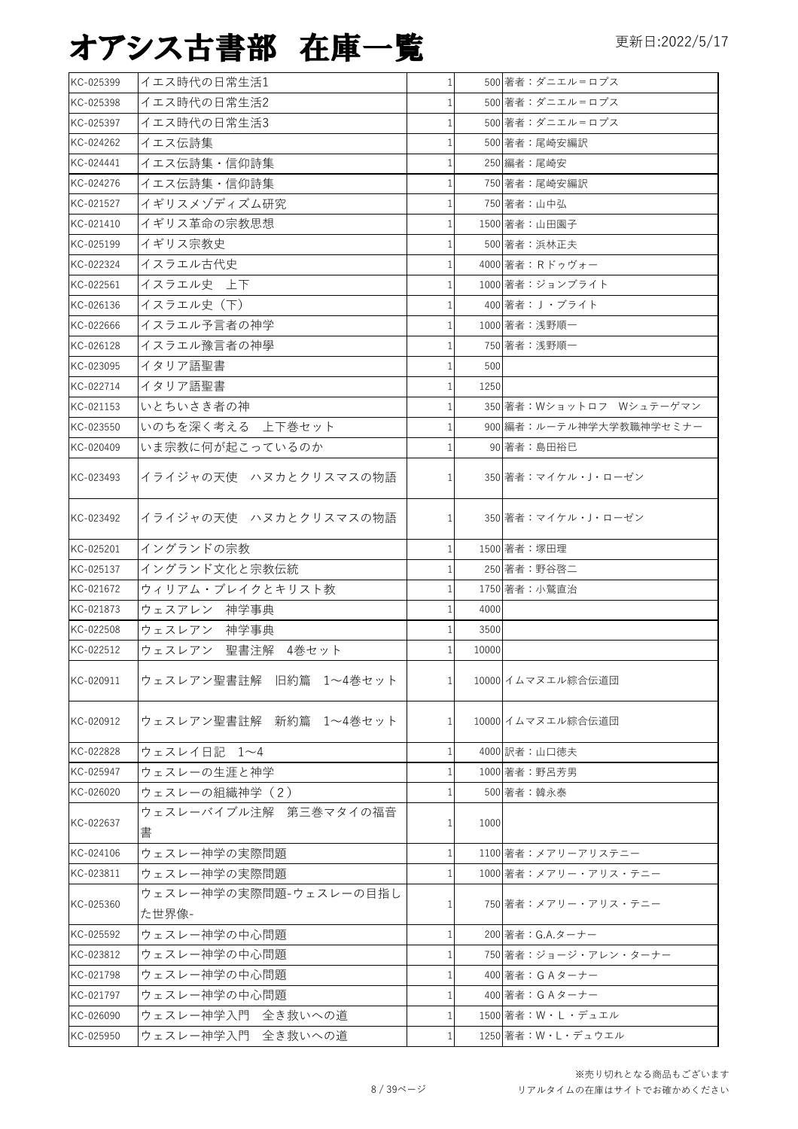| KC-025399 | イエス時代の日常生活1                     | $1\vert$       |       | 500 著者:ダニエル=ロプス         |
|-----------|---------------------------------|----------------|-------|-------------------------|
| KC-025398 | イエス時代の日常生活2                     | 1              |       | 500 著者:ダニエル=ロプス         |
| KC-025397 | イエス時代の日常生活3                     | $\mathbf{1}$   |       | 500 著者:ダニエル゠ロプス         |
| KC-024262 | イエス伝詩集                          | $1\vert$       |       | 500 著者:尾崎安編訳            |
| KC-024441 | イエス伝詩集・信仰詩集                     | $\mathbf{1}$   |       | 250 編者:尾崎安              |
| KC-024276 | イエス伝詩集・信仰詩集                     | 1              |       | 750 著者:尾崎安編訳            |
| KC-021527 | イギリスメゾディズム研究                    | 1              |       | 750 著者:山中弘              |
| KC-021410 | イギリス革命の宗教思想                     | $\mathbf{1}$   |       | 1500 著者:山田園子            |
| KC-025199 | イギリス宗教史                         | 1              |       | 500 著者:浜林正夫             |
| KC-022324 | イスラエル古代史                        | $\mathbf{1}$   |       | 4000 著者: Rドゥヴォー         |
| KC-022561 | イスラエル史 上下                       | $\mathbf{1}$   |       | 1000 著者:ジョンブライト         |
| KC-026136 | イスラエル史 (下)                      | $\mathbf{1}$   |       | 400 著者: J ・ブライト         |
| KC-022666 | イスラエル予言者の神学                     | 1              |       | 1000 著者:浅野順一            |
| KC-026128 | イスラエル豫言者の神學                     | $\mathbf{1}$   |       | 750 著者:浅野順一             |
| KC-023095 | イタリア語聖書                         | $\mathbf{1}$   | 500   |                         |
| KC-022714 | イタリア語聖書                         | $\mathbf{1}$   | 1250  |                         |
| KC-021153 | いとちいさき者の神                       | $\mathbf{1}$   |       | 350 著者:Wショットロフ Wシュテーゲマン |
| KC-023550 | いのちを深く考える 上下巻セット                | 1              |       | 900 編者:ルーテル神学大学教職神学セミナー |
| KC-020409 | いま宗教に何が起こっているのか                 | $\mathbf{1}$   |       | 90 著者:島田裕巳              |
| KC-023493 | イライジャの天使 ハヌカとクリスマスの物語           | $\mathbf{1}$   |       | 350 著者: マイケル・J・ローゼン     |
| KC-023492 | イライジャの天使 ハヌカとクリスマスの物語           | $\mathbf{1}$   |       | 350 著者: マイケル・J・ローゼン     |
| KC-025201 | イングランドの宗教                       | $\mathbf{1}$   |       | 1500 著者: 塚田理            |
| KC-025137 | イングランド文化と宗教伝統                   | 1 <sup>1</sup> |       | 250 著者:野谷啓二             |
| KC-021672 | ウィリアム・ブレイクとキリスト教                | 1              |       | 1750 著者:小鷲直治            |
| KC-021873 | ウェスアレン 神学事典                     | 1              | 4000  |                         |
| KC-022508 | ウェスレアン 神学事典                     | 1              | 3500  |                         |
| KC-022512 | ウェスレアン 聖書注解 4巻セット               | $\mathbf{1}$   | 10000 |                         |
| KC-020911 | ウェスレアン聖書註解 旧約篇 1~4巻セット          | 1 <sup>1</sup> |       | 10000 イムマヌエル綜合伝道団       |
| KC-020912 | ウェスレアン聖書註解 新約篇 1~4巻セット          | 1 <sup>1</sup> |       | 10000 イムマヌエル綜合伝道団       |
| KC-022828 | ウェスレイ日記 1~4                     | $\mathbf{1}$   |       | 4000 訳者:山口徳夫            |
| KC-025947 | ウェスレーの生涯と神学                     | $\mathbf{1}$   |       | 1000 著者:野呂芳男            |
| KC-026020 | ウェスレーの組織神学 (2)                  | $\mathbf{1}$   |       | 500 著者:韓永泰              |
| KC-022637 | ウェスレーバイブル注解 第三巻マタイの福音<br>書      | $\mathbf{1}$   | 1000  |                         |
| KC-024106 | ウェスレー神学の実際問題                    | 1              |       | 1100 著者:メアリーアリステニー      |
| KC-023811 | ウェスレー神学の実際問題                    | 1              |       | 1000 著者:メアリー・アリス・テニー    |
| KC-025360 | ウェスレー神学の実際問題-ウェスレーの目指し<br>た世界像- | $\mathbf{1}$   |       | 750 著者:メアリー・アリス・テニー     |
| KC-025592 | ウェスレー神学の中心問題                    | $\mathbf{1}$   |       | 200 著者: G.A.ターナー        |
| KC-023812 | ウェスレー神学の中心問題                    | $\mathbf{1}$   |       | 750 著者: ジョージ・アレン・ターナー   |
| KC-021798 | ウェスレー神学の中心問題                    | 1              |       | 400 著者: GA ターナー         |
| KC-021797 | ウェスレー神学の中心問題                    | $\mathbf{1}$   |       | 400 著者: GA ターナー         |
| KC-026090 | ウェスレー神学入門 全き救いへの道               | $\mathbf{1}$   |       | 1500 著者:W・L・デュエル        |
| KC-025950 | ウェスレー神学入門 全き救いへの道               | $1\vert$       |       | 1250 著者: W · L · デュウエル  |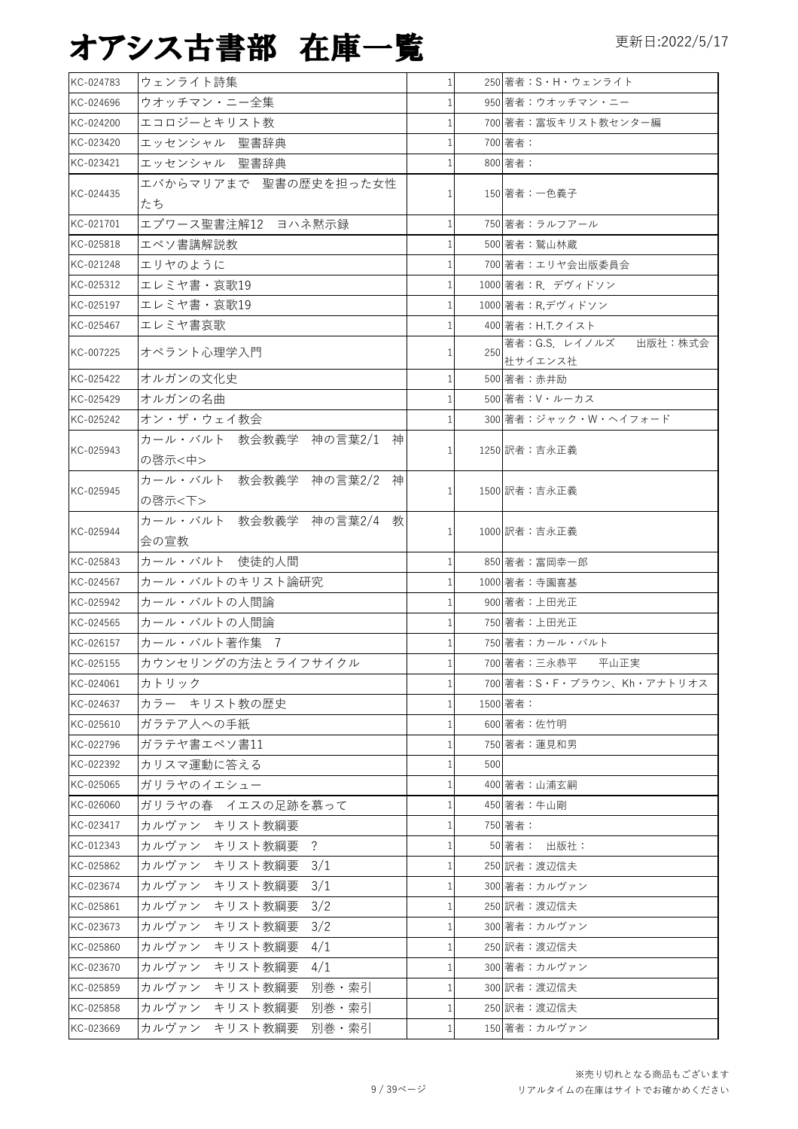| KC-024783 | ウェンライト詩集                              | 1 <sup>1</sup> |     | 250 著者: S · H · ウェンライト     |
|-----------|---------------------------------------|----------------|-----|----------------------------|
| KC-024696 | ウオッチマン・ニー全集                           | $\mathbf{1}$   |     | 950 著者:ウオッチマン・ニー           |
| KC-024200 | エコロジーとキリスト教                           | 1              |     | 700 著者:富坂キリスト教センター編        |
| KC-023420 | エッセンシャル 聖書辞典                          | 1              |     | 700 著者:                    |
| KC-023421 | エッセンシャル 聖書辞典                          | 1              |     | 800 著者:                    |
| KC-024435 | エバからマリアまで 聖書の歴史を担った女性<br>たち           | 1              |     | 150 著者:一色義子                |
| KC-021701 | エプワース聖書注解12 ヨハネ黙示録                    | $\mathbf{1}$   |     | 750 著者:ラルフアール              |
| KC-025818 | エペソ書講解説教                              | $\mathbf{1}$   |     | 500 著者:鷲山林蔵                |
| KC-021248 | エリヤのように                               | $\mathbf{1}$   |     | 700 著者:エリヤ会出版委員会           |
| KC-025312 | エレミヤ書・哀歌19                            | $\mathbf{1}$   |     | 1000 著者: R. デヴィドソン         |
| KC-025197 | エレミヤ書・哀歌19                            |                |     | 1000 著者:R,デヴィドソン           |
| KC-025467 | エレミヤ書哀歌                               | $\mathbf{1}$   |     | 400 著者: H.T.クイスト           |
|           |                                       |                |     | 著者: G.S. レイノルズ 出版社:株式会     |
| KC-007225 | オペラント心理学入門                            | 1              | 250 | 社サイエンス社                    |
| KC-025422 | オルガンの文化史                              | $\mathbf{1}$   |     | 500 著者:赤井励                 |
| KC-025429 | オルガンの名曲                               | $\mathbf{1}$   |     | 500 著者: V・ルーカス             |
| KC-025242 | オン・ザ・ウェイ教会                            | 1              |     | 300 著者: ジャック・W・ヘイフォード      |
| KC-025943 | カール・バルト 教会教義学 神の言葉2/1<br>神<br>の啓示<中>  | 1              |     | 1250 訳者:吉永正義               |
| KC-025945 | カール・バルト 教会教義学 神の言葉2/2 神<br>の啓示<下>     | 11             |     | 1500 訳者:吉永正義               |
| KC-025944 | カール・バルト 教会教義学 神の言葉2/4 教<br>会の宣教       | $\mathbf{1}$   |     | 1000 訳者:吉永正義               |
| KC-025843 | カール・バルト 使徒的人間                         | 1              |     | 850 著者:富岡幸一郎               |
| KC-024567 | カール・バルトのキリスト論研究                       | $\mathbf{1}$   |     | 1000 著者:寺園喜基               |
| KC-025942 | カール・バルトの人間論                           | 1              |     | 900 著者:上田光正                |
| KC-024565 | カール・バルトの人間論                           | $\mathbf{1}$   |     | 750 著者:上田光正                |
| KC-026157 | カール・バルト著作集 7                          | 1              |     | 750 著者:カール・バルト             |
| KC-025155 | カウンセリングの方法とライフサイクル                    | 1 <sup>1</sup> |     | 700 著者:三永恭平 平山正実           |
| KC-024061 | カトリック                                 | $\mathbf{1}$   |     | 700 著者: S·F·ブラウン、Kh·アナトリオス |
| KC-024637 | カラー キリスト教の歴史                          | $\mathbf{1}$   |     | 1500 著者:                   |
| KC-025610 | ガラテア人への手紙                             | 1              |     | 600 著者:佐竹明                 |
| KC-022796 | ガラテヤ書エペソ書11                           | $\mathbf{1}$   |     | 750 著者: 蓮見和男               |
| KC-022392 | カリスマ運動に答える                            | 1              | 500 |                            |
| KC-025065 | ガリラヤのイエシュー                            | $\mathbf{1}$   |     | 400 著者:山浦玄嗣                |
| KC-026060 | ガリラヤの春 イエスの足跡を慕って                     | 1              |     | 450 著者:牛山剛                 |
| KC-023417 | カルヴァン キリスト教綱要                         | $1\vert$       |     | 750 著者:                    |
| KC-012343 | カルヴァン キリスト教綱要<br>$\ddot{\phantom{0}}$ | $\mathbf{1}$   |     | 50 著者: 出版社:                |
| KC-025862 | カルヴァン キリスト教綱要<br>3/1                  | $\mathbf{1}$   |     | 250 訳者:渡辺信夫                |
| KC-023674 | カルヴァン<br>キリスト教綱要<br>3/1               | $\mathbf{1}$   |     | 300 著者:カルヴァン               |
| KC-025861 | カルヴァン<br>キリスト教綱要<br>3/2               | $\mathbf{1}$   |     | 250 訳者:渡辺信夫                |
| KC-023673 | カルヴァン<br>キリスト教綱要<br>3/2               | $\mathbf{1}$   |     | 300 著者:カルヴァン               |
| KC-025860 | カルヴァン<br>キリスト教綱要<br>4/1               | $\mathbf{1}$   |     | 250 訳者:渡辺信夫                |
| KC-023670 | カルヴァン<br>キリスト教綱要<br>4/1               | $\mathbf{1}$   |     | 300 著者:カルヴァン               |
| KC-025859 | 別巻・索引<br>カルヴァン キリスト教綱要                | $\mathbf{1}$   |     | 300 訳者:渡辺信夫                |
| KC-025858 | カルヴァン<br>キリスト教綱要<br>別巻・索引             | 1              |     | 250 訳者:渡辺信夫                |
| KC-023669 | カルヴァン<br>キリスト教綱要 別巻・索引                | $\mathbf{1}$   |     | 150 著者:カルヴァン               |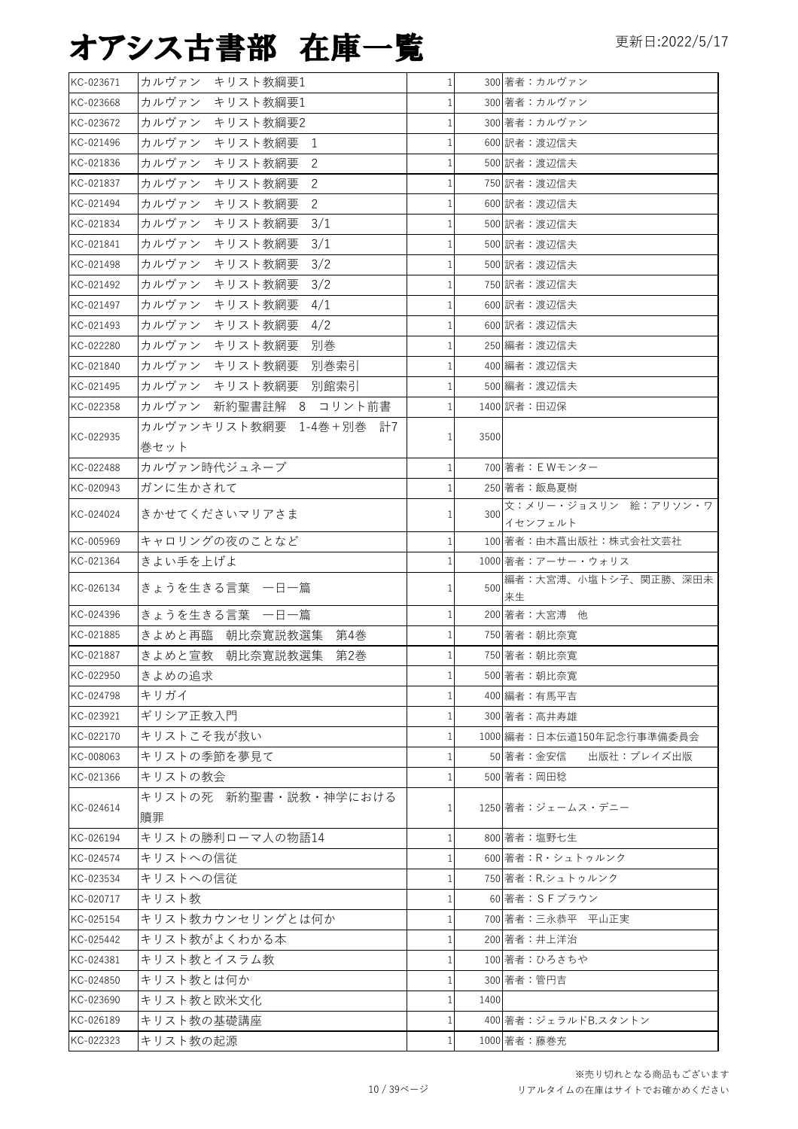| KC-023671 | カルヴァン キリスト教綱要1          | 1 <sup>1</sup> |      | 300 著者:カルヴァン               |
|-----------|-------------------------|----------------|------|----------------------------|
| KC-023668 | カルヴァン キリスト教綱要1          | $\mathbf{1}$   |      | 300 著者:カルヴァン               |
| KC-023672 | カルヴァン キリスト教綱要2          | 1              |      | 300 著者:カルヴァン               |
| KC-021496 | カルヴァン キリスト教網要<br>1      | 1              |      | 600 訳者:渡辺信夫                |
| KC-021836 | カルヴァン キリスト教網要<br>2      | $\mathbf{1}$   |      | 500 訳者:渡辺信夫                |
| KC-021837 | カルヴァン<br>キリスト教網要<br>2   | 1              |      | 750 訳者: 渡辺信夫               |
| KC-021494 | カルヴァン<br>キリスト教網要<br>2   | $\mathbf{1}$   |      | 600 訳者:渡辺信夫                |
| KC-021834 | キリスト教網要<br>3/1<br>カルヴァン | 1              |      | 500 訳者:渡辺信夫                |
| KC-021841 | カルヴァン キリスト教網要<br>3/1    | $\mathbf{1}$   |      | 500 訳者:渡辺信夫                |
| KC-021498 | カルヴァン キリスト教網要<br>3/2    | 1              |      | 500 訳者: 渡辺信夫               |
| KC-021492 | 3/2<br>カルヴァン キリスト教網要    | $\mathbf{1}$   |      | 750 訳者:渡辺信夫                |
| KC-021497 | カルヴァン キリスト教網要<br>4/1    | 1              |      | 600 訳者:渡辺信夫                |
| KC-021493 | カルヴァン キリスト教網要<br>4/2    | $\mathbf{1}$   |      | 600 訳者:渡辺信夫                |
| KC-022280 | カルヴァン キリスト教網要<br>別巻     | $\mathbf{1}$   |      | 250 編者:渡辺信夫                |
| KC-021840 | カルヴァン キリスト教網要<br>別巻索引   | $\mathbf{1}$   |      | 400 編者:渡辺信夫                |
| KC-021495 | カルヴァン キリスト教網要 別館索引      | 1              |      | 500 編者: 渡辺信夫               |
| KC-022358 | カルヴァン 新約聖書註解 8 コリント前書   | $\mathbf{1}$   |      | 1400 訳者:田辺保                |
|           | カルヴァンキリスト教網要 1-4巻+別巻 計7 |                |      |                            |
| KC-022935 | 巻セット                    | $\mathbf{1}$   | 3500 |                            |
| KC-022488 | カルヴァン時代ジュネーブ            | $\mathbf{1}$   |      | 700 著者: EWモンター             |
| KC-020943 | ガンに生かされて                | 1              |      | 250 著者:飯島夏樹                |
|           |                         |                |      | 文:メリー・ジョスリン 絵:アリソン・ワ       |
| KC-024024 | きかせてくださいマリアさま           | 1              | 300  | イセンフェルト                    |
| KC-005969 | キャロリングの夜のことなど           | $\mathbf{1}$   |      | 100 著者:由木菖出版社:株式会社文芸社      |
| KC-021364 | きよい手を上げよ                | 1              |      | 1000 著者:アーサー・ウォリス          |
| KC-026134 | きょうを生きる言葉 一日一篇          | 1              | 500  | 編者:大宮溥、小塩トシ子、関正勝、深田未<br>来生 |
| KC-024396 | きょうを生きる言葉 一日一篇          | $\mathbf{1}$   |      | 200 著者:大宮溥 他               |
| KC-021885 | きよめと再臨 朝比奈寛説教選集 第4巻     | 1              |      | 750 著者:朝比奈寛                |
| KC-021887 | きよめと宣教 朝比奈寛説教選集 第2巻     | $\mathbf{1}$   |      | 750 著者:朝比奈寛                |
| KC-022950 | きよめの追求                  | $1\vert$       |      | 500 著者:朝比奈寛                |
| KC-024798 | キリガイ                    | 1              |      | 400 編者:有馬平吉                |
| KC-023921 | ギリシア正教入門                | 1              |      | 300 著者:高井寿雄                |
| KC-022170 | キリストこそ我が救い              | $\mathbf{1}$   |      | 1000 編者:日本伝道150年記念行事準備委員会  |
| KC-008063 | キリストの季節を夢見て             | 1              |      | 50 著者:金安信<br>出版社:プレイズ出版    |
| KC-021366 | キリストの教会                 | 1              |      | 500 著者:岡田稔                 |
| KC-024614 | キリストの死 新約聖書・説教・神学における   | $\mathbf{1}$   |      | 1250 著者:ジェームス・デニー          |
|           | 贖罪                      |                |      |                            |
| KC-026194 | キリストの勝利ローマ人の物語14        | 1 <sup>1</sup> |      | 800 著者:塩野七生                |
| KC-024574 | キリストへの信従                | $\mathbf{1}$   |      | 600 著者:R·シュトゥルンク           |
| KC-023534 | キリストへの信従                | $\mathbf{1}$   |      | 750 著者: R.シュトゥルンク          |
| KC-020717 | キリスト教                   | 1              |      | 60 著者:SFブラウン               |
| KC-025154 | キリスト教カウンセリングとは何か        | $\mathbf{1}$   |      | 700 著者:三永恭平 平山正実           |
| KC-025442 | キリスト教がよくわかる本            | 1              |      | 200 著者:井上洋治                |
| KC-024381 | キリスト教とイスラム教             | $\mathbf{1}$   |      | 100 著者:ひろさちや               |
| KC-024850 | キリスト教とは何か               | 1              |      | 300 著者:管円吉                 |
| KC-023690 | キリスト教と欧米文化              | 1 <sup>1</sup> | 1400 |                            |
| KC-026189 | キリスト教の基礎講座              | $\mathbf{1}$   |      | 400 著者:ジェラルドB.スタントン        |
| KC-022323 | キリスト教の起源                | $\mathbf{1}$   |      | 1000 著者:藤巻充                |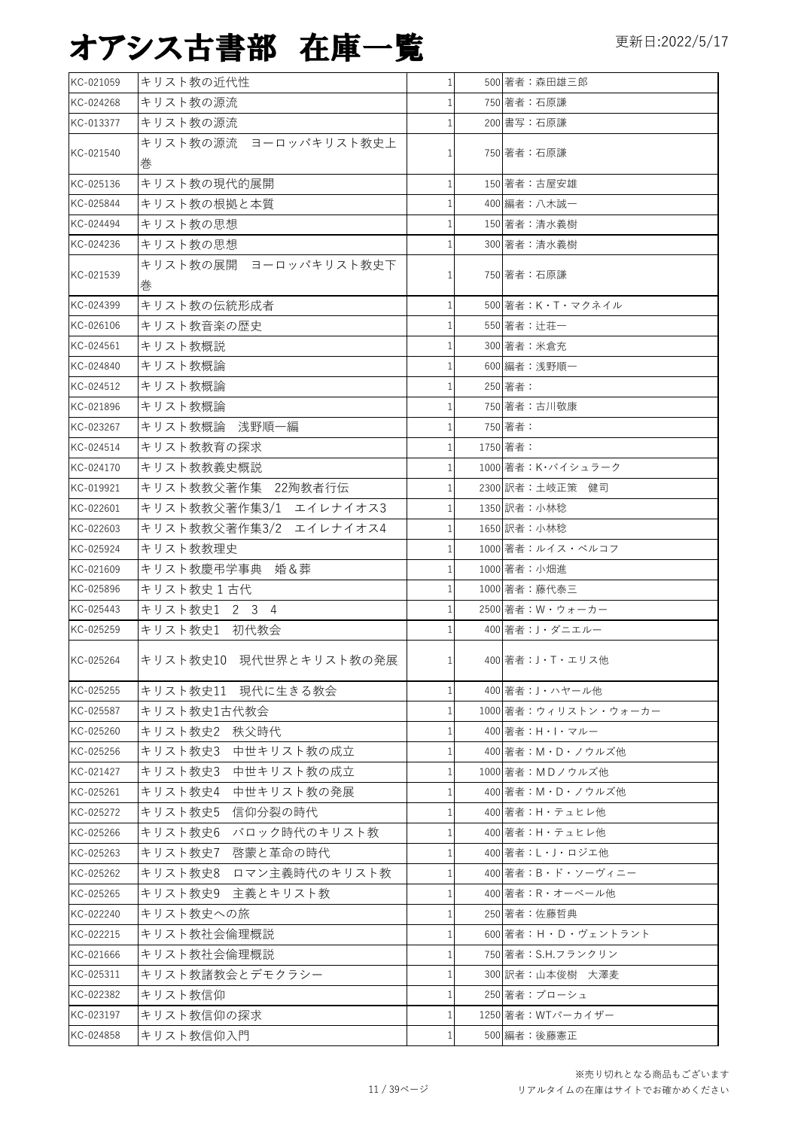| KC-021059 | キリスト教の近代性                  | 1 <sup>1</sup> | 500 著者:森田雄三郎         |
|-----------|----------------------------|----------------|----------------------|
| KC-024268 | キリスト教の源流                   | $\mathbf{1}$   | 750 著者:石原謙           |
| KC-013377 | キリスト教の源流                   | $\mathbf{1}$   | 200 書写:石原謙           |
| KC-021540 | キリスト教の源流 ヨーロッパキリスト教史上<br>巻 | 1              | 750 著者:石原謙           |
| KC-025136 | キリスト教の現代的展開                | $\mathbf{1}$   | 150 著者:古屋安雄          |
| KC-025844 | キリスト教の根拠と本質                | 1              | 400 編者:八木誠一          |
| KC-024494 | キリスト教の思想                   | $\mathbf{1}$   | 150 著者:清水義樹          |
| KC-024236 | キリスト教の思想                   | 1              | 300 著者:清水義樹          |
| KC-021539 | キリスト教の展開 ヨーロッパキリスト教史下<br>巻 | 1              | 750 著者:石原謙           |
| KC-024399 | キリスト教の伝統形成者                | $\mathbf{1}$   | 500 著者:K・T・マクネイル     |
| KC-026106 | キリスト教音楽の歴史                 | $\mathbf{1}$   | 550 著者: 辻荘一          |
| KC-024561 | キリスト教概説                    | $\mathbf{1}$   | 300 著者:米倉充           |
| KC-024840 | キリスト教概論                    | $\mathbf{1}$   | 600 編者:浅野順一          |
| KC-024512 | キリスト教概論                    | $\mathbf{1}$   | 250 著者:              |
| KC-021896 | キリスト教概論                    | 1              | 750 著者:古川敬康          |
| KC-023267 | キリスト教概論 浅野順一編              | 1              | 750 著者:              |
| KC-024514 | キリスト教教育の探求                 | $\mathbf{1}$   | 1750 著者:             |
| KC-024170 | キリスト教教義史概説                 | $\mathbf{1}$   | 1000 著者: K·バイシュラーク   |
| KC-019921 | キリスト教教父著作集 22殉教者行伝         | 1              | 2300 訳者:土岐正策 健司      |
| KC-022601 | キリスト教教父著作集3/1 エイレナイオス3     | $\mathbf{1}$   | 1350 訳者:小林稔          |
| KC-022603 | キリスト教教父著作集3/2 エイレナイオス4     | 1              | 1650 訳者:小林稔          |
| KC-025924 | キリスト教教理史                   | $\mathbf{1}$   | 1000 著者:ルイス・ベルコフ     |
| KC-021609 | キリスト教慶弔学事典 婚&葬             | 1              | 1000 著者:小畑進          |
| KC-025896 | キリスト教史1古代                  | $\mathbf{1}$   | 1000 著者:藤代泰三         |
| KC-025443 | キリスト教史1 2 3 4              | 1              | 2500 著者: W・ウォーカー     |
| KC-025259 | キリスト教史1 初代教会               | $\mathbf{1}$   | 400 著者:J・ダニエルー       |
| KC-025264 | キリスト教史10 現代世界とキリスト教の発展     | $\mathbf{1}$   | 400 著者: J·T·エリス他     |
| KC-025255 | キリスト教史11 現代に生きる教会          | $\mathbf{1}$   | 400 著者: J・ハヤール他      |
| KC-025587 | キリスト教史1古代教会                | $\mathbf{1}$   | 1000 著者:ウィリストン・ウォーカー |
| KC-025260 | キリスト教史2 秩父時代               | 1              | 400 著者:H・I・マルー       |
| KC-025256 | キリスト教史3 中世キリスト教の成立         | $\mathbf{1}$   | 400 著者:M・D・ノウルズ他     |
| KC-021427 | 中世キリスト教の成立<br>キリスト教史3      | $\mathbf{1}$   | 1000 著者:MDノウルズ他      |
| KC-025261 | キリスト教史4 中世キリスト教の発展         | $\mathbf{1}$   | 400 著者:M・D・ノウルズ他     |
| KC-025272 | キリスト教史5<br>信仰分裂の時代         | 1              | 400 著者:H·テュヒレ他       |
| KC-025266 | キリスト教史6 バロック時代のキリスト教       | $\mathbf{1}$   | 400 著者:H·テュヒレ他       |
| KC-025263 | キリスト教史7 啓蒙と革命の時代           | $\mathbf{1}$   | 400 著者:L・J・ロジエ他      |
| KC-025262 | キリスト教史8 ロマン主義時代のキリスト教      | $\mathbf{1}$   | 400 著者:B・ド・ソーヴィニー    |
| KC-025265 | キリスト教史9 主義とキリスト教           | 1              | 400 著者: R・オーベール他     |
| KC-022240 | キリスト教史への旅                  | $\mathbf{1}$   | 250 著者:佐藤哲典          |
| KC-022215 | キリスト教社会倫理概説                | $\mathbf{1}$   | 600 著者:H・D・ヴェントラント   |
| KC-021666 | キリスト教社会倫理概説                | $\mathbf{1}$   | 750 著者:S.H.フランクリン    |
| KC-025311 | キリスト教諸教会とデモクラシー            | $\mathbf{1}$   | 300 訳者:山本俊樹 大澤麦      |
| KC-022382 | キリスト教信仰                    | 1              | 250 著者:ブローシュ         |
| KC-023197 | キリスト教信仰の探求                 | $\mathbf{1}$   | 1250 著者: WTパーカイザー    |
| KC-024858 | キリスト教信仰入門                  | 1              | 500 編者:後藤憲正          |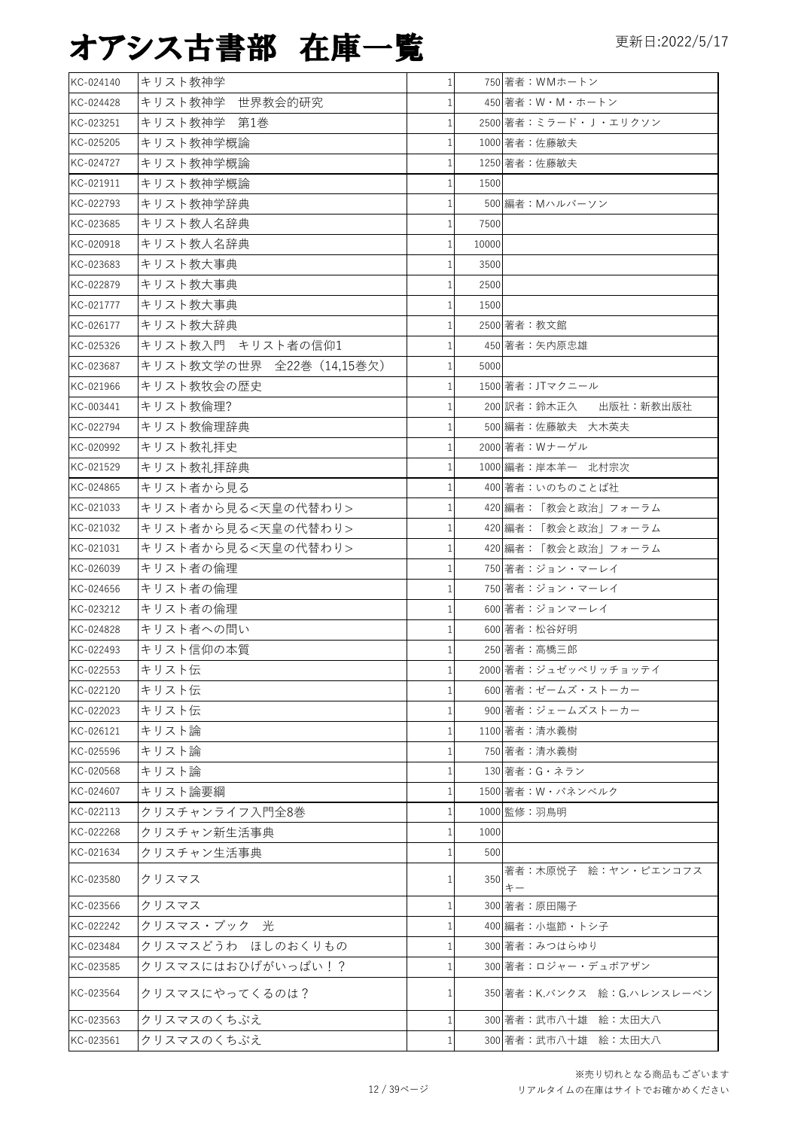| KC-024140 | キリスト教神学                   | $\mathbf{1}$ |       | 750 著者: WMホートン                   |
|-----------|---------------------------|--------------|-------|----------------------------------|
| KC-024428 | キリスト教神学 世界教会的研究           |              |       | 450 著者:W・M・ホートン                  |
| KC-023251 | キリスト教神学 第1巻               |              |       | 2500 著者:ミラード・J・エリクソン             |
| KC-025205 | キリスト教神学概論                 |              |       | 1000 著者:佐藤敏夫                     |
| KC-024727 | キリスト教神学概論                 |              |       | 1250 著者:佐藤敏夫                     |
| KC-021911 | キリスト教神学概論                 |              | 1500  |                                  |
| KC-022793 | キリスト教神学辞典                 |              |       | 500 編者: Mハルバーソン                  |
| KC-023685 | キリスト教人名辞典                 |              | 7500  |                                  |
| KC-020918 | キリスト教人名辞典                 |              | 10000 |                                  |
| KC-023683 | キリスト教大事典                  |              | 3500  |                                  |
| KC-022879 | キリスト教大事典                  | 1            | 2500  |                                  |
| KC-021777 | キリスト教大事典                  |              | 1500  |                                  |
| KC-026177 | キリスト教大辞典                  |              |       | 2500 著者: 教文館                     |
| KC-025326 | キリスト教入門 キリスト者の信仰1         |              |       | 450 著者:矢内原忠雄                     |
| KC-023687 | キリスト教文学の世界 全22巻 (14,15巻欠) |              | 5000  |                                  |
| KC-021966 | キリスト教牧会の歴史                |              |       | 1500 著者: JTマクニール                 |
| KC-003441 | キリスト教倫理?                  |              |       | 200 訳者:鈴木正久<br>出版社:新教出版社         |
| KC-022794 | キリスト教倫理辞典                 |              |       | 500 編者:佐藤敏夫 大木英夫                 |
| KC-020992 | キリスト教礼拝史                  |              |       | 2000 著者: Wナーゲル                   |
| KC-021529 | キリスト教礼拝辞典                 |              |       | 1000 編者:岸本羊一 北村宗次                |
| KC-024865 | キリスト者から見る                 |              |       | 400 著者:いのちのことば社                  |
| KC-021033 | キリスト者から見る<天皇の代替わり>        |              |       | 420 編者:「教会と政治」フォーラム              |
| KC-021032 | キリスト者から見る<天皇の代替わり>        | $\mathbf{1}$ |       | 420 編者:「教会と政治」フォーラム              |
| KC-021031 | キリスト者から見る<天皇の代替わり>        |              |       | 420 編者:「教会と政治」フォーラム              |
| KC-026039 | キリスト者の倫理                  |              |       | 750 著者:ジョン・マーレイ                  |
| KC-024656 | キリスト者の倫理                  |              |       | 750 著者:ジョン・マーレイ                  |
| KC-023212 | キリスト者の倫理                  |              |       | 600 著者:ジョンマーレイ                   |
| KC-024828 | キリスト者への問い                 |              |       | 600 著者:松谷好明                      |
| KC-022493 | キリスト信仰の本質                 |              |       | 250 著者:高橋三郎                      |
| KC-022553 | キリスト伝                     |              |       | 2000 著者:ジュゼッペリッチョッテイ             |
| KC-022120 | キリスト伝                     |              |       | 600 著者:ゼームズ・ストーカー                |
| KC-022023 | キリスト伝                     |              |       | 900 著者:ジェームズストーカー                |
| KC-026121 | キリスト論                     |              |       | 1100 著者:清水義樹                     |
| KC-025596 | キリスト論                     |              |       | 750 著者:清水義樹                      |
| KC-020568 | キリスト論                     |              |       |                                  |
|           | キリスト論要綱                   |              |       | 130 著者:G・ネラン<br>1500 著者:W・パネンベルク |
| KC-024607 |                           |              |       |                                  |
| KC-022113 | クリスチャンライフ入門全8巻            |              |       | 1000 監修:羽鳥明                      |
| KC-022268 | クリスチャン新生活事典               |              | 1000  |                                  |
| KC-021634 | クリスチャン生活事典                |              | 500   | 著者:木原悦子 絵:ヤン・ピエンコフス              |
| KC-023580 | クリスマス                     |              | 350   | キー                               |
| KC-023566 | クリスマス                     |              |       | 300 著者:原田陽子                      |
| KC-022242 | クリスマス・ブック 光               |              |       | 400 編者:小塩節・トシ子                   |
| KC-023484 | クリスマスどうわ ほしのおくりもの         |              |       | 300 著者:みつはらゆり                    |
| KC-023585 | クリスマスにはおひげがいっぱい!?         |              |       | 300 著者:ロジャー・デュボアザン               |
| KC-023564 | クリスマスにやってくるのは?            |              |       | 350 著者:K.バンクス 絵:G.ハレンスレーベン       |
| KC-023563 | クリスマスのくちぶえ                |              |       | 300 著者:武市八十雄 絵:太田大八              |
| KC-023561 | クリスマスのくちぶえ                |              |       | 300 著者:武市八十雄 絵:太田大八              |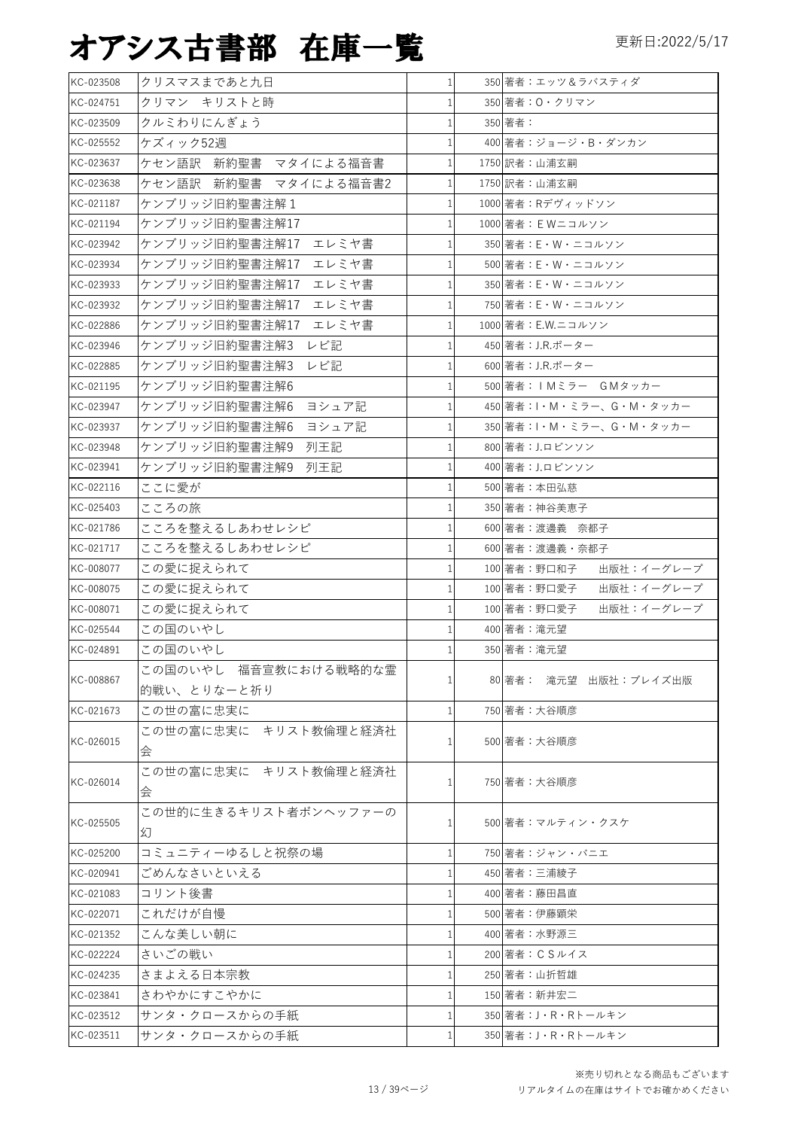| KC-023508 | クリスマスまであと九日                | $\mathbf{1}$ | 350 著者:エッツ&ラバスティダ                |
|-----------|----------------------------|--------------|----------------------------------|
| KC-024751 | クリマン キリストと時                | 1            | 350 著者: 0・クリマン                   |
| KC-023509 | クルミわりにんぎょう                 | 1            | 350 著者:                          |
| KC-025552 | ケズィック52週                   | 1            | 400 著者: ジョージ・B・ダンカン              |
| KC-023637 | ケセン語訳 新約聖書 マタイによる福音書       | 1            | 1750 訳者:山浦玄嗣                     |
| KC-023638 | ケセン語訳 新約聖書 マタイによる福音書2      | $\mathbf{1}$ | 1750 訳者:山浦玄嗣                     |
| KC-021187 | ケンブリッジ旧約聖書注解1              | $\mathbf{1}$ | 1000 著者:Rデヴィッドソン                 |
| KC-021194 | ケンブリッジ旧約聖書注解17             | $\mathbf{1}$ | 1000 著者: EWニコルソン                 |
| KC-023942 | ケンブリッジ旧約聖書注解17<br>エレミヤ書    | $\mathbf{1}$ | 350 著者:E・W・ニコルソン                 |
| KC-023934 | ケンブリッジ旧約聖書注解17<br>エレミヤ書    | $\mathbf{1}$ | 500 著者:E・W・ニコルソン                 |
| KC-023933 | ケンブリッジ旧約聖書注解17<br>エレミヤ書    | $\mathbf{1}$ | 350 著者:E・W・ニコルソン                 |
| KC-023932 | ケンブリッジ旧約聖書注解17<br>エレミヤ書    | $\mathbf{1}$ | 750 著者:E・W・ニコルソン                 |
| KC-022886 | ケンブリッジ旧約聖書注解17<br>エレミヤ書    | 1            | 1000 著者: E.W.ニコルソン               |
| KC-023946 | ケンブリッジ旧約聖書注解3<br>レビ記       | $\mathbf{1}$ | 450 著者: J.R.ポーター                 |
| KC-022885 | ケンブリッジ旧約聖書注解3<br>レビ記       | 1            | 600 著者:J.R.ポーター                  |
| KC-021195 | ケンブリッジ旧約聖書注解6              |              | 500 著者: IMミラー GMタッカー             |
| KC-023947 | ケンブリッジ旧約聖書注解6<br>ヨシュア記     | 1            | 450 著者: I · M · ミラー、G · M · タッカー |
| KC-023937 | ケンブリッジ旧約聖書注解6<br>ヨシュア記     | $\mathbf{1}$ | 350 著者: I · M · ミラー、G · M · タッカー |
| KC-023948 | ケンブリッジ旧約聖書注解9 列王記          | 1            | 800 著者: J.ロビンソン                  |
| KC-023941 | ケンブリッジ旧約聖書注解9 列王記          | 1            | 400 著者: J.ロビンソン                  |
| KC-022116 | ここに愛が                      |              | 500 著者:本田弘慈                      |
|           |                            | 1            |                                  |
| KC-025403 | こころの旅                      | 1            | 350 著者:神谷美恵子                     |
| KC-021786 | こころを整えるしあわせレシピ             | 1            | 600 著者:渡邊義 奈都子                   |
| KC-021717 | こころを整えるしあわせレシピ             | 1            | 600 著者:渡邊義・奈都子                   |
| KC-008077 | この愛に捉えられて                  | $\mathbf{1}$ | 100 著者:野口和子<br>出版社:イーグレープ        |
| KC-008075 | この愛に捉えられて                  | $\mathbf{1}$ | 100 著者:野口愛子<br>出版社:イーグレープ        |
| KC-008071 | この愛に捉えられて                  |              | 100 著者:野口愛子<br>出版社:イーグレープ        |
| KC-025544 | この国のいやし                    |              | 400 著者: 滝元望                      |
| KC-024891 | この国のいやし                    |              | 350 著者: 滝元望                      |
| KC-008867 | この国のいやし 福音宣教における戦略的な霊      |              | 80 著者: 滝元望 出版社:ブレイズ出版            |
|           | 的戦い、とりなーと祈り<br>この世の富に忠実に   |              | 750 著者:大谷順彦                      |
| KC-021673 | この世の富に忠実に キリスト教倫理と経済社      |              |                                  |
| KC-026015 |                            |              | 500 著者:大谷順彦                      |
|           | 会                          |              |                                  |
| KC-026014 | この世の富に忠実に キリスト教倫理と経済社<br>会 |              | 750 著者:大谷順彦                      |
|           | この世的に生きるキリスト者ボンヘッファーの      |              |                                  |
| KC-025505 | 幻                          |              | 500 著者:マルティン・クスケ                 |
|           |                            |              | 750 著者:ジャン・バニエ                   |
| KC-025200 | コミュニティーゆるしと祝祭の場            |              | 450 著者:三浦綾子                      |
| KC-020941 | ごめんなさいといえる                 |              |                                  |
| KC-021083 | コリント後書                     |              | 400 著者:藤田昌直                      |
| KC-022071 | これだけが自慢                    |              | 500 著者:伊藤顕栄                      |
| KC-021352 | こんな美しい朝に                   |              | 400 著者:水野源三                      |
| KC-022224 | さいごの戦い                     |              | 200 著者: C S ルイス                  |
| KC-024235 | さまよえる日本宗教                  |              | 250 著者:山折哲雄                      |
| KC-023841 | さわやかにすこやかに                 |              | 150 著者:新井宏二                      |
| KC-023512 | サンタ・クロースからの手紙              |              | 350 著者:J・R・Rトールキン                |
| KC-023511 | サンタ・クロースからの手紙              | $\mathbf{1}$ | 350 著者: J·R·Rトールキン               |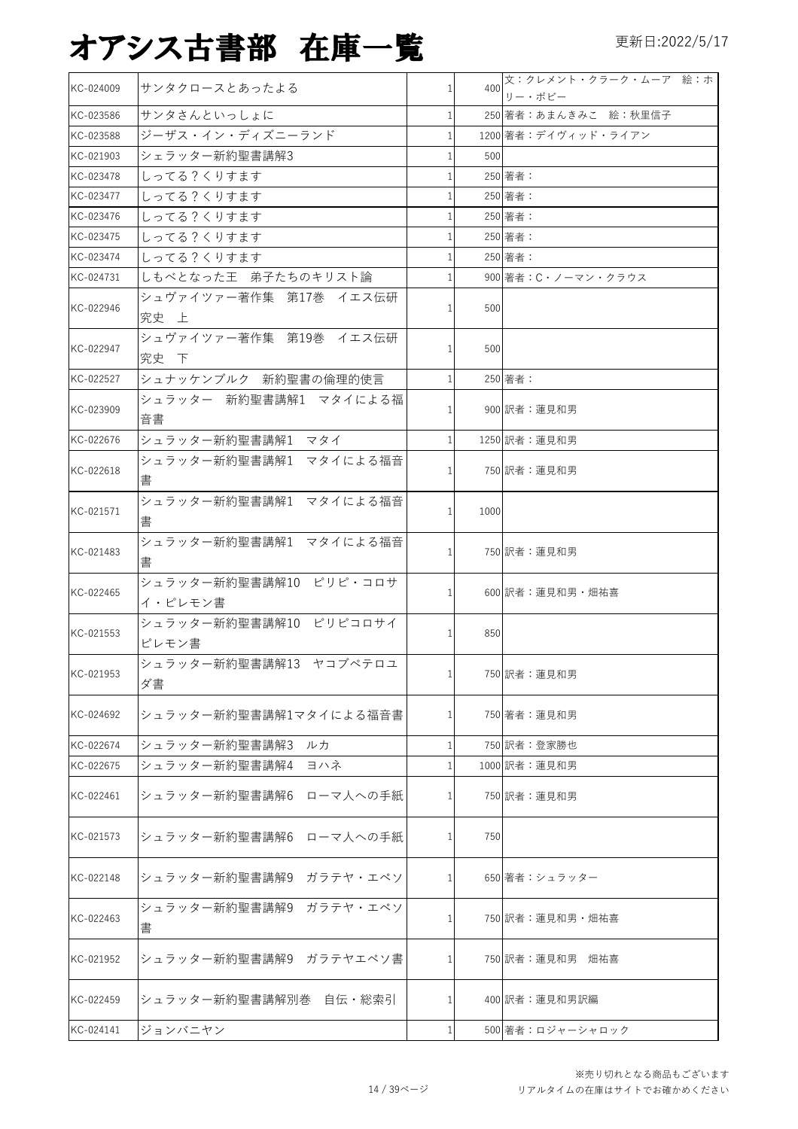| KC-024009 | サンタクロースとあったよる                     |              | 400  | 文:クレメント・クラーク・ムーア 絵:ホ<br>リー・ボビー |
|-----------|-----------------------------------|--------------|------|--------------------------------|
| KC-023586 | サンタさんといっしょに                       | 1            |      | 250 著者:あまんきみこ 絵:秋里信子           |
| KC-023588 | ジーザス・イン・ディズニーランド                  |              |      | 1200 著者:デイヴィッド・ライアン            |
| KC-021903 | シェラッター新約聖書講解3                     |              | 500  |                                |
| KC-023478 | しってる?くりすます                        |              |      | 250 著者:                        |
| KC-023477 | しってる?くりすます                        |              |      | 250 著者:                        |
| KC-023476 | しってる?くりすます                        |              |      | 250 著者:                        |
| KC-023475 | しってる?くりすます                        |              |      | 250 著者:                        |
| KC-023474 | しってる?くりすます                        |              |      | 250 著者:                        |
| KC-024731 | しもべとなった王 弟子たちのキリスト論               |              |      | 900 著者: C・ノーマン・クラウス            |
| KC-022946 | シュヴァイツァー著作集 第17巻 イエス伝研<br>究史の上    |              | 500  |                                |
| KC-022947 | シュヴァイツァー著作集 第19巻 イエス伝研<br>究史 下    |              | 500  |                                |
| KC-022527 | シュナッケンブルク 新約聖書の倫理的使言              |              |      | 250 著者:                        |
| KC-023909 | シュラッター 新約聖書講解1 マタイによる福<br>音書      | 1            |      | 900 訳者:蓮見和男                    |
| KC-022676 | シュラッター新約聖書講解1 マタイ                 | $\mathbf{1}$ |      | 1250 訳者:蓮見和男                   |
| KC-022618 | シュラッター新約聖書講解1 マタイによる福音<br>書       |              |      | 750 訳者:蓮見和男                    |
| KC-021571 | シュラッター新約聖書講解1 マタイによる福音<br>書       | $\mathbf{1}$ | 1000 |                                |
| KC-021483 | シュラッター新約聖書講解1 マタイによる福音<br>書       | 1            |      | 750 訳者:蓮見和男                    |
| KC-022465 | シュラッター新約聖書講解10 ピリピ・コロサ<br>イ・ピレモン書 | $\mathbf{1}$ |      | 600 訳者:蓮見和男・畑祐喜                |
| KC-021553 | シュラッター新約聖書講解10 ピリピコロサイ<br>ピレモン書   | 1            | 850  |                                |
| KC-021953 | シュラッター新約聖書講解13 ヤコブペテロユ<br>ダ書      | $1\vert$     |      | 750 訳者:蓮見和男                    |
| KC-024692 | シュラッター新約聖書講解1マタイによる福音書            | 1            |      | 750 著者:蓮見和男                    |
| KC-022674 | シュラッター新約聖書講解3<br>ルカ               | $\mathbf{1}$ |      | 750 訳者:登家勝也                    |
| KC-022675 | シュラッター新約聖書講解4<br>ヨハネ              |              |      | 1000 訳者:蓮見和男                   |
| KC-022461 | シュラッター新約聖書講解6 ローマ人への手紙            | 1            |      | 750 訳者:蓮見和男                    |
| KC-021573 | シュラッター新約聖書講解6 ローマ人への手紙            | 1            | 750  |                                |
| KC-022148 | シュラッター新約聖書講解9 ガラテヤ・エペソ            | 1            |      | 650 著者:シュラッター                  |
| KC-022463 | シュラッター新約聖書講解9 ガラテヤ・エペソ<br>書       | 1            |      | 750 訳者:蓮見和男・畑祐喜                |
| KC-021952 | シュラッター新約聖書講解9 ガラテヤエペソ書            |              |      | 750 訳者:蓮見和男 畑祐喜                |
| KC-022459 | シュラッター新約聖書講解別巻 自伝・総索引             | 1            |      | 400 訳者:蓮見和男訳編                  |
| KC-024141 | ジョンバニヤン                           | 1            |      | 500 著者:ロジャーシャロック               |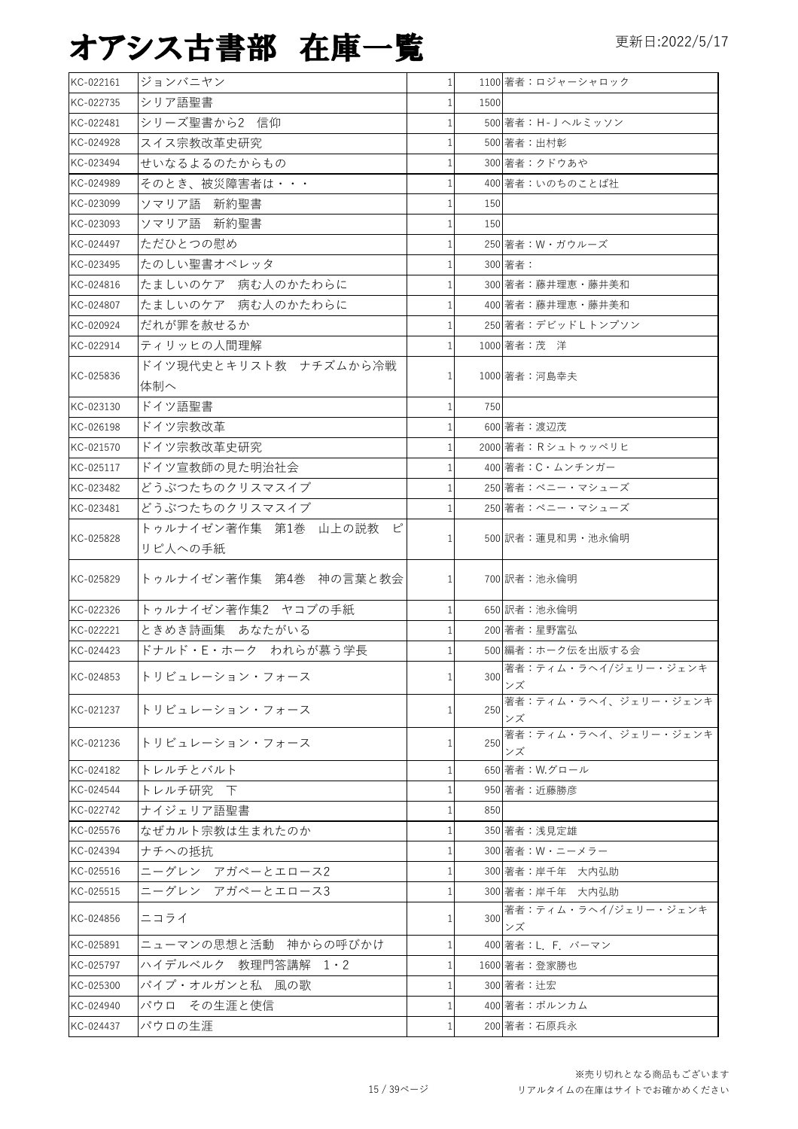| KC-022161 | ジョンバニヤン                | $\mathbf{1}$ |      | 1100 著者:ロジャーシャロック                                  |
|-----------|------------------------|--------------|------|----------------------------------------------------|
| KC-022735 | シリア語聖書                 |              | 1500 |                                                    |
| KC-022481 | シリーズ聖書から2 信仰           |              |      | 500 著者:H-Jヘルミッソン                                   |
| KC-024928 | スイス宗教改革史研究             |              |      | 500 著者:出村彰                                         |
| KC-023494 | せいなるよるのたからもの           |              |      | 300 著者:クドウあや                                       |
| KC-024989 | そのとき、被災障害者は・・・         |              |      | 400 著者:いのちのことば社                                    |
| KC-023099 | ソマリア語 新約聖書             |              | 150  |                                                    |
| KC-023093 | ソマリア語 新約聖書             |              | 150  |                                                    |
| KC-024497 | ただひとつの慰め               |              |      | 250 著者: W・ガウルーズ                                    |
| KC-023495 | たのしい聖書オペレッタ            |              |      | 300 著者:                                            |
| KC-024816 | たましいのケア 病む人のかたわらに      |              |      | 300 著者:藤井理恵・藤井美和                                   |
| KC-024807 | たましいのケア 病む人のかたわらに      |              |      | 400 著者:藤井理恵・藤井美和                                   |
| KC-020924 | だれが罪を赦せるか              |              |      | 250 著者:デビッドしトンプソン                                  |
| KC-022914 | ティリッヒの人間理解             |              |      | 1000 著者:茂洋                                         |
| KC-025836 | ドイツ現代史とキリスト教 ナチズムから冷戦  |              |      | 1000 著者:河島幸夫                                       |
|           | 体制へ                    | $1\vert$     |      |                                                    |
| KC-023130 | ドイツ語聖書                 |              | 750  |                                                    |
| KC-026198 | ドイツ宗教改革                |              |      | 600 著者:渡辺茂                                         |
| KC-021570 | ドイツ宗教改革史研究             |              |      | 2000 著者: Rシュトゥッペリヒ                                 |
| KC-025117 | ドイツ宣教師の見た明治社会          |              |      | 400 著者: C·ムンチンガー                                   |
| KC-023482 | どうぶつたちのクリスマスイブ         |              |      | 250 著者:ペニー・マシューズ                                   |
| KC-023481 | どうぶつたちのクリスマスイブ         |              |      | 250 著者:ペニー・マシューズ                                   |
| KC-025828 | トゥルナイゼン著作集 第1巻 山上の説教 ピ | $1\vert$     |      | 500 訳者:蓮見和男·池永倫明                                   |
|           | リピ人への手紙                |              |      |                                                    |
| KC-025829 | トゥルナイゼン著作集 第4巻 神の言葉と教会 |              |      | 700 訳者:池永倫明                                        |
| KC-022326 | トゥルナイゼン著作集2 ヤコブの手紙     |              |      | 650 訳者:池永倫明                                        |
| KC-022221 | ときめき詩画集 あなたがいる         |              |      | 200 著者:星野富弘                                        |
| KC-024423 | ドナルド・E・ホーク われらが慕う学長    |              |      | 500 編者:ホーク伝を出版する会                                  |
| KC-024853 | トリビュレーション・フォース         | $\mathbf{1}$ |      | 著者:ティム・ラヘイ/ジェリー・ジェンキ<br>$\frac{300}{2 \times 100}$ |
| KC-021237 | トリビュレーション・フォース         | 1            | 250  | 著者:ティム・ラヘイ、ジェリー・ジェンキ<br>ンズ                         |
| KC-021236 | トリビュレーション・フォース         | 1            | 250  | 著者:ティム・ラヘイ、ジェリー・ジェンキ<br>ンズ                         |
| KC-024182 | トレルチとバルト               |              |      | 650 著者: W.グロール                                     |
| KC-024544 | トレルチ研究 下               |              |      | 950 著者:近藤勝彦                                        |
| KC-022742 | ナイジェリア語聖書              | 1            | 850  |                                                    |
| KC-025576 | なぜカルト宗教は生まれたのか         |              |      | 350 著者:浅見定雄                                        |
| KC-024394 | ナチへの抵抗                 |              |      | 300 著者: W・ニーメラー                                    |
| KC-025516 | ニーグレン アガペーとエロース2       |              |      | 300 著者:岸千年 大内弘助                                    |
| KC-025515 | ニーグレン アガペーとエロース3       |              |      | 300 著者:岸千年 大内弘助                                    |
| KC-024856 | ニコライ                   | 1            | 300  | 著者:ティム・ラヘイ/ジェリー・ジェンキ<br>ンズ                         |
| KC-025891 | ニューマンの思想と活動 神からの呼びかけ   | 1            |      | 400 著者: L F バーマン                                   |
| KC-025797 | ハイデルベルク 教理門答講解 1・2     |              |      | 1600 著者:登家勝也                                       |
| KC-025300 | パイプ・オルガンと私 風の歌         |              |      | 300 著者: 辻宏                                         |
| KC-024940 | パウロ その生涯と使信            |              |      | 400 著者:ボルンカム                                       |
| KC-024437 | パウロの生涯                 | 1            |      | 200 著者:石原兵永                                        |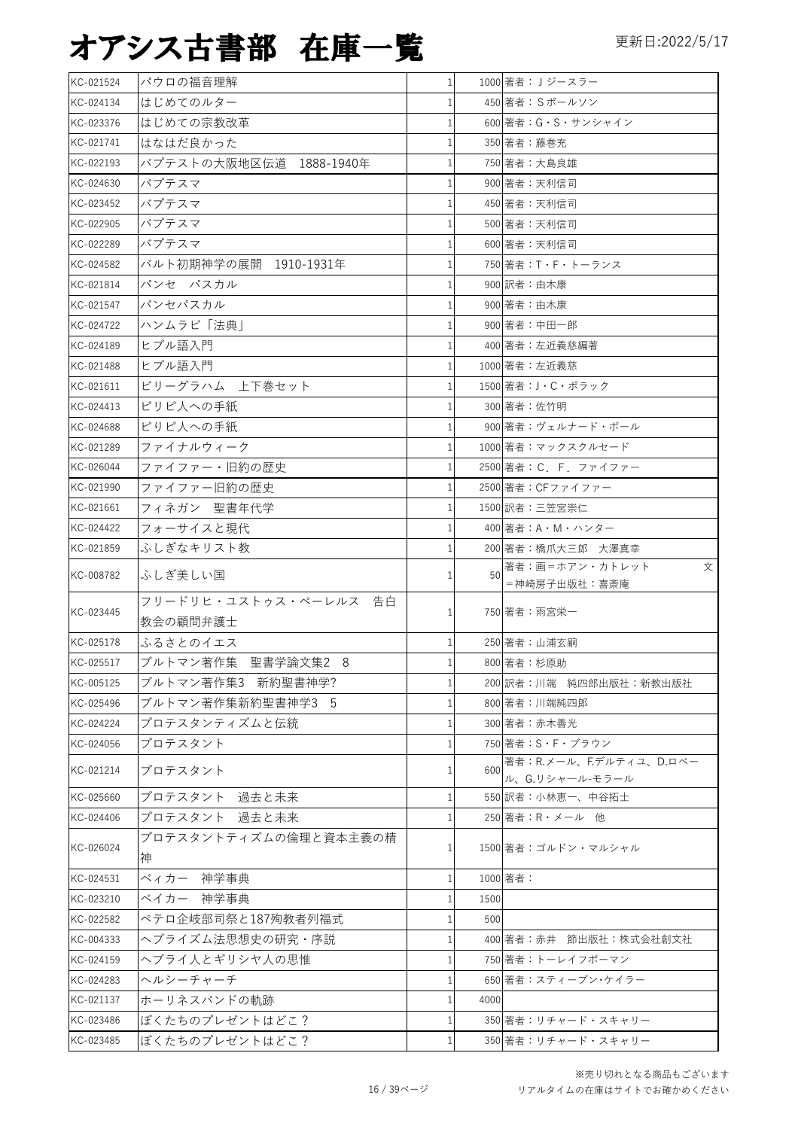| KC-021524 | パウロの福音理解                | $\mathbf{1}$ |      | 1000 著者: Jジースラー        |
|-----------|-------------------------|--------------|------|------------------------|
| KC-024134 | はじめてのルター                |              |      | 450 著者: Sポールソン         |
| KC-023376 | はじめての宗教改革               | 1            |      | 600 著者: G · S · サンシャイン |
| KC-021741 | はなはだ良かった                |              |      | 350 著者:藤巻充             |
| KC-022193 | バプテストの大阪地区伝道 1888-1940年 |              |      | 750 著者:大島良雄            |
| KC-024630 | バプテスマ                   |              |      | 900 著者:天利信司            |
| KC-023452 | バプテスマ                   |              |      | 450 著者:天利信司            |
| KC-022905 | バプテスマ                   |              |      | 500 著者:天利信司            |
| KC-022289 | バプテスマ                   |              |      | 600 著者:天利信司            |
| KC-024582 | バルト初期神学の展開 1910-1931年   |              |      | 750 著者:T・F・トーランス       |
| KC-021814 | パンセ パスカル                | 1            |      | 900 訳者:由木康             |
| KC-021547 | パンセパスカル                 |              |      | 900 著者:由木康             |
| KC-024722 | ハンムラビ「法典」               |              |      | 900 著者:中田一郎            |
| KC-024189 | ヒブル語入門                  |              |      | 400 著者:左近義慈編著          |
| KC-021488 | ヒブル語入門                  |              |      | 1000 著者:左近義慈           |
| KC-021611 | ビリーグラハム 上下巻セット          |              |      | 1500 著者:J・C・ポラック       |
| KC-024413 | ピリピ人への手紙                |              |      | 300 著者:佐竹明             |
| KC-024688 | ピリピ人への手紙                |              |      | 900 著者:ヴェルナード・ボール      |
| KC-021289 | ファイナルウィーク               |              |      | 1000 著者: マックスクルセード     |
| KC-026044 | ファイファー・旧約の歴史            |              |      | 2500 著者: C. F. ファイファー  |
| KC-021990 | ファイファー旧約の歴史             |              |      | 2500 著者: CFファイファー      |
| KC-021661 | フィネガン 聖書年代学             |              |      | 1500 訳者:三笠宮崇仁          |
| KC-024422 | フォーサイスと現代               |              |      | 400 著者:A・M・ハンター        |
| KC-021859 | ふしぎなキリスト教               |              |      | 200 著者:橋爪大三郎 大澤真幸      |
|           |                         |              |      | 著者:画=ホアン・カトレット<br>文    |
| KC-008782 | ふしぎ美しい国                 |              | 50   | =神崎房子出版社:喜斎庵           |
|           | フリードリヒ・ユストゥス・ペーレルス 告白   |              |      |                        |
| KC-023445 | 教会の顧問弁護士                |              |      | 750 著者:雨宮栄一            |
| KC-025178 | ふるさとのイエス                | 1            |      | 250 著者:山浦玄嗣            |
| KC-025517 | ブルトマン著作集 聖書学論文集2 8      | $\mathbf{1}$ |      | 800 著者:杉原助             |
| KC-005125 | ブルトマン著作集3 新約聖書神学?       | 1            |      | 200 訳者:川端 純四郎出版社:新教出版社 |
| KC-025496 | ブルトマン著作集新約聖書神学3 5       | $\mathbf{1}$ |      | 800 著者:川端純四郎           |
| KC-024224 | プロテスタンティズムと伝統           | 1            |      | 300 著者:赤木善光            |
| KC-024056 | プロテスタント                 | 1            |      | 750 著者:S・F・ブラウン        |
| KC-021214 | プロテスタント                 | 1            | 600  | 著者:R.メール、F.デルティユ、D.ロベー |
|           |                         |              |      | ル、G.リシャール-モラール         |
| KC-025660 | プロテスタント 過去と未来           | 1            |      | 550 訳者:小林恵一、中谷拓士       |
| KC-024406 | プロテスタント 過去と未来           | 1            |      | 250 著者: R · メール 他      |
| KC-026024 | プロテスタントティズムの倫理と資本主義の精   | 1            |      | 1500 著者:ゴルドン・マルシャル     |
|           | 神                       |              |      |                        |
| KC-024531 | ベィカー 神学事典               | 1            |      | 1000 著者:               |
| KC-023210 | ベイカー 神学事典               | 1            | 1500 |                        |
| KC-022582 | ペテロ企岐部司祭と187殉教者列福式      | 1            | 500  |                        |
| KC-004333 | ヘブライズム法思想史の研究・序説        | 1            |      | 400 著者:赤井 節出版社:株式会社創文社 |
| KC-024159 | ヘブライ人とギリシヤ人の思惟          | 1            |      | 750 著者:トーレイフボーマン       |
| KC-024283 | ヘルシーチャーチ                | 1            |      | 650 著者:スティーブン・ケイラー     |
| KC-021137 | ホーリネスバンドの軌跡             | 1            | 4000 |                        |
|           |                         |              |      |                        |
| KC-023486 | ぼくたちのプレゼントはどこ?          | 1            |      | 350 著者:リチャード・スキャリー     |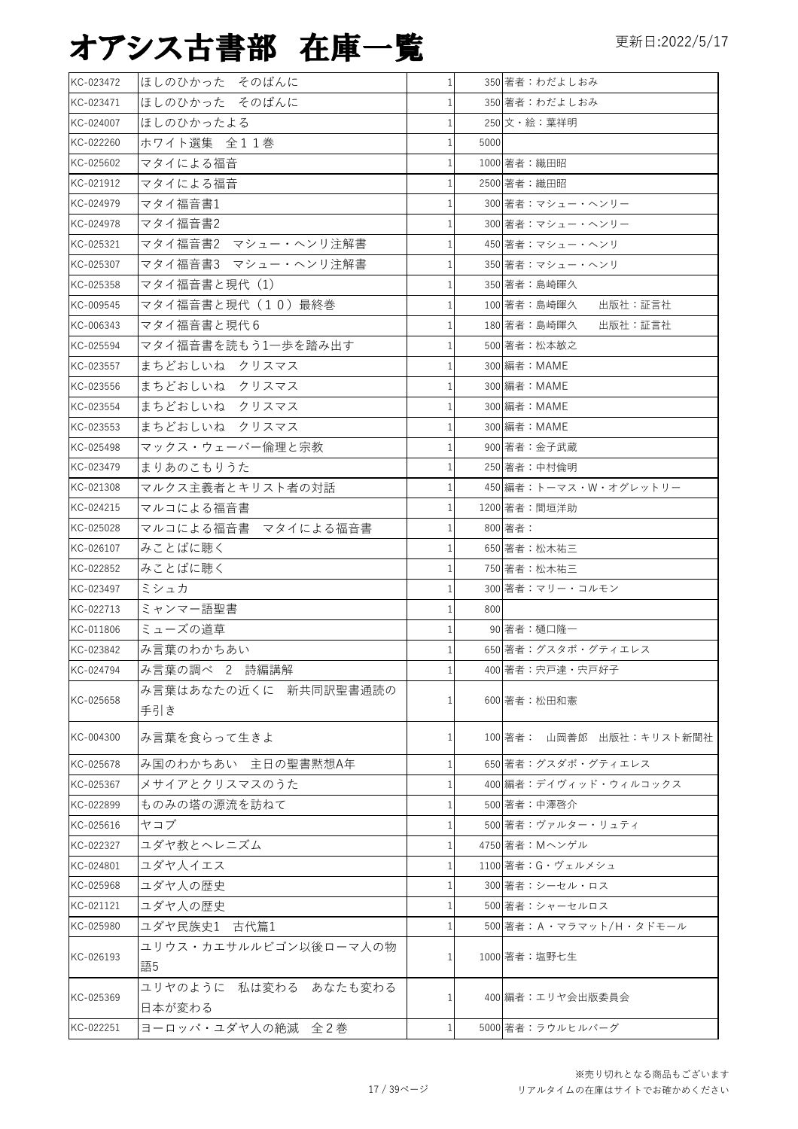| KC-023472 | ほしのひかった そのばんに                   | $\mathbf{1}$ |      | 350 著者: わだよしおみ           |
|-----------|---------------------------------|--------------|------|--------------------------|
| KC-023471 | ほしのひかった そのばんに                   |              |      | 350 著者: わだよしおみ           |
| KC-024007 | ほしのひかったよる                       |              |      | 250 文・絵:葉祥明              |
| KC-022260 | ホワイト選集 全11巻                     |              | 5000 |                          |
| KC-025602 | マタイによる福音                        |              |      | 1000 著者:織田昭              |
| KC-021912 | マタイによる福音                        |              |      | 2500 著者:織田昭              |
| KC-024979 | マタイ福音書1                         |              |      | 300 著者: マシュー・ヘンリー        |
| KC-024978 | マタイ福音書2                         |              |      | 300 著者: マシュー・ヘンリー        |
| KC-025321 | マタイ福音書2 マシュー・ヘンリ注解書             |              |      | 450 著者:マシュー・ヘンリ          |
| KC-025307 | マタイ福音書3 マシュー・ヘンリ注解書             |              |      | 350 著者: マシュー・ヘンリ         |
| KC-025358 | マタイ福音書と現代(1)                    | $1\vert$     |      | 350 著者:島崎暉久              |
| KC-009545 | マタイ福音書と現代(10)最終巻                |              |      | 100 著者:島崎暉久<br>出版社:証言社   |
| KC-006343 | マタイ福音書と現代6                      |              |      | 180 著者:島崎暉久<br>出版社:証言社   |
| KC-025594 | マタイ福音書を読もう1一歩を踏み出す              |              |      | 500 著者:松本敏之              |
| KC-023557 | まちどおしいね クリスマス                   |              |      | 300 編者: MAME             |
| KC-023556 | まちどおしいね クリスマス                   |              |      | 300 編者: MAME             |
| KC-023554 | まちどおしいね クリスマス                   |              |      | 300 編者: MAME             |
| KC-023553 | まちどおしいね クリスマス                   |              |      | 300 編者: MAME             |
| KC-025498 | マックス・ウェーバー倫理と宗教                 |              |      | 900 著者:金子武蔵              |
| KC-023479 | まりあのこもりうた                       |              |      | 250 著者:中村倫明              |
| KC-021308 | マルクス主義者とキリスト者の対話                |              |      | 450 編者:トーマス・W・オグレットリー    |
| KC-024215 | マルコによる福音書                       |              |      | 1200 著者:間垣洋助             |
| KC-025028 | マルコによる福音書 マタイによる福音書             |              |      | 800 著者:                  |
| KC-026107 | みことばに聴く                         |              |      | 650 著者:松木祐三              |
| KC-022852 | みことばに聴く                         | $1\vert$     |      | 750 著者:松木祐三              |
| KC-023497 | ミシュカ                            |              |      | 300 著者:マリー・コルモン          |
| KC-022713 | ミャンマー語聖書                        |              | 800  |                          |
| KC-011806 | ミューズの道草                         |              |      | 90 著者:樋口隆一               |
| KC-023842 | み言葉のわかちあい                       |              |      | 650 著者:グスタボ・グティエレス       |
| KC-024794 | み言葉の調べ 2 詩編講解                   | 1            |      | 400 著者:宍戸達・宍戸好子          |
| KC-025658 | み言葉はあなたの近くに 新共同訳聖書通読の<br>手引き    |              |      | 600 著者:松田和憲              |
| KC-004300 | み言葉を食らって生きよ                     | 1            |      | 100 著者: 山岡善郎 出版社:キリスト新聞社 |
| KC-025678 | み国のわかちあい 主日の聖書黙想A年              |              |      | 650 著者:グスダボ・グティエレス       |
| KC-025367 | メサイアとクリスマスのうた                   |              |      | 400 編者:デイヴィッド・ウィルコックス    |
| KC-022899 | ものみの塔の源流を訪ねて                    |              |      | 500 著者:中澤啓介              |
| KC-025616 | ヤコブ                             |              |      | 500 著者:ヴァルター・リュティ        |
| KC-022327 | ユダヤ教とヘレニズム                      |              |      | 4750 著者: Mヘンゲル           |
| KC-024801 | ユダヤ人イエス                         |              |      | 1100 著者: G・ヴェルメシュ        |
| KC-025968 | ユダヤ人の歴史                         |              |      | 300 著者:シーセル・ロス           |
| KC-021121 | ユダヤ人の歴史                         |              |      | 500 著者:シャーセルロス           |
| KC-025980 | ユダヤ民族史1 古代篇1                    |              |      | 500 著者: A ・マラマット/H・タドモール |
| KC-026193 | ユリウス・カエサルルビゴン以後ローマ人の物<br>語5     |              |      | 1000 著者:塩野七生             |
| KC-025369 | ユリヤのように 私は変わる あなたも変わる<br>日本が変わる | 1            |      | 400 編者:エリヤ会出版委員会         |
| KC-022251 | ヨーロッパ・ユダヤ人の絶滅 全2巻               | $\mathbf{1}$ |      | 5000 著者:ラウルヒルバーグ         |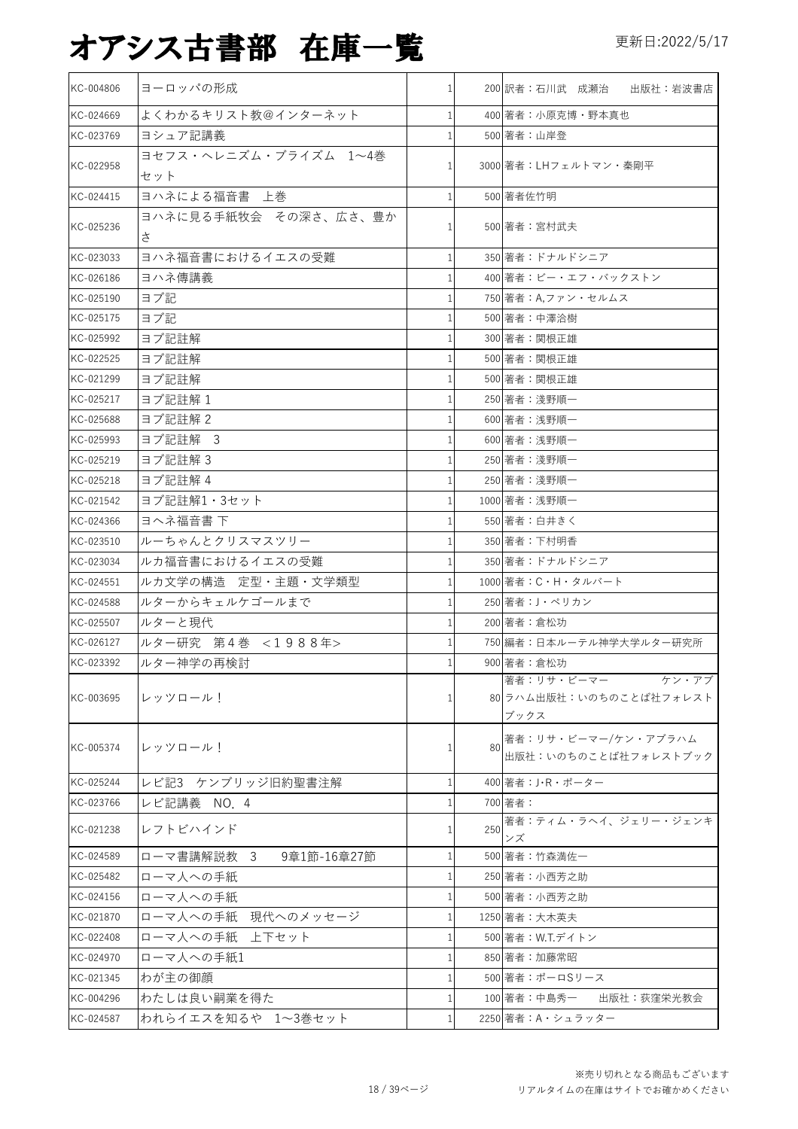| KC-004806 | ヨーロッパの形成                     | $\mathbf{1}$ |     | 200 訳者:石川武 成瀬治 出版社:岩波書店                                |
|-----------|------------------------------|--------------|-----|--------------------------------------------------------|
| KC-024669 | よくわかるキリスト教@インターネット           | 1            |     | 400 著者:小原克博·野本真也                                       |
| KC-023769 | ヨシュア記講義                      |              |     | 500 著者:山岸登                                             |
| KC-022958 | ヨセフス・ヘレニズム・ブライズム 1~4巻<br>セット |              |     | 3000 著者:LHフェルトマン・秦剛平                                   |
| KC-024415 | ヨハネによる福音書 上巻                 | 1            |     | 500 著者佐竹明                                              |
| KC-025236 | ヨハネに見る手紙牧会 その深さ、広さ、豊か<br>さ   |              |     | 500 著者:宮村武夫                                            |
| KC-023033 | ヨハネ福音書におけるイエスの受難             | $\mathbf{1}$ |     | 350 著者:ドナルドシニア                                         |
| KC-026186 | ヨハネ傳講義                       |              |     | 400 著者:ビー・エフ・バックストン                                    |
| KC-025190 | ヨブ記                          |              |     | 750 著者: A,ファン・セルムス                                     |
| KC-025175 | ヨブ記                          |              |     | 500 著者:中澤洽樹                                            |
| KC-025992 | ヨブ記註解                        |              |     | 300 著者:関根正雄                                            |
| KC-022525 | ヨブ記註解                        |              |     | 500 著者:関根正雄                                            |
| KC-021299 | ヨブ記註解                        |              |     | 500 著者:関根正雄                                            |
| KC-025217 | ヨブ記註解1                       |              |     | 250 著者:淺野順一                                            |
| KC-025688 | ヨブ記註解 2                      |              |     | 600 著者:浅野順一                                            |
| KC-025993 | ヨブ記註解 3                      | 1            |     | 600 著者:浅野順一                                            |
| KC-025219 | ヨブ記註解3                       |              |     | 250 著者:淺野順一                                            |
| KC-025218 | ヨブ記註解 4                      |              |     | 250 著者:淺野順一                                            |
| KC-021542 | ヨブ記註解1・3セット                  |              |     | 1000 著者:浅野順一                                           |
| KC-024366 | ヨヘネ福音書下                      |              |     | 550 著者:白井きく                                            |
| KC-023510 | ルーちゃんとクリスマスツリー               |              |     | 350 著者:下村明香                                            |
| KC-023034 | ルカ福音書におけるイエスの受難              |              |     | 350 著者:ドナルドシニア                                         |
| KC-024551 | ルカ文学の構造 定型・主題・文学類型           |              |     | 1000 著者: C・H・タルバート                                     |
| KC-024588 | ルターからキェルケゴールまで               |              |     | 250 著者: J・ペリカン                                         |
| KC-025507 | ルターと現代                       |              |     | 200 著者:倉松功                                             |
| KC-026127 | ルター研究 第4巻 <1988年>            |              |     | 750 編者:日本ルーテル神学大学ルター研究所                                |
| KC-023392 | ルター神学の再検討                    |              |     | 900 著者:倉松功                                             |
| KC-003695 | レッツロール!                      | 1            |     | 著者:リサ・ビーマー<br>ケン・アブ<br>80 ラハム出版社:いのちのことば社フォレスト<br>ブックス |
| KC-005374 | レッツロール!                      | 1            | 80  | 著者:リサ・ビーマー/ケン・アブラハム<br>出版社:いのちのことば社フォレストブック            |
| KC-025244 | レビ記3 ケンブリッジ旧約聖書注解            | 1            |     | 400 著者:J·R·ポーター                                        |
| KC-023766 | レビ記講義 NO. 4                  |              |     | 700 著者:                                                |
| KC-021238 | レフトビハインド                     |              | 250 | 著者:ティム・ラヘイ、ジェリー・ジェンキ<br>ンズ                             |
| KC-024589 | ローマ書講解説教 3<br>9章1節-16章27節    | 1            |     | 500 著者:竹森満佐一                                           |
| KC-025482 | ローマ人への手紙                     |              |     | 250 著者:小西芳之助                                           |
| KC-024156 | ローマ人への手紙                     |              |     | 500 著者:小西芳之助                                           |
| KC-021870 | ローマ人への手紙 現代へのメッセージ           |              |     | 1250 著者:大木英夫                                           |
| KC-022408 | ローマ人への手紙 上下セット               |              |     | 500 著者: W.T.デイトン                                       |
| KC-024970 | ローマ人への手紙1                    | -1           |     | 850 著者:加藤常昭                                            |
| KC-021345 | わが主の御顔                       |              |     | 500 著者:ポーロSリース                                         |
| KC-004296 | わたしは良い嗣業を得た                  | 1            |     | 出版社:荻窪栄光教会<br>100 著者:中島秀一                              |
| KC-024587 | われらイエスを知るや 1~3巻セット           | 1            |     | 2250 著者: A · シュラッター                                    |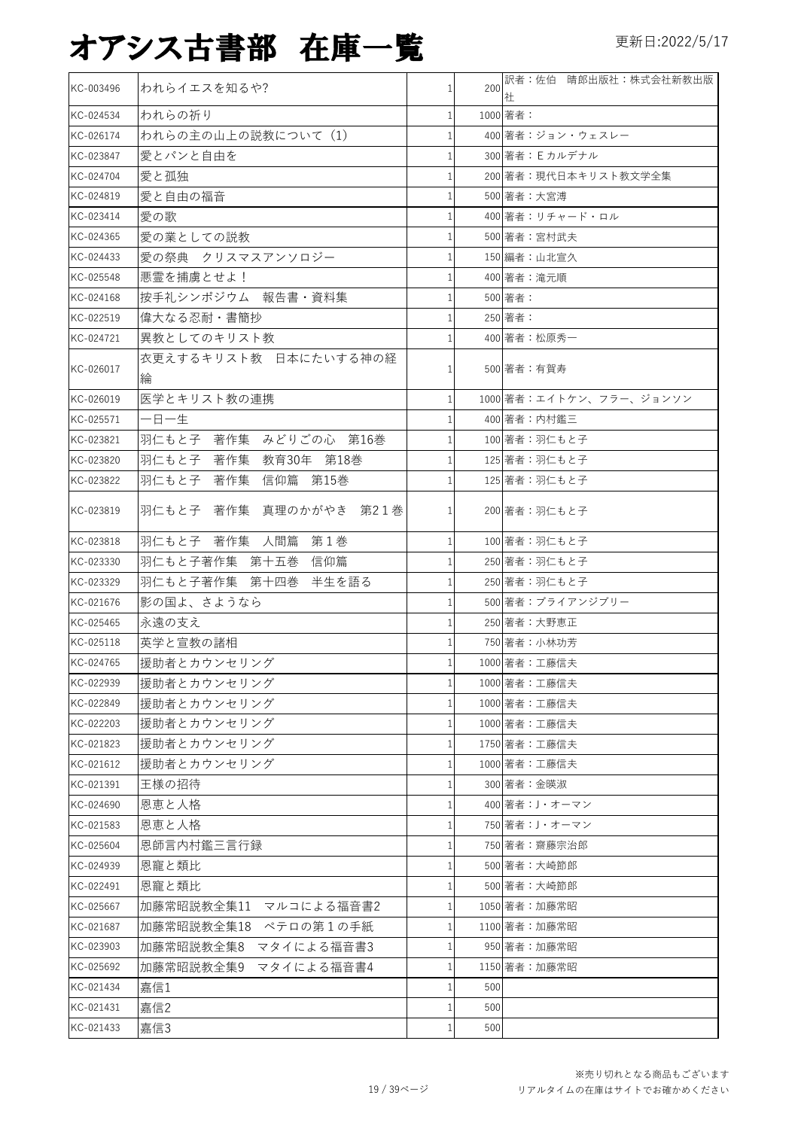| KC-003496 | われらイエスを知るや?                 | $\mathbf{1}$ | 200 | 訳者:佐伯 晴郎出版社:株式会社新教出版<br>社 |
|-----------|-----------------------------|--------------|-----|---------------------------|
| KC-024534 | われらの祈り                      | 1            |     | 1000 著者:                  |
| KC-026174 | われらの主の山上の説教について (1)         |              |     | 400 著者:ジョン・ウェスレー          |
| KC-023847 | 愛とパンと自由を                    | 1            |     | 300 著者: E カルデナル           |
| KC-024704 | 愛と孤独                        | 1            |     | 200 著者:現代日本キリスト教文学全集      |
| KC-024819 | 愛と自由の福音                     |              |     | 500 著者:大宮溥                |
| KC-023414 | 愛の歌                         |              |     | 400 著者:リチャード・ロル           |
| KC-024365 | 愛の業としての説教                   | 1            |     | 500 著者:宮村武夫               |
| KC-024433 | 愛の祭典 クリスマスアンソロジー            | $\mathbf{1}$ |     | 150 編者:山北宣久               |
| KC-025548 | 悪霊を捕虜とせよ!                   |              |     | 400 著者:滝元順                |
| KC-024168 | 按手礼シンポジウム 報告書・資料集           |              |     | 500 著者:                   |
| KC-022519 | 偉大なる忍耐・書簡抄                  |              |     | 250 著者:                   |
| KC-024721 | 異教としてのキリスト教                 | 1            |     | 400 著者:松原秀一               |
| KC-026017 | 衣更えするキリスト教 日本にたいする神の経<br>綸  | 1            |     | 500 著者:有賀寿                |
| KC-026019 | 医学とキリスト教の連携                 | $\mathbf{1}$ |     | 1000 著者:エイトケン、フラー、ジョンソン   |
| KC-025571 | 一日一生                        |              |     | 400 著者:内村鑑三               |
| KC-023821 | 羽仁もと子 著作集 みどりごの心 第16巻       | 1            |     | 100 著者:羽仁もと子              |
| KC-023820 | 羽仁もと子 著作集 教育30年 第18巻        | 1            |     | 125 著者:羽仁もと子              |
| KC-023822 | 羽仁もと子<br>著作集<br>信仰篇<br>第15巻 | 1            |     | 125 著者:羽仁もと子              |
| KC-023819 | 羽仁もと子 著作集 真理のかがやき 第21巻      | 1            |     | 200 著者:羽仁もと子              |
| KC-023818 | 羽仁もと子 著作集 人間篇 第1巻           | 1            |     | 100 著者:羽仁もと子              |
| KC-023330 | 羽仁もと子著作集 第十五巻<br>信仰篇        | 1            |     | 250 著者:羽仁もと子              |
| KC-023329 | 羽仁もと子著作集 第十四巻 半生を語る         | 1            |     | 250 著者:羽仁もと子              |
| KC-021676 | 影の国よ、さようなら                  | 1            |     | 500 著者:ブライアンジブリー          |
| KC-025465 | 永遠の支え                       | 1            |     | 250 著者:大野恵正               |
| KC-025118 | 英学と宣教の諸相                    |              |     | 750 著者:小林功芳               |
| KC-024765 | 援助者とカウンセリング                 | 1            |     | 1000 著者:工藤信夫              |
| KC-022939 | 援助者とカウンセリング                 | $1\vert$     |     | 1000 著者:工藤信夫              |
| KC-022849 | 援助者とカウンセリング                 |              |     | 1000 著者:工藤信夫              |
| KC-022203 | 援助者とカウンセリング                 | 1            |     | 1000 著者:工藤信夫              |
| KC-021823 | 援助者とカウンセリング                 | 1            |     | 1750 著者:工藤信夫              |
| KC-021612 | 援助者とカウンセリング                 | $\mathbf{1}$ |     | 1000 著者:工藤信夫              |
| KC-021391 | 王様の招待                       |              |     | 300 著者:金暎淑                |
| KC-024690 | 恩恵と人格                       |              |     | 400 著者:J・オーマン             |
| KC-021583 | 恩恵と人格                       |              |     | 750 著者: J・オーマン            |
| KC-025604 | 恩師言内村鑑三言行録                  | 1            |     | 750 著者:齋藤宗治郎              |
| KC-024939 | 恩寵と類比                       |              |     | 500 著者:大崎節郎               |
| KC-022491 | 恩寵と類比                       | 1            |     | 500 著者:大崎節郎               |
| KC-025667 | 加藤常昭説教全集11 マルコによる福音書2       | 1            |     | 1050 著者:加藤常昭              |
| KC-021687 | 加藤常昭説教全集18 ペテロの第1の手紙        | 1            |     | 1100 著者:加藤常昭              |
| KC-023903 | 加藤常昭説教全集8 マタイによる福音書3        | 1            |     | 950 著者:加藤常昭               |
| KC-025692 | 加藤常昭説教全集9 マタイによる福音書4        | 1            |     | 1150 著者:加藤常昭              |
| KC-021434 | 嘉信1                         |              | 500 |                           |
| KC-021431 | 嘉信2                         |              | 500 |                           |
| KC-021433 | 嘉信3                         | 1            | 500 |                           |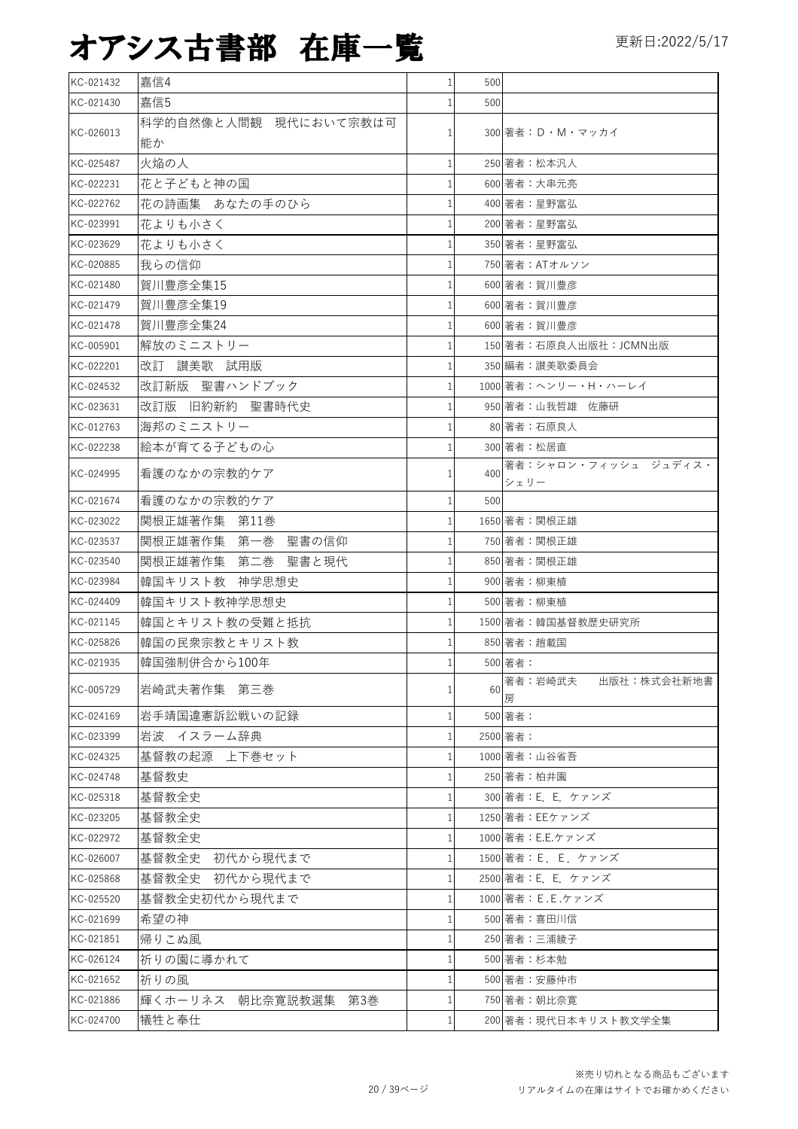| KC-021432 | 嘉信4                   | $\mathbf{1}$   | 500 |                              |
|-----------|-----------------------|----------------|-----|------------------------------|
| KC-021430 | 嘉信5                   | 1              | 500 |                              |
|           | 科学的自然像と人間観 現代において宗教は可 |                |     |                              |
| KC-026013 | 能か                    | $\mathbf{1}$   |     | 300 著者:D・M・マッカイ              |
| KC-025487 | 火焔の人                  | $\mathbf{1}$   |     | 250 著者:松本汎人                  |
| KC-022231 | 花と子どもと神の国             |                |     | 600 著者:大串元亮                  |
| KC-022762 | 花の詩画集 あなたの手のひら        | $\mathbf{1}$   |     | 400 著者:星野富弘                  |
| KC-023991 | 花よりも小さく               | 1              |     | 200 著者:星野富弘                  |
| KC-023629 | 花よりも小さく               | $\mathbf{1}$   |     | 350 著者:星野富弘                  |
| KC-020885 | 我らの信仰                 | 1              |     | 750 著者: ATオルソン               |
| KC-021480 | 賀川豊彦全集15              | $\mathbf{1}$   |     | 600 著者:賀川豊彦                  |
| KC-021479 | 賀川豊彦全集19              | 1              |     | 600 著者:賀川豊彦                  |
| KC-021478 | 賀川豊彦全集24              | $\mathbf{1}$   |     | 600 著者:賀川豊彦                  |
| KC-005901 | 解放のミニストリー             |                |     | 150 著者:石原良人出版社:JCMN出版        |
| KC-022201 | 改訂 讃美歌 試用版            |                |     | 350 編者:讃美歌委員会                |
| KC-024532 | 改訂新版 聖書ハンドブック         |                |     | 1000 著者:ヘンリー・H・ハーレイ          |
| KC-023631 | 改訂版 旧約新約 聖書時代史        |                |     | 950 著者:山我哲雄 佐藤研              |
| KC-012763 | 海邦のミニストリー             |                |     | 80 著者:石原良人                   |
| KC-022238 | 絵本が育てる子どもの心           |                |     | 300 著者:松居直                   |
| KC-024995 | 看護のなかの宗教的ケア           | $\mathbf{1}$   | 400 | 著者:シャロン・フィッシュ ジュディス・<br>シェリー |
| KC-021674 | 看護のなかの宗教的ケア           | 1              | 500 |                              |
| KC-023022 | 関根正雄著作集 第11巻          |                |     | 1650 著者:関根正雄                 |
| KC-023537 | 関根正雄著作集 第一巻 聖書の信仰     |                |     | 750 著者:関根正雄                  |
| KC-023540 | 関根正雄著作集 第二巻 聖書と現代     |                |     | 850 著者:関根正雄                  |
| KC-023984 | 韓国キリスト教 神学思想史         |                |     | 900 著者:柳東植                   |
| KC-024409 | 韓国キリスト教神学思想史          | 1              |     | 500 著者:柳東植                   |
| KC-021145 | 韓国とキリスト教の受難と抵抗        | 1 <sup>1</sup> |     | 1500 著者:韓国基督教歴史研究所           |
| KC-025826 | 韓国の民衆宗教とキリスト教         | $\mathbf{1}$   |     | 850 著者:趙載国                   |
| KC-021935 | 韓国強制併合から100年          | 1 <sup>1</sup> |     | 500 著者:                      |
| KC-005729 | 岩崎武夫著作集 第三巻           | 1              | 60  | 著者:岩崎武夫<br>出版社:株式会社新地書<br>房  |
| KC-024169 | 岩手靖国違憲訴訟戦いの記録         |                |     | 500 著者:                      |
| KC-023399 | 岩波 イスラーム辞典            |                |     | 2500 著者:                     |
| KC-024325 | 基督教の起源 上下巻セット         |                |     | 1000 著者:山谷省吾                 |
| KC-024748 | 基督教史                  | 1              |     | 250 著者:柏井園                   |
| KC-025318 | 基督教全史                 |                |     | 300 著者: E. E. ケァンズ           |
| KC-023205 | 基督教全史                 | 1              |     | 1250 著者: EEケァンズ              |
| KC-022972 | 基督教全史                 | 1              |     | 1000 著者: E.E.ケァンズ            |
| KC-026007 | 基督教全史 初代から現代まで        | 1              |     | 1500 著者:E. E. ケァンズ           |
| KC-025868 | 基督教全史 初代から現代まで        |                |     | 2500 著者: E. E. ケァンズ          |
| KC-025520 | 基督教全史初代から現代まで         | 1              |     | 1000 著者: E.E.ケァンズ            |
| KC-021699 | 希望の神                  |                |     | 500 著者:喜田川信                  |
| KC-021851 | 帰りこぬ風                 | 1              |     | 250 著者:三浦綾子                  |
| KC-026124 | 祈りの園に導かれて             | 1              |     | 500 著者:杉本勉                   |
| KC-021652 | 祈りの風                  | 1              |     | 500 著者:安藤仲市                  |
| KC-021886 | 輝くホーリネス 朝比奈寛説教選集 第3巻  | $\mathbf{1}$   |     | 750 著者:朝比奈寬                  |
| KC-024700 | 犠牲と奉仕                 | 1              |     | 200 著者:現代日本キリスト教文学全集         |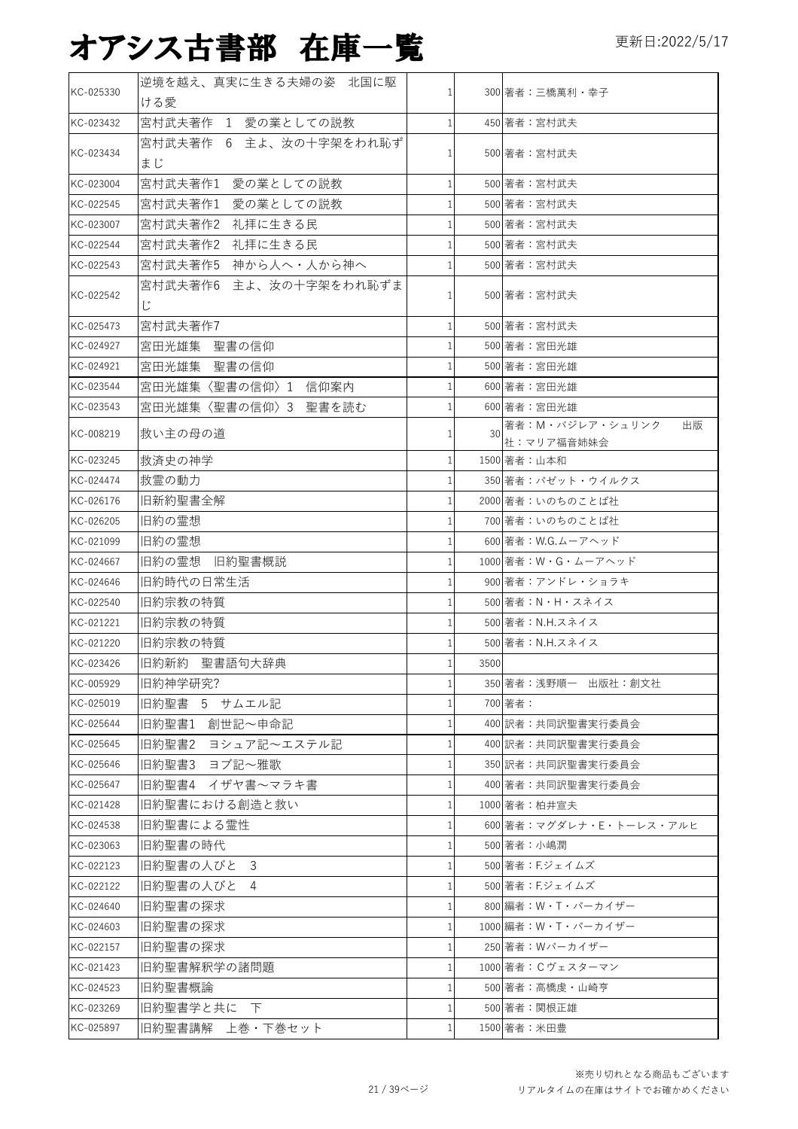| KC-025330 | 逆境を越え、真実に生きる夫婦の姿 北国に駆        |          |      |                                     |
|-----------|------------------------------|----------|------|-------------------------------------|
|           | ける愛                          |          |      | 300 著者:三橋萬利・幸子                      |
| KC-023432 | 宮村武夫著作 1 愛の業としての説教           |          |      | 450 著者:宮村武夫                         |
| KC-023434 | 宮村武夫著作 6 主よ、汝の十字架をわれ恥ず<br>まじ |          |      | 500 著者:宮村武夫                         |
| KC-023004 | 宮村武夫著作1 愛の業としての説教            |          |      | 500 著者:宮村武夫                         |
| KC-022545 | 愛の業としての説教<br>宮村武夫著作1         |          |      | 500 著者:宮村武夫                         |
| KC-023007 | 宮村武夫著作2 礼拝に生きる民              |          |      | 500 著者:宮村武夫                         |
| KC-022544 | 宮村武夫著作2 礼拝に生きる民              |          |      | 500 著者:宮村武夫                         |
| KC-022543 | 宮村武夫著作5 神から人へ・人から神へ          |          |      | 500 著者:宮村武夫                         |
| KC-022542 | 宮村武夫著作6 主よ、汝の十字架をわれ恥ずま<br>Ľ  | 1        |      | 500 著者:宮村武夫                         |
| KC-025473 | 宮村武夫著作7                      |          |      | 500 著者:宮村武夫                         |
| KC-024927 | 宮田光雄集 聖書の信仰                  |          |      | 500 著者:宮田光雄                         |
| KC-024921 | 宮田光雄集 聖書の信仰                  |          |      | 500 著者:宮田光雄                         |
| KC-023544 | 宮田光雄集〈聖書の信仰〉1 信仰案内           |          |      | 600 著者:宮田光雄                         |
| KC-023543 | 宮田光雄集〈聖書の信仰〉3 聖書を読む          |          |      | 600 著者:宮田光雄                         |
| KC-008219 | 救い主の母の道                      |          | 30   | 著者:M・バジレア・シュリンク<br>出版<br>社:マリア福音姉妹会 |
| KC-023245 | 救済史の神学                       |          |      | 1500 著者: 山本和                        |
| KC-024474 | 救霊の動力                        |          |      | 350 著者:パゼット・ウイルクス                   |
| KC-026176 | 旧新約聖書全解                      |          |      | 2000 著者:いのちのことば社                    |
| KC-026205 | 旧約の霊想                        |          |      | 700 著者:いのちのことば社                     |
| KC-021099 | 旧約の霊想                        |          |      | 600 著者: W.G.ムーアヘッド                  |
| KC-024667 | 旧約の霊想<br>旧約聖書概説              |          |      | 1000 著者: W · G · ムーアヘッド             |
| KC-024646 | 旧約時代の日常生活                    |          |      | 900 著者:アンドレ・ショラキ                    |
| KC-022540 | 旧約宗教の特質                      |          |      | 500 著者:N・H・スネイス                     |
| KC-021221 | 旧約宗教の特質                      |          |      | 500 著者: N.H.スネイス                    |
| KC-021220 | 旧約宗教の特質                      |          |      | 500 著者: N.H.スネイス                    |
| KC-023426 | 旧約新約 聖書語句大辞典                 | 1        | 3500 |                                     |
| KC-005929 | 旧約神学研究?                      | 1        |      | 350 著者:浅野順一 出版社:創文社                 |
| KC-025019 | 旧約聖書 5 サムエル記                 |          |      | 700 著者:                             |
| KC-025644 | 旧約聖書1 創世記~申命記                |          |      | 400 訳者:共同訳聖書実行委員会                   |
| KC-025645 | 旧約聖書2 ヨシュア記~エステル記            | 1        |      | 400 訳者:共同訳聖書実行委員会                   |
| KC-025646 | 旧約聖書3 ヨブ記~雅歌                 |          |      | 350 訳者:共同訳聖書実行委員会                   |
| KC-025647 | 旧約聖書4 イザヤ書~マラキ書              | 1        |      | 400 著者:共同訳聖書実行委員会                   |
| KC-021428 | 旧約聖書における創造と救い                | 1        |      | 1000 著者:柏井宣夫                        |
| KC-024538 | 旧約聖書による霊性                    | 1        |      | 600 著者: マグダレナ・E・トーレス・アルヒ            |
| KC-023063 | 旧約聖書の時代                      |          |      | 500 著者:小嶋潤                          |
| KC-022123 | 旧約聖書の人びと<br>3                | 1        |      | 500 著者: F.ジェイムズ                     |
| KC-022122 | 旧約聖書の人びと<br>4                | 1        |      | 500 著者:F.ジェイムズ                      |
| KC-024640 | 旧約聖書の探求                      | $1\vert$ |      | 800 編者: W・T・パーカイザー                  |
| KC-024603 | 旧約聖書の探求                      |          |      | 1000 編者: W・T・パーカイザー                 |
| KC-022157 | 旧約聖書の探求                      |          |      | 250 著者:Wパーカイザー                      |
| KC-021423 | 旧約聖書解釈学の諸問題                  |          |      | 1000 著者: Cヴェスターマン                   |
| KC-024523 | 旧約聖書概論                       |          |      | 500 著者:高橋虔・山崎亨                      |
| KC-023269 | 旧約聖書学と共に 下                   |          |      | 500 著者:関根正雄                         |
| KC-025897 | 旧約聖書講解 上巻・下巻セット              |          |      | 1500 著者: 米田豊                        |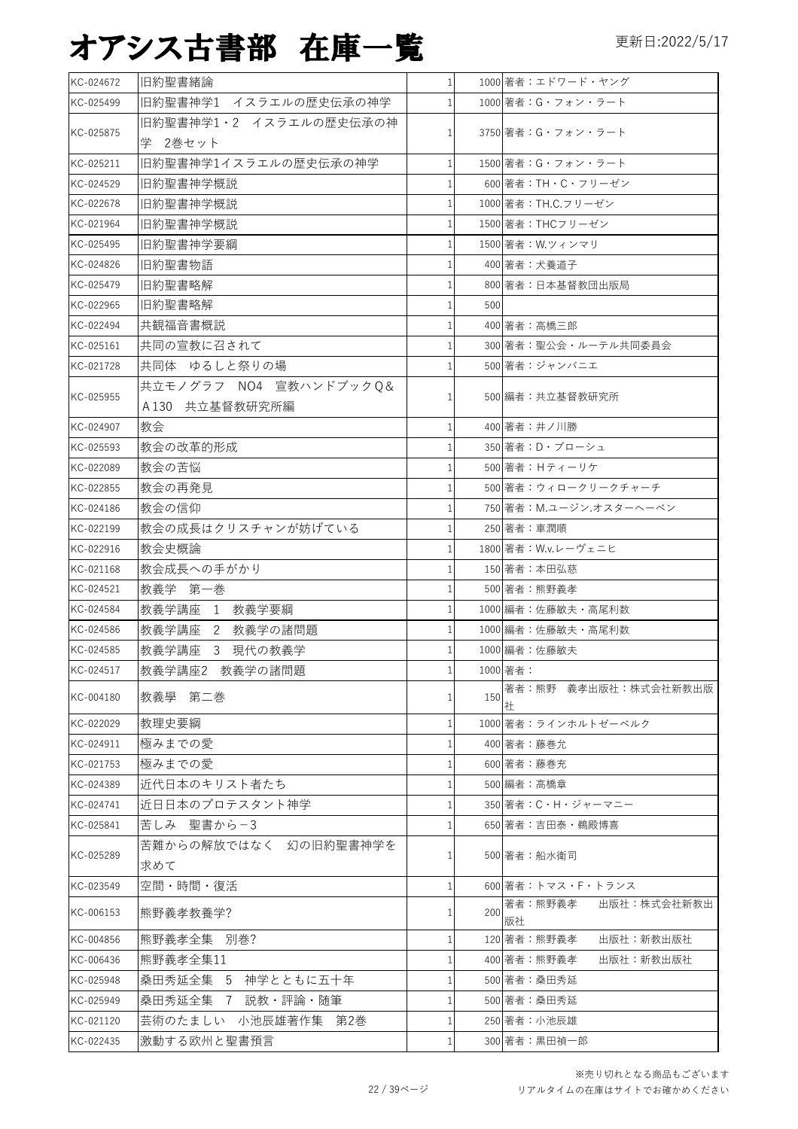| KC-024672 | 旧約聖書緒論                 | $1\vert$       |     | 1000 著者:エドワード・ヤング            |
|-----------|------------------------|----------------|-----|------------------------------|
| KC-025499 | 旧約聖書神学1 イスラエルの歴史伝承の神学  | $\mathbf{1}$   |     | 1000 著者: G・フォン・ラート           |
|           | 旧約聖書神学1・2 イスラエルの歴史伝承の神 |                |     |                              |
| KC-025875 | 学 2巻セット                | 1              |     | 3750 著者: G・フォン・ラート           |
| KC-025211 | 旧約聖書神学1イスラエルの歴史伝承の神学   | 1 <sup>1</sup> |     | 1500 著者: G・フォン・ラート           |
| KC-024529 | 旧約聖書神学概説               | $\mathbf{1}$   |     | 600 著者: TH · C · フリーゼン       |
| KC-022678 | 旧約聖書神学概説               | $\mathbf{1}$   |     | 1000 著者: TH.C.フリーゼン          |
| KC-021964 | 旧約聖書神学概説               | 1              |     | 1500 著者: THCフリーゼン            |
| KC-025495 | 旧約聖書神学要綱               | $\mathbf{1}$   |     | 1500 著者: W.ツィンマリ             |
| KC-024826 | 旧約聖書物語                 | 1              |     | 400 著者:犬養道子                  |
| KC-025479 | 旧約聖書略解                 | 1              |     | 800 著者:日本基督教団出版局             |
| KC-022965 | 旧約聖書略解                 | 1              | 500 |                              |
| KC-022494 | 共観福音書概説                | 1              |     | 400 著者:高橋三郎                  |
| KC-025161 | 共同の宣教に召されて             | $\mathbf{1}$   |     | 300 著者:聖公会・ルーテル共同委員会         |
| KC-021728 | 共同体 ゆるしと祭りの場           | 1              |     | 500 著者:ジャンバニエ                |
|           | 共立モノグラフ NO4 宣教ハンドブックQ& |                |     |                              |
| KC-025955 | A130 共立基督教研究所編         | $\mathbf{1}$   |     | 500 編者:共立基督教研究所              |
| KC-024907 | 教会                     | 1              |     | 400 著者:井ノ川勝                  |
| KC-025593 | 教会の改革的形成               | 1              |     | 350 著者: D·ブローシュ              |
| KC-022089 | 教会の苦悩                  | 1              |     | 500 著者: Hティーリケ               |
| KC-022855 | 教会の再発見                 | 1              |     | 500 著者:ウィロークリークチャーチ          |
| KC-024186 | 教会の信仰                  | $\mathbf{1}$   |     | 750 著者: M.ユージン.オスターヘーベン      |
| KC-022199 | 教会の成長はクリスチャンが妨げている     | $\mathbf{1}$   |     | 250 著者:車潤順                   |
| KC-022916 | 教会史概論                  | 1              |     | 1800 著者: W.v.レーヴェニヒ          |
| KC-021168 | 教会成長への手がかり             | $\mathbf{1}$   |     | 150 著者:本田弘慈                  |
| KC-024521 | 教義学 第一巻                | $\mathbf{1}$   |     | 500 著者:熊野義孝                  |
| KC-024584 | 教義学講座 1 教義学要綱          | 1              |     | 1000 編者:佐藤敏夫・高尾利数            |
| KC-024586 | 教義学講座 2 教義学の諸問題        | $\mathbf{1}$   |     | 1000 編者: 佐藤敏夫·高尾利数           |
| KC-024585 | 教義学講座<br>3 現代の教義学      | $\mathbf{1}$   |     | 1000 編者:佐藤敏夫                 |
| KC-024517 | 教義学講座2 教義学の諸問題         |                |     | 1000 著者:                     |
|           |                        |                |     | 著者:熊野 義孝出版社:株式会社新教出版         |
| KC-004180 | 教義學 第二巻                | 1              | 150 | 社                            |
| KC-022029 | 教理史要綱                  | $\mathbf{1}$   |     | 1000 著者:ラインホルトゼーベルク          |
| KC-024911 | 極みまでの愛                 | 1              |     | 400 著者:藤巻允                   |
| KC-021753 | 極みまでの愛                 | 1              |     | 600 著者:藤巻充                   |
| KC-024389 | 近代日本のキリスト者たち           | 1              |     | 500 編者:高橋章                   |
| KC-024741 | 近日日本のプロテスタント神学         | 1              |     | 350 著者:C・H・ジャーマニー            |
| KC-025841 | 苦しみ 聖書から-3             | 1              |     | 650 著者:吉田泰・鵜殿博喜              |
| KC-025289 | 苦難からの解放ではなく 幻の旧約聖書神学を  | 1              |     | 500 著者:船水衛司                  |
|           | 求めて                    |                |     |                              |
| KC-023549 | 空間・時間・復活               | $\mathbf{1}$   |     | 600 著者:トマス・F・トランス            |
| KC-006153 | 熊野義孝教養学?               | 1              | 200 | 著者:熊野義孝<br>出版社:株式会社新教出<br>版社 |
| KC-004856 | 熊野義孝全集  別巻?            | 1              |     | 出版社:新教出版社<br>120 著者:熊野義孝     |
| KC-006436 | 熊野義孝全集11               | 1              |     | 400 著者:熊野義孝<br>出版社:新教出版社     |
| KC-025948 | 桑田秀延全集 5 神学とともに五十年     | 1              |     | 500 著者:桑田秀延                  |
| KC-025949 | 桑田秀延全集 7 説教・評論・随筆      | 1              |     | 500 著者:桑田秀延                  |
| KC-021120 | 芸術のたましい 小池辰雄著作集 第2巻    | 1              |     | 250 著者:小池辰雄                  |
| KC-022435 | 激動する欧州と聖書預言            | 1              |     | 300 著者:黒田禎一郎                 |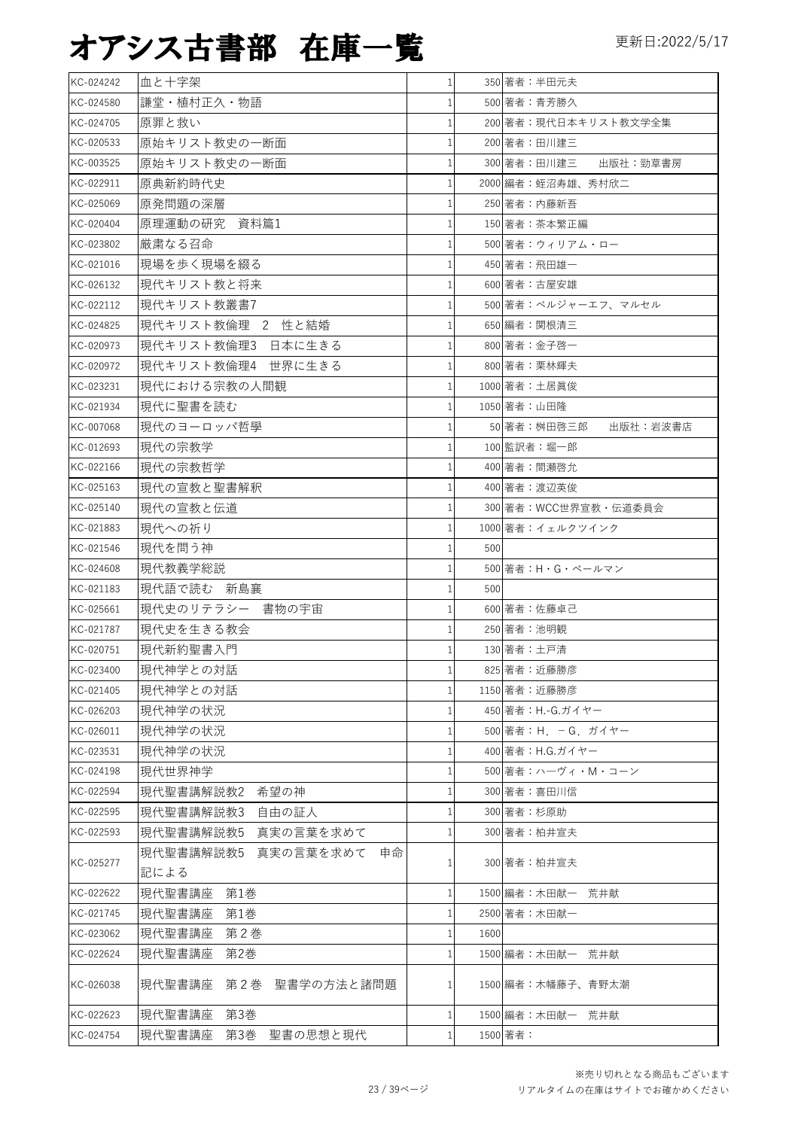| KC-024242 | 血と十字架                     | $\mathbf{1}$ |      | 350 著者:半田元夫             |
|-----------|---------------------------|--------------|------|-------------------------|
| KC-024580 | 謙堂・植村正久・物語                |              |      | 500 著者:青芳勝久             |
| KC-024705 | 原罪と救い                     |              |      | 200 著者:現代日本キリスト教文学全集    |
| KC-020533 | 原始キリスト教史の一断面              |              |      | 200 著者:田川建三             |
| KC-003525 | 原始キリスト教史の一断面              |              |      | 300 著者:田川建三<br>出版社:勁草書房 |
| KC-022911 | 原典新約時代史                   |              |      | 2000 編者:蛭沼寿雄、秀村欣二       |
| KC-025069 | 原発問題の深層                   | 1            |      | 250 著者: 内藤新吾            |
| KC-020404 | 原理運動の研究 資料篇1              | $\mathbf{1}$ |      | 150 著者:茶本繁正編            |
| KC-023802 | 厳粛なる召命                    | 1            |      | 500 著者:ウィリアム・ロー         |
| KC-021016 | 現場を歩く現場を綴る                | 1            |      | 450 著者: 飛田雄一            |
| KC-026132 | 現代キリスト教と将来                | $\mathbf{1}$ |      | 600 著者:古屋安雄             |
| KC-022112 | 現代キリスト教叢書7                |              |      | 500 著者:ベルジャーエフ、マルセル     |
| KC-024825 | 現代キリスト教倫理 2 性と結婚          |              |      | 650 編者:関根清三             |
| KC-020973 | 現代キリスト教倫理3 日本に生きる         | 1            |      | 800 著者:金子啓一             |
| KC-020972 | 現代キリスト教倫理4 世界に生きる         | 1            |      | 800 著者:栗林輝夫             |
| KC-023231 | 現代における宗教の人間観              | $\mathbf{1}$ |      | 1000 著者:土居眞俊            |
| KC-021934 | 現代に聖書を読む                  | $\mathbf{1}$ |      | 1050 著者:山田隆             |
| KC-007068 | 現代のヨーロッパ哲學                | $\mathbf{1}$ |      | 50 著者:桝田啓三郎<br>出版社:岩波書店 |
| KC-012693 | 現代の宗教学                    | $\mathbf{1}$ |      | 100 監訳者:堀一郎             |
| KC-022166 | 現代の宗教哲学                   | 1            |      | 400 著者:間瀬啓允             |
| KC-025163 | 現代の宣教と聖書解釈                |              |      | 400 著者:渡辺英俊             |
| KC-025140 | 現代の宣教と伝道                  | 1            |      | 300 著者:WCC世界宣教·伝道委員会    |
| KC-021883 | 現代への祈り                    | $\mathbf{1}$ |      | 1000 著者: イェルクツインク       |
| KC-021546 | 現代を問う神                    |              | 500  |                         |
| KC-024608 | 現代教義学総説                   |              |      | 500 著者: H · G · ペールマン   |
| KC-021183 | 現代語で読む 新島襄                | 1            | 500  |                         |
| KC-025661 | 現代史のリテラシー 書物の宇宙           | 1            |      | 600 著者:佐藤卓己             |
| KC-021787 | 現代史を生きる教会                 |              |      | 250 著者:池明観              |
| KC-020751 | 現代新約聖書入門                  |              |      | 130 著者:土戸清              |
| KC-023400 | 現代神学との対話                  | $\mathbf{1}$ |      | 825 著者:近藤勝彦             |
| KC-021405 | 現代神学との対話                  |              |      | 1150 著者:近藤勝彦            |
| KC-026203 | 現代神学の状況                   |              |      | 450 著者: H.-G.ガイヤー       |
| KC-026011 | 現代神学の状況                   |              |      | 500 著者: H. - G. ガイヤー    |
| KC-023531 | 現代神学の状況                   | 1            |      | 400 著者: H.G.ガイヤー        |
| KC-024198 | 現代世界神学                    |              |      | 500 著者:ハーヴィ・M・コーン       |
| KC-022594 | 現代聖書講解説教2<br>希望の神         |              |      | 300 著者:喜田川信             |
| KC-022595 | 現代聖書講解説教3<br>自由の証人        |              |      | 300 著者:杉原助              |
| KC-022593 | 現代聖書講解説教5 真実の言葉を求めて       |              |      | 300 著者:柏井宣夫             |
|           | 現代聖書講解説教5 真実の言葉を求めて<br>申命 |              |      |                         |
| KC-025277 | 記による                      |              |      | 300 著者:柏井宣夫             |
| KC-022622 | 第1巻<br>現代聖書講座             | $\mathbf{1}$ |      | 1500 編者:木田献一 荒井献        |
| KC-021745 | 現代聖書講座<br>第1巻             |              |      | 2500 著者:木田献一            |
| KC-023062 | 現代聖書講座<br>第2巻             | 1            | 1600 |                         |
| KC-022624 | 第2巻<br>現代聖書講座             | $\mathbf{1}$ |      | 1500 編者:木田献一 荒井献        |
| KC-026038 | 現代聖書講座 第2巻 聖書学の方法と諸問題     | 1            |      | 1500 編者:木幡藤子、青野太潮       |
| KC-022623 | 現代聖書講座<br>第3巻             | $\mathbf{1}$ |      | 1500 編者:木田献一 荒井献        |
| KC-024754 | 現代聖書講座 第3巻 聖書の思想と現代       |              |      | 1500 著者:                |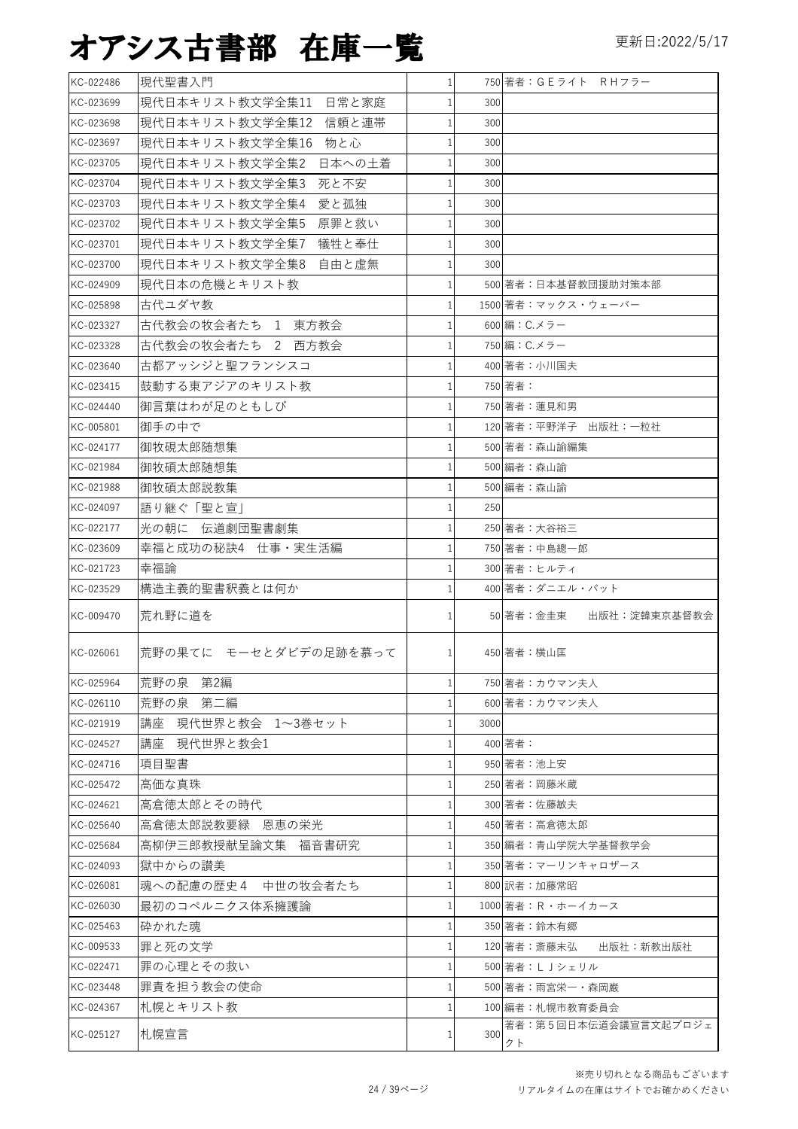| KC-022486 | 現代聖書入門                   | $\mathbf{1}$ |      | 750 著者:GEライト RHフラー         |
|-----------|--------------------------|--------------|------|----------------------------|
| KC-023699 | 現代日本キリスト教文学全集11 日常と家庭    | $\mathbf{1}$ | 300  |                            |
| KC-023698 | 現代日本キリスト教文学全集12 信頼と連帯    | $\mathbf{1}$ | 300  |                            |
| KC-023697 | 現代日本キリスト教文学全集16 物と心      | $\mathbf{1}$ | 300  |                            |
| KC-023705 | 現代日本キリスト教文学全集2<br>日本への土着 | $\mathbf{1}$ | 300  |                            |
| KC-023704 | 現代日本キリスト教文学全集3 <br>死と不安  | $\mathbf{1}$ | 300  |                            |
| KC-023703 | 愛と孤独<br>現代日本キリスト教文学全集4   | $\mathbf{1}$ | 300  |                            |
| KC-023702 | 現代日本キリスト教文学全集5 原罪と救い     | $\mathbf{1}$ | 300  |                            |
| KC-023701 | 現代日本キリスト教文学全集7 犠牲と奉仕     | $\mathbf{1}$ | 300  |                            |
| KC-023700 | 現代日本キリスト教文学全集8 自由と虚無     | $\mathbf{1}$ | 300  |                            |
| KC-024909 | 現代日本の危機とキリスト教            | $\mathbf{1}$ |      | 500 著者:日本基督教団援助対策本部        |
| KC-025898 | 古代ユダヤ教                   | $\mathbf{1}$ |      | 1500 著者:マックス・ウェーバー         |
| KC-023327 | 古代教会の牧会者たち 1 東方教会        | 1            |      | 600 編: C.メラー               |
| KC-023328 | 古代教会の牧会者たち 2 西方教会        | $\mathbf{1}$ |      | 750 編: C.メラー               |
| KC-023640 | 古都アッシジと聖フランシスコ           | 1            |      | 400 著者:小川国夫                |
| KC-023415 | 鼓動する東アジアのキリスト教           | $\mathbf{1}$ |      | 750 著者:                    |
| KC-024440 | 御言葉はわが足のともしび             | $\mathbf{1}$ |      | 750 著者:蓮見和男                |
| KC-005801 | 御手の中で                    | $\mathbf{1}$ |      | 120 著者:平野洋子 出版社:一粒社        |
| KC-024177 | 御牧硯太郎随想集                 | $\mathbf{1}$ |      | 500 著者:森山諭編集               |
| KC-021984 | 御牧碩太郎随想集                 | $\mathbf{1}$ |      | 500 編者:森山諭                 |
| KC-021988 | 御牧碩太郎説教集                 | $\mathbf{1}$ |      | 500 編者:森山諭                 |
| KC-024097 | 語り継ぐ「聖と宣                 | $\mathbf{1}$ | 250  |                            |
| KC-022177 | 光の朝に 伝道劇団聖書劇集            | $\mathbf{1}$ |      | 250 著者:大谷裕三                |
| KC-023609 | 幸福と成功の秘訣4 仕事・実生活編        | $\mathbf{1}$ |      | 750 著者:中島總一郎               |
| KC-021723 | 幸福論                      | $\mathbf{1}$ |      | 300 著者:ヒルティ                |
| KC-023529 | 構造主義的聖書釈義とは何か            | 1            |      | 400 著者:ダニエル・パット            |
| KC-009470 | 荒れ野に道を                   | 1            |      | 50 著者:金圭東<br>出版社:淀韓東京基督教会  |
| KC-026061 | 荒野の果てに モーセとダビデの足跡を慕って    | $\mathbf{1}$ |      | 450 著者:横山匡                 |
| KC-025964 | 荒野の泉 第2編                 | 1            |      | 750 著者:カウマン夫人              |
| KC-026110 | 荒野の泉 第二編                 | 1            |      | 600 著者:カウマン夫人              |
| KC-021919 | 講座 現代世界と教会 1~3巻セット       | $\mathbf{1}$ | 3000 |                            |
| KC-024527 | 講座 現代世界と教会1              |              |      | 400 著者:                    |
| KC-024716 | 項目聖書                     | 1            |      | 950 著者:池上安                 |
| KC-025472 | 高価な真珠                    |              |      | 250 著者:岡藤米蔵                |
| KC-024621 | 高倉徳太郎とその時代               | $\mathbf{1}$ |      | 300 著者:佐藤敏夫                |
| KC-025640 | 高倉徳太郎説教要緑 恩恵の栄光          |              |      | 450 著者:高倉徳太郎               |
| KC-025684 | 高柳伊三郎教授献呈論文集 福音書研究       | $\mathbf{1}$ |      | 350 編者:青山学院大学基督教学会         |
| KC-024093 | 獄中からの讃美                  |              |      | 350 著者: マーリンキャロザース         |
| KC-026081 | 魂への配慮の歴史4 中世の牧会者たち       | $\mathbf{1}$ |      | 800 訳者:加藤常昭                |
| KC-026030 | 最初のコペルニクス体系擁護論           | 1            |      | 1000 著者: R · ホーイカース        |
| KC-025463 | 砕かれた魂                    | $\mathbf{1}$ |      | 350 著者:鈴木有郷                |
| KC-009533 | 罪と死の文学                   | 1            |      | 120 著者:斎藤末弘<br>出版社:新教出版社   |
| KC-022471 | 罪の心理とその救い                | 1            |      | 500 著者:LJシェリル              |
| KC-023448 | 罪責を担う教会の使命               | 1            |      | 500 著者:雨宮栄一・森岡巌            |
| KC-024367 | 札幌とキリスト教                 | 1            |      | 100 編者:札幌市教育委員会            |
| KC-025127 | 札幌宣言                     |              | 300  | 著者:第5回日本伝道会議宣言文起プロジェ<br>クト |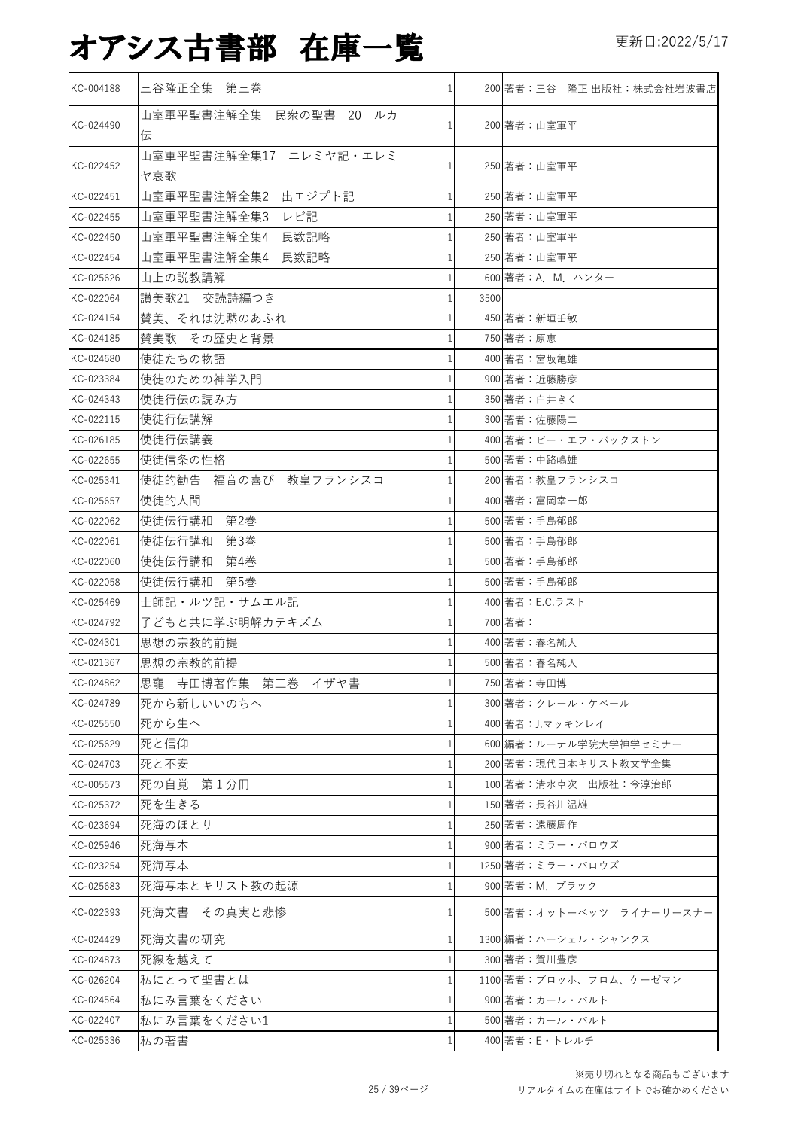| KC-004188 | 三谷隆正全集 第三巻                    | $\mathbf{1}$   |      | 200 著者:三谷 隆正 出版社:株式会社岩波書店 |
|-----------|-------------------------------|----------------|------|---------------------------|
| KC-024490 | 山室軍平聖書注解全集 民衆の聖書 20 ルカ<br>伝   | $\mathbf{1}$   |      | 200 著者:山室軍平               |
| KC-022452 | 山室軍平聖書注解全集17 エレミヤ記・エレミ<br>ヤ哀歌 |                |      | 250 著者:山室軍平               |
| KC-022451 | 山室軍平聖書注解全集2 出エジプト記            |                |      | 250 著者:山室軍平               |
| KC-022455 | 山室軍平聖書注解全集3<br>レビ記            |                |      | 250 著者:山室軍平               |
| KC-022450 | 山室軍平聖書注解全集4 民数記略              |                |      | 250 著者:山室軍平               |
| KC-022454 | 山室軍平聖書注解全集4 民数記略              |                |      | 250 著者:山室軍平               |
| KC-025626 | 山上の説教講解                       |                |      | 600 著者: A. M. ハンター        |
| KC-022064 | 讃美歌21 交読詩編つき                  |                | 3500 |                           |
| KC-024154 | 賛美、それは沈黙のあふれ                  |                |      | 450 著者:新垣壬敏               |
| KC-024185 | 賛美歌 その歴史と背景                   |                |      | 750 著者:原恵                 |
| KC-024680 | 使徒たちの物語                       |                |      | 400 著者:宮坂亀雄               |
| KC-023384 | 使徒のための神学入門                    |                |      | 900 著者:近藤勝彦               |
| KC-024343 | 使徒行伝の読み方                      |                |      | 350 著者:白井きく               |
| KC-022115 | 使徒行伝講解                        |                |      | 300 著者:佐藤陽二               |
| KC-026185 | 使徒行伝講義                        |                |      | 400 著者:ビー・エフ・バックストン       |
| KC-022655 | 使徒信条の性格                       |                |      | 500 著者:中路嶋雄               |
| KC-025341 | 使徒的勧告 福音の喜び 教皇フランシスコ          | $\mathbf{1}$   |      | 200 著者:教皇フランシスコ           |
| KC-025657 | 使徒的人間                         | 1              |      | 400 著者:富岡幸一郎              |
| KC-022062 | 使徒伝行講和<br>第2巻                 | $\mathbf{1}$   |      | 500 著者:手島郁郎               |
| KC-022061 | 使徒伝行講和<br>第3巻                 | 1              |      | 500 著者:手島郁郎               |
| KC-022060 | 使徒伝行講和<br>第4巻                 | $\mathbf{1}$   |      | 500 著者:手島郁郎               |
| KC-022058 | 使徒伝行講和<br>第5巻                 |                |      | 500 著者:手島郁郎               |
| KC-025469 | 士師記・ルツ記・サムエル記                 | $\mathbf{1}$   |      | 400 著者: E.C.ラスト           |
| KC-024792 | 子どもと共に学ぶ明解カテキズム               |                |      | 700 著者:                   |
| KC-024301 | 思想の宗教的前提                      |                |      | 400 著者:春名純人               |
| KC-021367 | 思想の宗教的前提                      |                |      | 500 著者:春名純人               |
| KC-024862 | 思寵 寺田博著作集 第三巻 イザヤ書            |                |      | 750 著者:寺田博                |
| KC-024789 | 死から新しいいのちへ                    |                |      | 300 著者:クレール・ケベール          |
| KC-025550 | 死から生へ                         |                |      | 400 著者: J.マッキンレイ          |
| KC-025629 | 死と信仰                          |                |      | 600 編者:ルーテル学院大学神学セミナー     |
| KC-024703 | 死と不安                          |                |      | 200 著者:現代日本キリスト教文学全集      |
| KC-005573 | 死の自覚 第1分冊                     |                |      | 100 著者:清水卓次 出版社:今淳治郎      |
| KC-025372 | 死を生きる                         |                |      | 150 著者:長谷川温雄              |
| KC-023694 | 死海のほとり                        |                |      | 250 著者:遠藤周作               |
| KC-025946 | 死海写本                          |                |      | 900 著者:ミラー・バロウズ           |
| KC-023254 | 死海写本                          |                |      | 1250 著者:ミラー・バロウズ          |
| KC-025683 | 死海写本とキリスト教の起源                 |                |      | 900 著者: M. ブラック           |
| KC-022393 | 死海文書 その真実と悲惨                  |                |      | 500 著者:オットーベッツ ライナーリースナー  |
| KC-024429 | 死海文書の研究                       | $\mathbf{1}$   |      | 1300 編者:ハーシェル・シャンクス       |
| KC-024873 | 死線を越えて                        |                |      | 300 著者:賀川豊彦               |
| KC-026204 | 私にとって聖書とは                     |                |      | 1100 著者:ブロッホ、フロム、ケーゼマン    |
| KC-024564 | 私にみ言葉をください                    |                |      | 900 著者:カール・バルト            |
| KC-022407 | 私にみ言葉をください1                   | $\mathbf{1}$   |      | 500 著者:カール・バルト            |
| KC-025336 | 私の著書                          | 1 <sup>1</sup> |      | 400 著者: E・トレルチ            |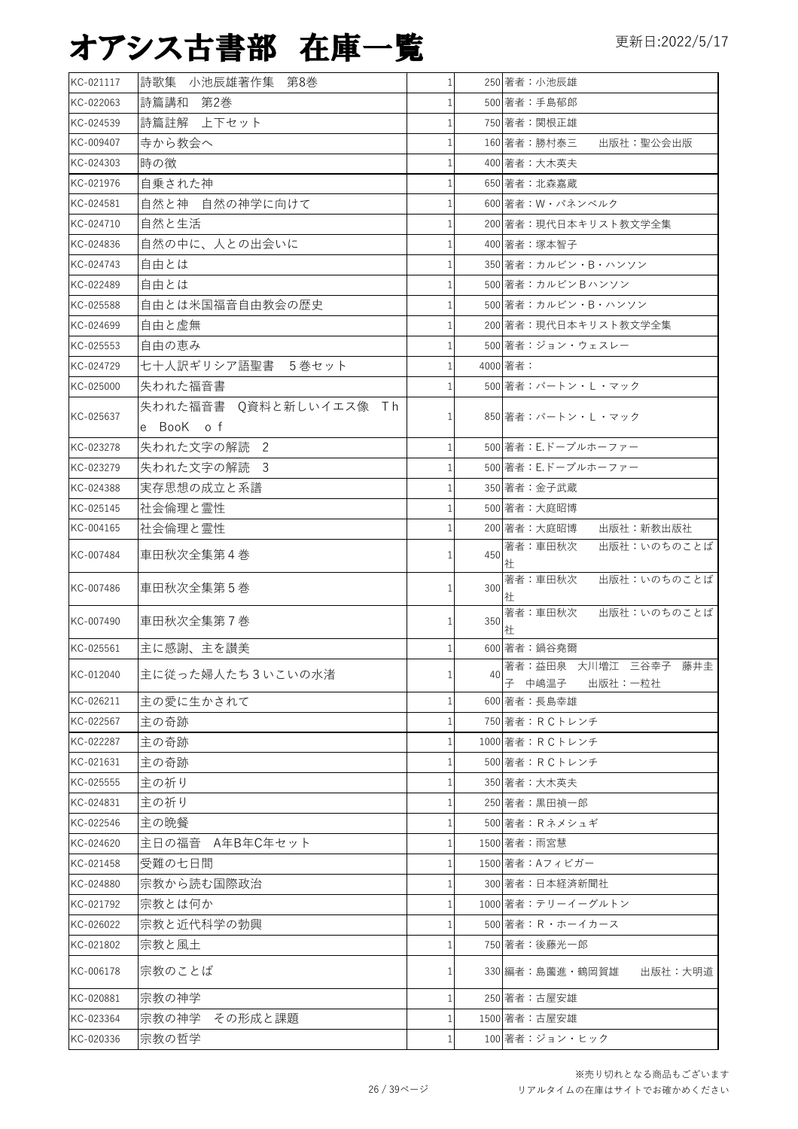| KC-021117 | 詩歌集 小池辰雄著作集 第8巻        | $\mathbf{1}$ |     | 250 著者:小池辰雄                               |
|-----------|------------------------|--------------|-----|-------------------------------------------|
| KC-022063 | 詩篇講和 第2巻               |              |     | 500 著者:手島郁郎                               |
| KC-024539 | 詩篇註解 上下セット             |              |     | 750 著者:関根正雄                               |
| KC-009407 | 寺から教会へ                 |              |     | 160 著者:勝村泰三<br>出版社:聖公会出版                  |
| KC-024303 | 時の徴                    |              |     | 400 著者:大木英夫                               |
| KC-021976 | 自乗された神                 |              |     | 650 著者:北森嘉蔵                               |
| KC-024581 | 自然と神 自然の神学に向けて         | 1            |     | 600 著者: W・パネンベルク                          |
| KC-024710 | 自然と生活                  | 1            |     | 200 著者:現代日本キリスト教文学全集                      |
| KC-024836 | 自然の中に、人との出会いに          | 1            |     | 400 著者:塚本智子                               |
| KC-024743 | 自由とは                   |              |     | 350 著者: カルビン・B・ハンソン                       |
| KC-022489 | 自由とは                   | 1            |     | 500 著者:カルビンBハンソン                          |
| KC-025588 | 自由とは米国福音自由教会の歴史        |              |     | 500 著者: カルビン・B・ハンソン                       |
| KC-024699 | 自由と虚無                  |              |     | 200 著者:現代日本キリスト教文学全集                      |
| KC-025553 | 自由の恵み                  |              |     | 500 著者:ジョン・ウェスレー                          |
| KC-024729 | 七十人訳ギリシア語聖書 5巻セット      | 1            |     | 4000 著者:                                  |
| KC-025000 | 失われた福音書                |              |     | 500 著者:バートン・L ・マック                        |
|           | 失われた福音書 Q資料と新しいイエス像 Th |              |     | 850 著者:バートン・L ・マック                        |
| KC-025637 | e BooK of              |              |     |                                           |
| KC-023278 | 失われた文字の解読 2            | $\mathbf{1}$ |     | 500 著者: E.ドーブルホーファー                       |
| KC-023279 | 失われた文字の解読 3            | 1            |     | 500 著者: E.ドーブルホーファー                       |
| KC-024388 | 実存思想の成立と系譜             |              |     | 350 著者:金子武蔵                               |
| KC-025145 | 社会倫理と霊性                | 1            |     | 500 著者:大庭昭博                               |
| KC-004165 | 社会倫理と霊性                |              |     | 200 著者:大庭昭博<br>出版社:新教出版社                  |
| KC-007484 | 車田秋次全集第4巻              | 1            | 450 | 著者:車田秋次<br>出版社:いのちのことば<br>社               |
| KC-007486 | 車田秋次全集第5巻              | 1            | 300 | 著者:車田秋次<br>出版社:いのちのことば<br>社               |
| KC-007490 | 車田秋次全集第7巻              | 1            | 350 | 著者:車田秋次<br>出版社:いのちのことば<br>社               |
| KC-025561 | 主に感謝、主を讃美              | 1            |     | 600 著者:鍋谷堯爾                               |
| KC-012040 | 主に従った婦人たち3いこいの水渚       | ı.           | 40  | 著者:益田泉 大川増江 三谷幸子 藤井圭<br>子 中嶋温子<br>出版社:一粒社 |
| KC-026211 | 主の愛に生かされて              |              |     | 600 著者:長島幸雄                               |
| KC-022567 | 主の奇跡                   |              |     | 750 著者:RCトレンチ                             |
| KC-022287 | 主の奇跡                   | -1           |     | 1000 著者: RCトレンチ                           |
| KC-021631 | 主の奇跡                   | 1            |     | 500 著者: R C トレンチ                          |
| KC-025555 | 主の祈り                   |              |     | 350 著者:大木英夫                               |
| KC-024831 | 主の祈り                   |              |     | 250 著者:黒田禎一郎                              |
| KC-022546 | 主の晩餐                   | 1            |     | 500 著者: Rネメシュギ                            |
| KC-024620 | 主日の福音 A年B年C年セット        | 1            |     | 1500 著者: 雨宮慧                              |
| KC-021458 | 受難の七日間                 | 1            |     | 1500 著者: Aフィビガー                           |
| KC-024880 | 宗教から読む国際政治             | 1            |     | 300 著者:日本経済新聞社                            |
| KC-021792 | 宗教とは何か                 | 1            |     | 1000 著者:テリーイーグルトン                         |
| KC-026022 | 宗教と近代科学の勃興             |              |     | 500 著者:R・ホーイカース                           |
| KC-021802 | 宗教と風土                  |              |     | 750 著者:後藤光一郎                              |
| KC-006178 | 宗教のことば                 | 1            |     | 330 編者:島薗進・鶴岡賀雄 <br>出版社:大明道               |
| KC-020881 | 宗教の神学                  | 1            |     | 250 著者:古屋安雄                               |
| KC-023364 | 宗教の神学 その形成と課題          | $\mathbf{1}$ |     | 1500 著者:古屋安雄                              |
| KC-020336 | 宗教の哲学                  | 1            |     | 100 著者:ジョン・ヒック                            |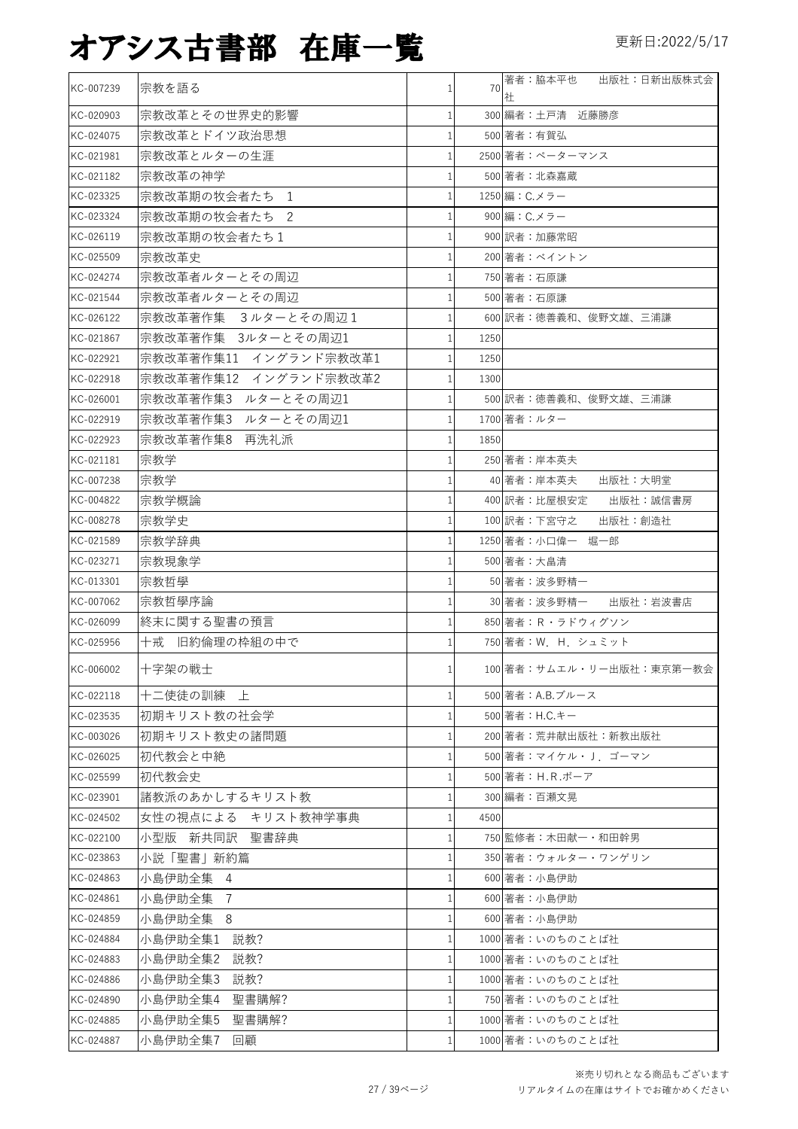| KC-007239 | 宗教を語る                 | 1            | 70   | 著者:脇本平也<br>出版社:日新出版株式会<br>社 |
|-----------|-----------------------|--------------|------|-----------------------------|
| KC-020903 | 宗教改革とその世界史的影響         | $\mathbf{1}$ |      | 300 編者:土戸清 近藤勝彦             |
| KC-024075 | 宗教改革とドイツ政治思想          | 1            |      | 500 著者:有賀弘                  |
| KC-021981 | 宗教改革とルターの生涯           | 1            |      | 2500 著者:ペーターマンス             |
| KC-021182 | 宗教改革の神学               | 1            |      | 500 著者:北森嘉蔵                 |
| KC-023325 | 宗教改革期の牧会者たち 1         | 1            |      | 1250 編: C.メラー               |
| KC-023324 | 宗教改革期の牧会者たち 2         | 1            |      | 900 編:C.メラー                 |
| KC-026119 | 宗教改革期の牧会者たち1          | 1            |      | 900 訳者:加藤常昭                 |
| KC-025509 | 宗教改革史                 | 1            |      | 200 著者:ベイントン                |
| KC-024274 | 宗教改革者ルターとその周辺         | $\mathbf{1}$ |      | 750 著者:石原謙                  |
| KC-021544 | 宗教改革者ルターとその周辺         | 1            |      | 500 著者:石原謙                  |
| KC-026122 | 宗教改革著作集 3ルターとその周辺1    | $\mathbf{1}$ |      | 600 訳者:徳善義和、俊野文雄、三浦謙        |
| KC-021867 | 宗教改革著作集 3ルターとその周辺1    | 1            | 1250 |                             |
| KC-022921 | 宗教改革著作集11 イングランド宗教改革1 | $\mathbf{1}$ | 1250 |                             |
| KC-022918 | 宗教改革著作集12 イングランド宗教改革2 | $\mathbf{1}$ | 1300 |                             |
| KC-026001 | 宗教改革著作集3 ルターとその周辺1    | 1            |      | 500 訳者:徳善義和、俊野文雄、三浦謙        |
| KC-022919 | 宗教改革著作集3 ルターとその周辺1    | $\mathbf{1}$ |      | 1700 著者:ルター                 |
| KC-022923 | 宗教改革著作集8 再洗礼派         | 1            | 1850 |                             |
| KC-021181 | 宗教学                   | $\mathbf{1}$ |      | 250 著者:岸本英夫                 |
| KC-007238 | 宗教学                   | $\mathbf{1}$ |      | 40 著者:岸本英夫<br>出版社:大明堂       |
| KC-004822 | 宗教学概論                 | $\mathbf{1}$ |      | 400 訳者:比屋根安定<br>出版社:誠信書房    |
| KC-008278 | 宗教学史                  | $\mathbf{1}$ |      | 出版社:創造社<br>100 訳者:下宮守之      |
| KC-021589 | 宗教学辞典                 | 1            |      | 1250 著者:小口偉一 堀一郎            |
| KC-023271 | 宗教現象学                 | 1            |      | 500 著者:大畠清                  |
| KC-013301 | 宗教哲學                  |              |      | 50 著者:波多野精一                 |
| KC-007062 | 宗教哲學序論                |              |      | 30 著者:波多野精一 出版社:岩波書店        |
| KC-026099 | 終末に関する聖書の預言           | 1            |      | 850 著者: R · ラドウィグソン         |
| KC-025956 | 十戒 旧約倫理の枠組の中で         | 1            |      | 750 著者: W. H. シュミット         |
| KC-006002 | 十字架の戦士                | $\mathbf{1}$ |      | 100 著者:サムエル・リー出版社:東京第一教会    |
| KC-022118 | 十二使徒の訓練 上             | 1            |      | 500 著者: A.B.ブルース            |
| KC-023535 | 初期キリスト教の社会学           |              |      | 500 著者:H.C.キー               |
| KC-003026 | 初期キリスト教史の諸問題          | 1            |      | 200 著者:荒井献出版社:新教出版社         |
| KC-026025 | 初代教会と中絶               | 1            |      | 500 著者:マイケル・亅 ゴーマン          |
| KC-025599 | 初代教会史                 | 1            |      | 500 著者: H.R.ボーア             |
| KC-023901 | 諸教派のあかしするキリスト教        | 1            |      | 300 編者:百瀬文晃                 |
| KC-024502 | 女性の視点による キリスト教神学事典    | 1            | 4500 |                             |
| KC-022100 | 小型版 新共同訳 聖書辞典         | 1            |      | 750 監修者:木田献ー・和田幹男           |
| KC-023863 | 小説「聖書」新約篇             | 1            |      | 350 著者:ウォルター・ワンゲリン          |
| KC-024863 | 小島伊助全集 4              | 1            |      | 600 著者:小島伊助                 |
| KC-024861 | 小島伊助全集<br>7           | 1            |      | 600 著者:小島伊助                 |
| KC-024859 | 小島伊助全集 8              | 1            |      | 600 著者:小島伊助                 |
| KC-024884 | 小島伊助全集1<br>説教?        | $\mathbf{1}$ |      | 1000 著者:いのちのことば社            |
| KC-024883 | 小島伊助全集2<br>説教?        | 1            |      | 1000 著者:いのちのことば社            |
| KC-024886 | 小島伊助全集3<br>説教?        | 1            |      | 1000 著者:いのちのことば社            |
| KC-024890 | 小島伊助全集4<br>聖書購解?      | 1            |      | 750 著者:いのちのことば社             |
| KC-024885 | 小島伊助全集5<br>聖書購解?      | 1            |      | 1000 著者:いのちのことば社            |
| KC-024887 | 小島伊助全集7<br>回顧         | $\mathbf{1}$ |      | 1000 著者:いのちのことば社            |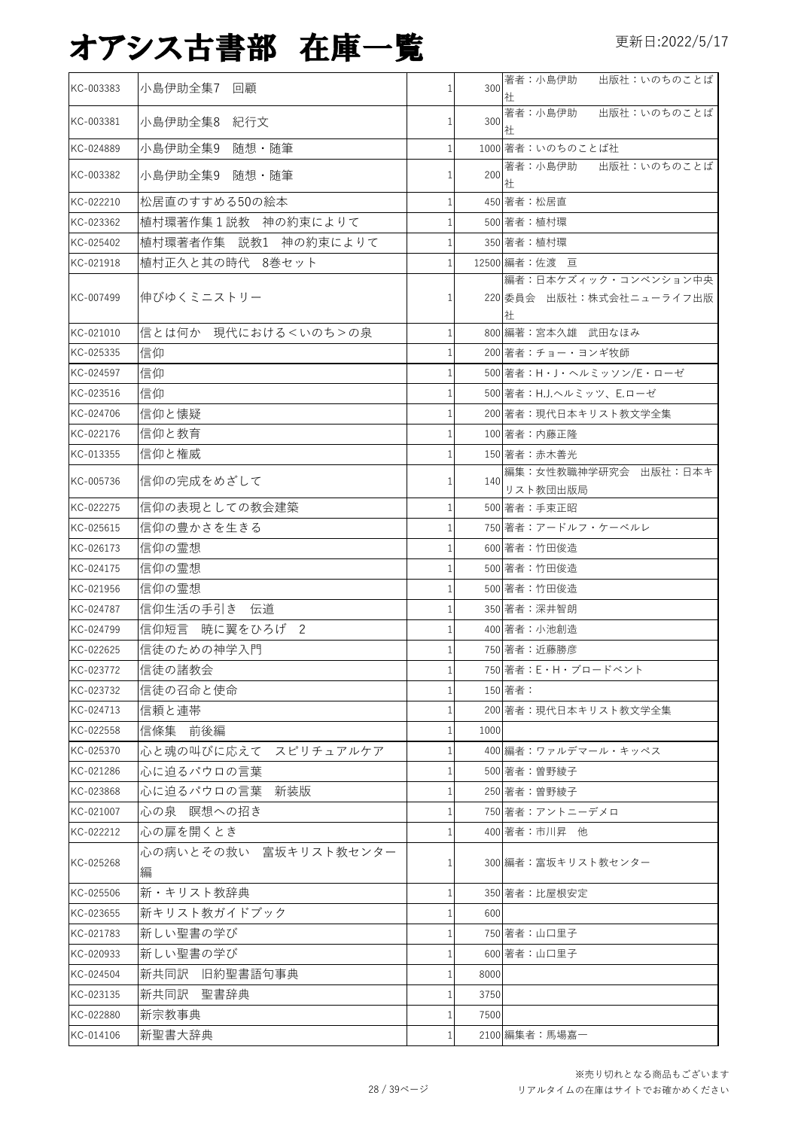| KC-003383 | 小島伊助全集7<br>回顧              | 1            | 300  | 著者:小島伊助<br>出版社:いのちのことば<br>社                           |
|-----------|----------------------------|--------------|------|-------------------------------------------------------|
| KC-003381 | 小島伊助全集8 紀行文                | 1            | 300  | 著者:小島伊助<br>出版社:いのちのことば<br>社                           |
| KC-024889 | 小島伊助全集9<br>随想・随筆           |              |      | 1000 著者:いのちのことば社                                      |
| KC-003382 | 小島伊助全集9 随想·随筆              | 1            | 200  | 出版社:いのちのことば<br>著者:小島伊助<br>社                           |
| KC-022210 | 松居直のすすめる50の絵本              | 1            |      | 450 著者:松居直                                            |
| KC-023362 | 植村環著作集1説教 神の約束によりて         | 1            |      | 500 著者:植村環                                            |
| KC-025402 | 植村環著者作集 説教1 神の約束によりて       | 1            |      | 350 著者:植村環                                            |
| KC-021918 | 植村正久と其の時代 8巻セット            | $\mathbf{1}$ |      | 12500 編者:佐渡 亘                                         |
| KC-007499 | 伸びゆくミニストリー                 | 1            |      | 編者:日本ケズィック・コンベンション中央<br>220 委員会 出版社:株式会社ニューライフ出版<br>社 |
| KC-021010 | 信とは何か 現代における くいのち > の泉     | 1            |      | 800 編著:宮本久雄 武田なほみ                                     |
| KC-025335 | 信仰                         |              |      | 200 著者:チョー・ヨンギ牧師                                      |
| KC-024597 | 信仰                         |              |      | 500 著者:H·J·ヘルミッソン/E·ローゼ                               |
| KC-023516 | 信仰                         |              |      | 500 著者: H.J.ヘルミッツ、E.ローゼ                               |
| KC-024706 | 信仰と懐疑                      |              |      | 200 著者:現代日本キリスト教文学全集                                  |
| KC-022176 | 信仰と教育                      |              |      | 100 著者:内藤正隆                                           |
| KC-013355 | 信仰と権威                      |              |      | 150 著者:赤木善光                                           |
| KC-005736 | 信仰の完成をめざして                 |              | 140  | 編集: 女性教職神学研究会 出版社:日本キ<br>リスト教団出版局                     |
| KC-022275 | 信仰の表現としての教会建築              | 1            |      | 500 著者:手束正昭                                           |
| KC-025615 | 信仰の豊かさを生きる                 |              |      | 750 著者:アードルフ・ケーベルレ                                    |
| KC-026173 | 信仰の霊想                      |              |      | 600 著者:竹田俊造                                           |
| KC-024175 | 信仰の霊想                      |              |      | 500 著者:竹田俊造                                           |
| KC-021956 | 信仰の霊想                      |              |      | 500 著者:竹田俊造                                           |
| KC-024787 | 信仰生活の手引き 伝道                |              |      | 350 著者:深井智朗                                           |
| KC-024799 | 信仰短言 暁に翼をひろげ 2             | 1            |      | 400 著者:小池創造                                           |
| KC-022625 | 信徒のための神学入門                 |              |      | 750 著者:近藤勝彦                                           |
| KC-023772 | 信徒の諸教会                     |              |      | 750 著者:E・H・ブロードベント                                    |
| KC-023732 | 信徒の召命と使命                   | 1            |      | 150 著者:                                               |
| KC-024713 | 信頼と連帯                      |              |      | 200 著者:現代日本キリスト教文学全集                                  |
| KC-022558 | 信條集 前後編                    | 1            | 1000 |                                                       |
| KC-025370 | 心と魂の叫びに応えて スピリチュアルケア       |              |      | 400 編者:ワァルデマール・キッペス                                   |
| KC-021286 | 心に迫るパウロの言葉                 |              |      | 500 著者:曽野綾子                                           |
| KC-023868 | 心に迫るパウロの言葉<br>新装版          |              |      | 250 著者: 曽野綾子                                          |
| KC-021007 | 心の泉 瞑想への招き                 | 1            |      | 750 著者:アントニーデメロ                                       |
| KC-022212 | 心の扉を開くとき                   |              |      | 400 著者: 市川昇 他                                         |
| KC-025268 | 心の病いとその救い 富坂キリスト教センター<br>編 |              |      | 300 編者:富坂キリスト教センター                                    |
| KC-025506 | 新・キリスト教辞典                  | 1            |      | 350 著者:比屋根安定                                          |
| KC-023655 | 新キリスト教ガイドブック               |              | 600  |                                                       |
| KC-021783 | 新しい聖書の学び                   |              |      | 750 著者:山口里子                                           |
| KC-020933 | 新しい聖書の学び                   |              |      | 600 著者:山口里子                                           |
| KC-024504 | 新共同訳 旧約聖書語句事典              | 1            | 8000 |                                                       |
| KC-023135 | 新共同訳 聖書辞典                  | 1            | 3750 |                                                       |
| KC-022880 | 新宗教事典                      |              | 7500 |                                                       |
| KC-014106 | 新聖書大辞典                     | 1            |      | 2100 編集者:馬場嘉一                                         |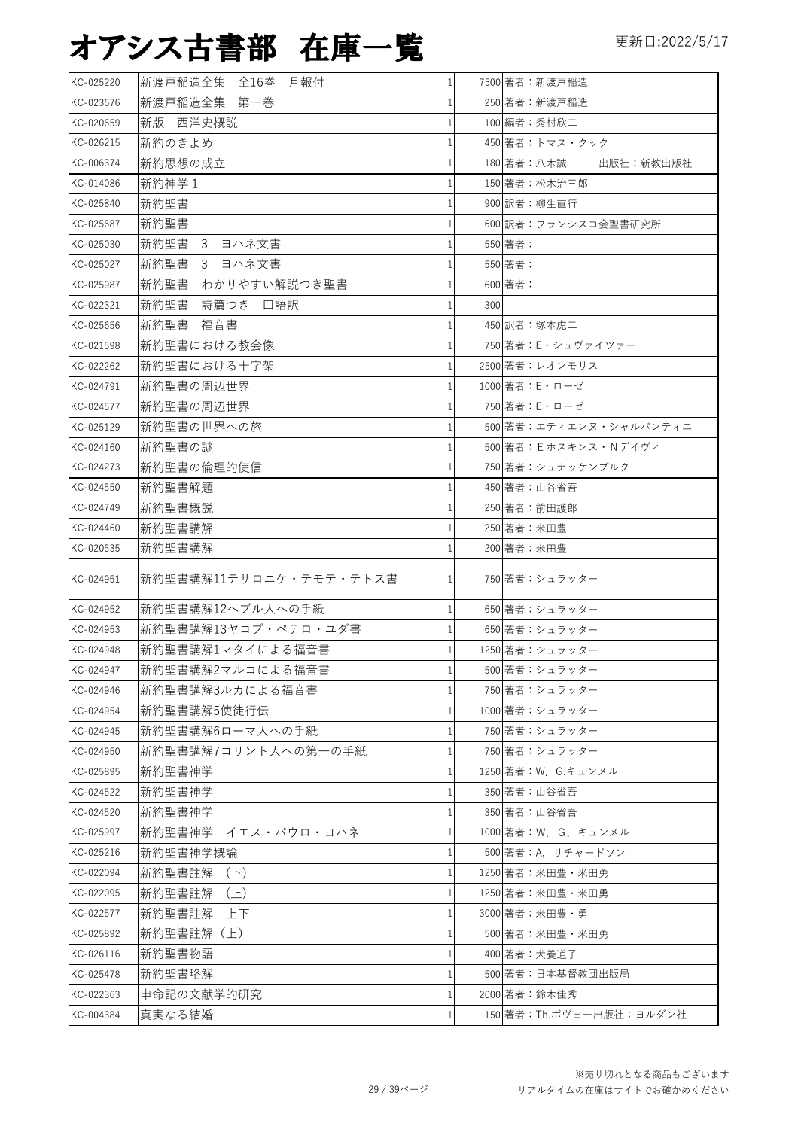| KC-025220 | 新渡戸稲造全集 全16巻 月報付       | 1 <sup>1</sup> |     | 7500 著者:新渡戸稲造            |
|-----------|------------------------|----------------|-----|--------------------------|
| KC-023676 | 新渡戸稲造全集 第一巻            | 1              |     | 250 著者:新渡戸稲造             |
| KC-020659 | 新版 西洋史概説               | $\mathbf{1}$   |     | 100 編者:秀村欣二              |
| KC-026215 | 新約のきよめ                 | $\mathbf{1}$   |     | 450 著者:トマス・クック           |
| KC-006374 | 新約思想の成立                | $\mathbf{1}$   |     | 180 著者:八木誠一<br>出版社:新教出版社 |
| KC-014086 | 新約神学 1                 | $\mathbf{1}$   |     | 150 著者:松木治三郎             |
| KC-025840 | 新約聖書                   | 1              |     | 900 訳者:柳生直行              |
| KC-025687 | 新約聖書                   | $\mathbf{1}$   |     | 600 訳者:フランシスコ会聖書研究所      |
| KC-025030 | 新約聖書 3 ヨハネ文書           | 1              |     | 550 著者:                  |
| KC-025027 | 新約聖書 3 ヨハネ文書           | $\mathbf{1}$   |     | 550 著者:                  |
| KC-025987 | 新約聖書<br>わかりやすい解説つき聖書   | $\mathbf{1}$   |     | 600 著者:                  |
| KC-022321 | 新約聖書<br>詩篇つき 口語訳       | 1              | 300 |                          |
| KC-025656 | 新約聖書<br>福音書            | $\mathbf{1}$   |     | 450 訳者:塚本虎二              |
| KC-021598 | 新約聖書における教会像            | 1              |     | 750 著者: E・シュヴァイツァー       |
| KC-022262 | 新約聖書における十字架            | 1              |     | 2500 著者:レオンモリス           |
| KC-024791 | 新約聖書の周辺世界              | 1              |     | 1000 著者: E · ローゼ         |
| KC-024577 | 新約聖書の周辺世界              | $\mathbf{1}$   |     | 750 著者: E · ローゼ          |
| KC-025129 | 新約聖書の世界への旅             | 1              |     | 500 著者:エティエンヌ・シャルパンティエ   |
| KC-024160 | 新約聖書の謎                 | 1              |     | 500 著者: E ホスキンス・Nデイヴィ    |
| KC-024273 | 新約聖書の倫理的使信             | 1              |     | 750 著者:シュナッケンブルク         |
| KC-024550 | 新約聖書解題                 | $\mathbf{1}$   |     | 450 著者:山谷省吾              |
| KC-024749 | 新約聖書概説                 | 1              |     | 250 著者:前田護郎              |
| KC-024460 | 新約聖書講解                 | 1              |     | 250 著者: 米田豊              |
| KC-020535 | 新約聖書講解                 | 1              |     | 200 著者:米田豊               |
| KC-024951 | 新約聖書講解11テサロニケ・テモテ・テトス書 | 1              |     | 750 著者:シュラッター            |
| KC-024952 | 新約聖書講解12ヘブル人への手紙       | 1 <sup>1</sup> |     | 650 著者:シュラッター            |
| KC-024953 | 新約聖書講解13ヤコブ・ペテロ・ユダ書    | $\mathbf{1}$   |     | 650 著者:シュラッター            |
| KC-024948 | 新約聖書講解1マタイによる福音書       | $\mathbf{1}$   |     | 1250 著者:シュラッター           |
| KC-024947 | 新約聖書講解2マルコによる福音書       | $1\vert$       |     | 500 著者:シュラッター            |
| KC-024946 | 新約聖書講解3ルカによる福音書        | 1 <sup>1</sup> |     | 750 著者:シュラッター            |
| KC-024954 | 新約聖書講解5使徒行伝            | 1              |     | 1000 著者:シュラッター           |
| KC-024945 | 新約聖書講解6ローマ人への手紙        | 1              |     | 750 著者:シュラッター            |
| KC-024950 | 新約聖書講解7コリント人への第一の手紙    | 1              |     | 750 著者:シュラッター            |
| KC-025895 | 新約聖書神学                 | 1              |     | 1250 著者:W. G.キュンメル       |
| KC-024522 | 新約聖書神学                 | 1              |     | 350 著者:山谷省吾              |
| KC-024520 | 新約聖書神学                 | 1              |     | 350 著者:山谷省吾              |
| KC-025997 | 新約聖書神学 イエス・パウロ・ヨハネ     | $\mathbf{1}$   |     | 1000 著者: W. G. キュンメル     |
| KC-025216 | 新約聖書神学概論               | 1              |     | 500 著者:A,リチャードソン         |
| KC-022094 | 新約聖書註解<br>(F)          | $\mathbf{1}$   |     | 1250 著者:米田豊・米田勇          |
| KC-022095 | 新約聖書註解 <br>$(\pm)$     | 1              |     | 1250 著者:米田豊・米田勇          |
| KC-022577 | 新約聖書註解<br>上下           | $\mathbf{1}$   |     | 3000 著者:米田豊・勇            |
| KC-025892 | 新約聖書註解(上)              | 1              |     | 500 著者:米田豊・米田勇           |
| KC-026116 | 新約聖書物語                 | $\mathbf{1}$   |     | 400 著者:犬養道子              |
| KC-025478 | 新約聖書略解                 | 1              |     | 500 著者:日本基督教団出版局         |
| KC-022363 | 申命記の文献学的研究             | 1              |     | 2000 著者:鈴木佳秀             |
| KC-004384 | 真実なる結婚                 | $\mathbf{1}$   |     | 150 著者:Th.ボヴェー出版社:ヨルダン社  |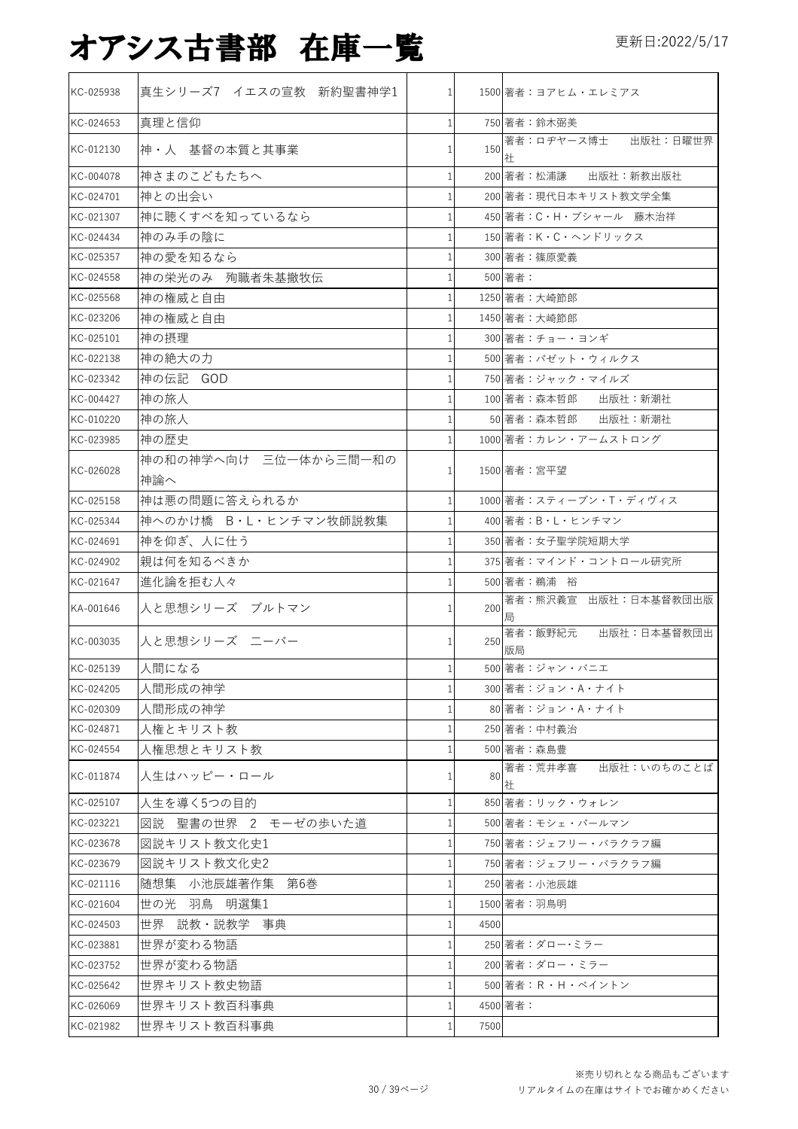| KC-025938 | 真生シリーズ7 イエスの宣教 新約聖書神学1       | $\mathbf{1}$ |      | 1500 著者:ヨアヒム・エレミアス             |
|-----------|------------------------------|--------------|------|--------------------------------|
| KC-024653 | 真理と信仰                        | $\mathbf{1}$ |      | 750 著者:鈴木弼美                    |
| KC-012130 | 神·人 基督の本質と其事業                |              | 150  | 著者:ロヂヤース博士 出版社:日曜世界<br>社       |
| KC-004078 | 神さまのこどもたちへ                   | 1            |      | 200 著者:松浦謙 出版社:新教出版社           |
| KC-024701 | 神との出会い                       |              |      | 200 著者:現代日本キリスト教文学全集           |
| KC-021307 | 神に聴くすべを知っているなら               |              |      | 450 著者: C·H·ブシャール 藤木治祥         |
| KC-024434 | 神のみ手の陰に                      |              |      | 150 著者:K・C・ヘンドリックス             |
| KC-025357 | 神の愛を知るなら                     |              |      | 300 著者:篠原愛義                    |
| KC-024558 | 神の栄光のみ 殉職者朱基撤牧伝              |              |      | 500 著者:                        |
| KC-025568 | 神の権威と自由                      |              |      | 1250 著者:大崎節郎                   |
| KC-023206 | 神の権威と自由                      |              |      | 1450 著者:大崎節郎                   |
| KC-025101 | 神の摂理                         | 1            |      | 300 著者:チョー・ヨンギ                 |
| KC-022138 | 神の絶大の力                       |              |      | 500 著者: パゼット・ウィルクス             |
| KC-023342 | 神の伝記 GOD                     |              |      | 750 著者:ジャック・マイルズ               |
| KC-004427 | 神の旅人                         |              |      | 100 著者:森本哲郎 出版社:新潮社            |
| KC-010220 | 神の旅人                         |              |      | 50 著者:森本哲郎 出版社:新潮社             |
| KC-023985 | 神の歴史                         |              |      | 1000 著者:カレン・アームストロング           |
| KC-026028 | 神の和の神学へ向け 三位一体から三間一和の<br>神論へ |              |      | 1500 著者:宮平望                    |
| KC-025158 | 神は悪の問題に答えられるか                | $\mathbf{1}$ |      | 1000 著者:スティーブン・T・ディヴィス         |
| KC-025344 | 神へのかけ橋 B·L·ヒンチマン牧師説教集        |              |      | 400 著者:B・L・ヒンチマン               |
| KC-024691 | 神を仰ぎ、人に仕う                    |              |      | 350 著者:女子聖学院短期大学               |
| KC-024902 | 親は何を知るべきか                    | 1            |      | 375 著者:マインド・コントロール研究所          |
| KC-021647 | 進化論を拒む人々                     |              |      | 500 著者:鵜浦 裕                    |
| KA-001646 | 人と思想シリーズ ブルトマン               | 1            |      | 局                              |
| KC-003035 | 人と思想シリーズ ニーバー                | 1            | 250  | 著者:飯野紀元 出版社:日本基督教団出<br>版局      |
| KC-025139 | 人間になる                        | 1            |      | 500 著者:ジャン・バニエ                 |
| KC-024205 | 人間形成の神学                      | 1            |      | 300 著者:ジョン・A・ナイト               |
| KC-020309 | 人間形成の神学                      |              |      | 80 著者:ジョン・A・ナイト                |
| KC-024871 | 人権とキリスト教                     | 1            |      | 250 著者:中村義治                    |
| KC-024554 | 人権思想とキリスト教                   | 1            |      | 500 著者:森島豊                     |
| KC-011874 | 人生はハッピー・ロール                  |              |      | 出版社:いのちのことば<br>80 著者:荒井孝喜<br>社 |
| KC-025107 | 人生を導く5つの目的                   | 1            |      | 850 著者:リック・ウォレン                |
| KC-023221 | 図説 聖書の世界 2 モーゼの歩いた道          | 1            |      | 500 著者:モシェ・パールマン               |
| KC-023678 | 図説キリスト教文化史1                  |              |      | 750 著者:ジェフリー・バラクラフ編            |
| KC-023679 | 図説キリスト教文化史2                  | 1            |      | 750 著者:ジェフリー・バラクラフ編            |
| KC-021116 | 随想集 小池辰雄著作集 第6巻              |              |      | 250 著者:小池辰雄                    |
| KC-021604 | 世の光 羽鳥 明選集1                  | 1            |      | 1500 著者:羽鳥明                    |
| KC-024503 | 世界 説教・説教学 事典                 | 1            | 4500 |                                |
| KC-023881 | 世界が変わる物語                     | 1            |      | 250 著者:ダロー・ミラー                 |
| KC-023752 | 世界が変わる物語                     |              |      | 200 著者:ダロー・ミラー                 |
| KC-025642 | 世界キリスト教史物語                   |              |      | 500 著者:R・H・ベイントン               |
| KC-026069 | 世界キリスト教百科事典                  | 1            |      | 4500 著者:                       |
| KC-021982 | 世界キリスト教百科事典                  | 1            | 7500 |                                |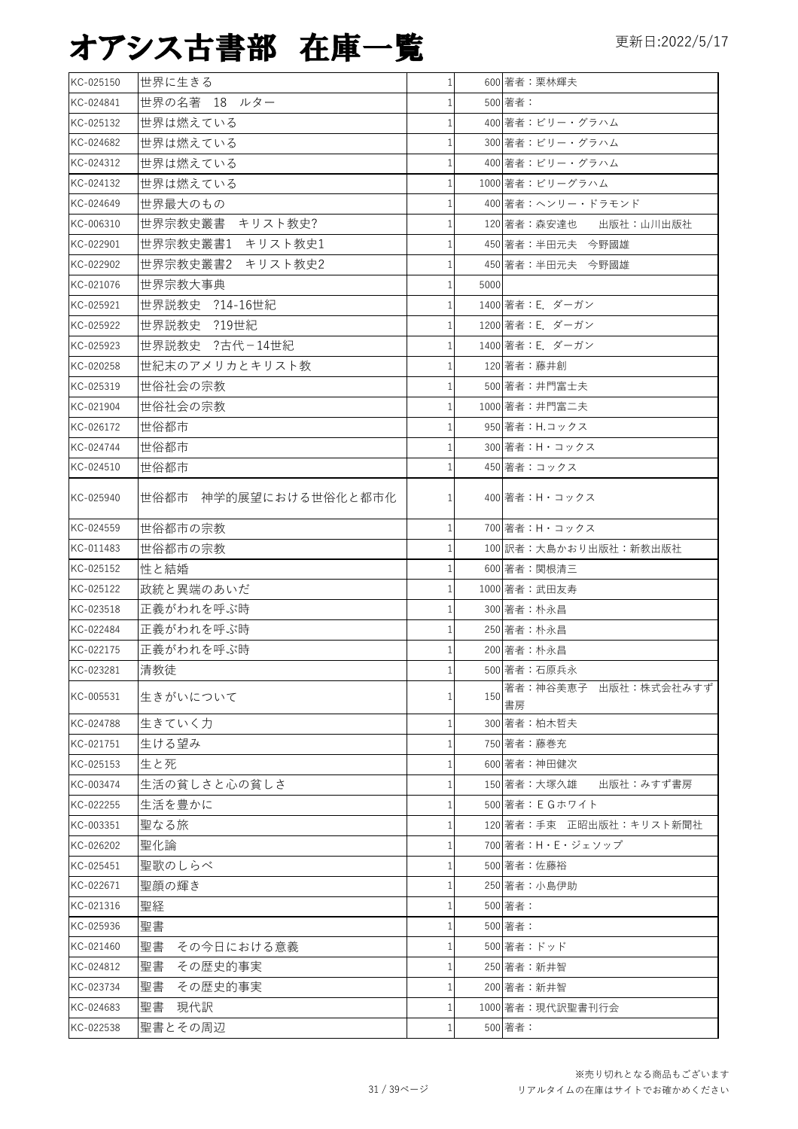| KC-025150 | 世界に生きる                |              |      | 600 著者:栗林輝夫                |
|-----------|-----------------------|--------------|------|----------------------------|
| KC-024841 | 世界の名著 18 ルター          |              |      | 500 著者:                    |
| KC-025132 | 世界は燃えている              |              |      | 400 著者:ビリー・グラハム            |
| KC-024682 | 世界は燃えている              |              |      | 300 著者:ビリー・グラハム            |
| KC-024312 | 世界は燃えている              |              |      | 400 著者:ビリー・グラハム            |
| KC-024132 | 世界は燃えている              |              |      | 1000 著者:ビリーグラハム            |
| KC-024649 | 世界最大のもの               |              |      | 400 著者:ヘンリー・ドラモンド          |
| KC-006310 | 世界宗教史叢書 キリスト教史?       |              |      | 120 著者:森安達也 出版社:山川出版社      |
| KC-022901 | 世界宗教史叢書1 キリスト教史1      |              |      | 450 著者:半田元夫 今野國雄           |
| KC-022902 | 世界宗教史叢書2 キリスト教史2      |              |      | 450 著者:半田元夫 今野國雄           |
| KC-021076 | 世界宗教大事典               |              | 5000 |                            |
| KC-025921 | 世界説教史 ?14-16世紀        |              |      | 1400 著者: E. ダーガン           |
| KC-025922 | 世界説教史 ?19世紀           |              |      | 1200 著者: E. ダーガン           |
| KC-025923 | 世界説教史 ?古代-14世紀        |              |      | 1400 著者: E ダーガン            |
| KC-020258 | 世紀末のアメリカとキリスト教        |              |      | 120 著者:藤井創                 |
| KC-025319 | 世俗社会の宗教               |              |      | 500 著者:井門富士夫               |
| KC-021904 | 世俗社会の宗教               |              |      | 1000 著者:井門富二夫              |
| KC-026172 | 世俗都市                  |              |      | 950 著者: H.コックス             |
| KC-024744 | 世俗都市                  |              |      | 300 著者:H・コックス              |
| KC-024510 | 世俗都市                  |              |      | 450 著者:コックス                |
| KC-025940 | 世俗都市 神学的展望における世俗化と都市化 |              |      | 400 著者:H・コックス              |
| KC-024559 | 世俗都市の宗教               |              |      | 700 著者:H・コックス              |
| KC-011483 | 世俗都市の宗教               |              |      | 100 訳者:大島かおり出版社:新教出版社      |
| KC-025152 | 性と結婚                  |              |      | 600 著者:関根清三                |
| KC-025122 | 政統と異端のあいだ             |              |      | 1000 著者:武田友寿               |
| KC-023518 | 正義がわれを呼ぶ時             |              |      | 300 著者:朴永昌                 |
| KC-022484 | 正義がわれを呼ぶ時             |              |      | 250 著者:朴永昌                 |
| KC-022175 | 正義がわれを呼ぶ時             |              |      | 200 著者:朴永昌                 |
| KC-023281 | 清教徒                   | $\mathbf{1}$ |      | 500 著者:石原兵永                |
| KC-005531 | 生きがいについて              |              | 150  | 著者:神谷美恵子 出版社:株式会社みすず<br>書房 |
| KC-024788 | 生きていく力                |              |      | 300 著者:柏木哲夫                |
| KC-021751 | 生ける望み                 |              |      | 750 著者:藤巻充                 |
| KC-025153 | 生と死                   |              |      | 600 著者:神田健次                |
| KC-003474 | 生活の貧しさと心の貧しさ          |              |      | 150 著者:大塚久雄<br>出版社:みすず書房   |
| KC-022255 | 生活を豊かに                |              |      | 500 著者: E G ホワイト           |
| KC-003351 | 聖なる旅                  |              |      | 120 著者:手束 正昭出版社:キリスト新聞社    |
| KC-026202 | 聖化論                   |              |      | 700 著者:H・E・ジェソップ           |
| KC-025451 | 聖歌のしらべ                |              |      | 500 著者:佐藤裕                 |
| KC-022671 | 聖顔の輝き                 |              |      | 250 著者:小島伊助                |
| KC-021316 | 聖経                    |              |      | 500 著者:                    |
| KC-025936 | 聖書                    |              |      | 500 著者:                    |
| KC-021460 | 聖書<br>その今日における意義      |              |      | 500 著者:ドッド                 |
| KC-024812 | 聖書<br>その歴史的事実         |              |      | 250 著者: 新井智                |
| KC-023734 | 聖書<br>その歴史的事実         |              |      | 200 著者:新井智                 |
| KC-024683 | 聖書<br>現代訳             |              |      | 1000 著者:現代訳聖書刊行会           |
| KC-022538 | 聖書とその周辺               |              |      | 500 著者:                    |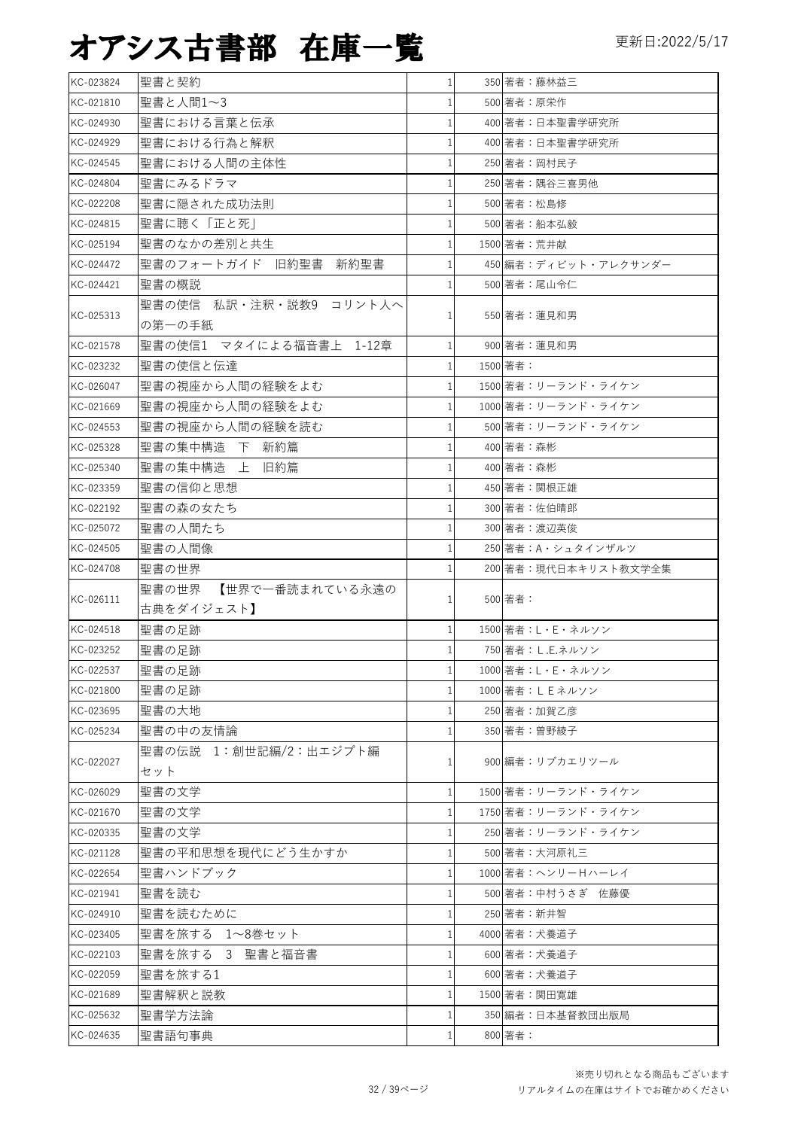| KC-023824 | 聖書と契約                   |              |              | 350 著者:藤林益三           |
|-----------|-------------------------|--------------|--------------|-----------------------|
| KC-021810 | 聖書と人間1~3                |              | 500 著者:原栄作   |                       |
| KC-024930 | 聖書における言葉と伝承             |              |              | 400 著者:日本聖書学研究所       |
| KC-024929 | 聖書における行為と解釈             |              |              | 400 著者:日本聖書学研究所       |
| KC-024545 | 聖書における人間の主体性            |              |              | 250 著者:岡村民子           |
| KC-024804 | 聖書にみるドラマ                |              |              | 250 著者:隅谷三喜男他         |
| KC-022208 | 聖書に隠された成功法則             |              | 500 著者:松島修   |                       |
| KC-024815 | 聖書に聴く「正と死」              |              |              | 500 著者:船本弘毅           |
| KC-025194 | 聖書のなかの差別と共生             |              | 1500 著者: 荒井献 |                       |
| KC-024472 | 聖書のフォートガイド 旧約聖書<br>新約聖書 |              |              | 450 編者:ディビット・アレクサンダー  |
| KC-024421 | 聖書の概説                   |              |              | 500 著者:尾山令仁           |
|           | 聖書の使信 私訳・注釈・説教9 コリント人へ  |              |              |                       |
| KC-025313 | の第一の手紙                  |              |              | 550 著者:蓮見和男           |
| KC-021578 | 聖書の使信1 マタイによる福音書上 1-12章 |              |              | 900 著者:蓮見和男           |
| KC-023232 | 聖書の使信と伝達                |              | 1500 著者:     |                       |
| KC-026047 | 聖書の視座から人間の経験をよむ         |              |              | 1500 著者:リーランド・ライケン    |
| KC-021669 | 聖書の視座から人間の経験をよむ         |              |              | 1000 著者:リーランド・ライケン    |
| KC-024553 | 聖書の視座から人間の経験を読む         |              |              | 500 著者:リーランド・ライケン     |
| KC-025328 | 聖書の集中構造 下 新約篇           |              | 400 著者:森彬    |                       |
| KC-025340 | 聖書の集中構造 上 旧約篇           |              | 400 著者:森彬    |                       |
| KC-023359 | 聖書の信仰と思想                |              |              | 450 著者:関根正雄           |
| KC-022192 | 聖書の森の女たち                |              |              | 300 著者:佐伯晴郎           |
| KC-025072 | 聖書の人間たち                 |              |              | 300 著者:渡辺英俊           |
| KC-024505 | 聖書の人間像                  |              |              | 250 著者: A・シュタインザルツ    |
| KC-024708 | 聖書の世界                   |              |              | 200 著者:現代日本キリスト教文学全集  |
|           | 聖書の世界 【世界で一番読まれている永遠の   |              |              |                       |
| KC-026111 | 古典をダイジェスト】              |              | 500 著者:      |                       |
| KC-024518 | 聖書の足跡                   |              |              | 1500 著者: L · E · ネルソン |
| KC-023252 | 聖書の足跡                   |              |              | 750 著者: L.E.ネルソン      |
|           |                         |              |              |                       |
| KC-022537 | 聖書の足跡                   | $\mathbf{1}$ |              | 1000 著者: L · E · ネルソン |
| KC-021800 | 聖書の足跡                   |              |              | 1000 著者:LEネルソン        |
| KC-023695 | 聖書の大地                   |              |              | 250 著者: 加賀乙彦          |
| KC-025234 | 聖書の中の友情論                |              |              | 350 著者:曽野綾子           |
|           | 聖書の伝説 1:創世記編/2:出エジプト編   |              |              |                       |
| KC-022027 | セット                     | ı            |              | 900 編者:リブカエリツール       |
| KC-026029 | 聖書の文学                   | $\mathbf{1}$ |              | 1500 著者:リーランド・ライケン    |
| KC-021670 | 聖書の文学                   |              |              | 1750 著者:リーランド・ライケン    |
| KC-020335 | 聖書の文学                   |              |              | 250 著者:リーランド・ライケン     |
| KC-021128 | 聖書の平和思想を現代にどう生かすか       |              |              | 500 著者:大河原礼三          |
| KC-022654 | 聖書ハンドブック                |              |              | 1000 著者:ヘンリーHハーレイ     |
| KC-021941 | 聖書を読む                   |              |              | 500 著者:中村うさぎ 佐藤優      |
| KC-024910 | 聖書を読むために                |              | 250 著者:新井智   |                       |
| KC-023405 | 聖書を旅する 1~8巻セット          |              |              | 4000 著者:犬養道子          |
| KC-022103 | 聖書を旅する 3 聖書と福音書         |              |              | 600 著者:犬養道子           |
| KC-022059 | 聖書を旅する1                 |              |              | 600 著者:犬養道子           |
| KC-021689 | 聖書解釈と説教                 |              |              | 1500 著者:関田寛雄          |
| KC-025632 | 聖書学方法論                  |              |              | 350 編者:日本基督教団出版局      |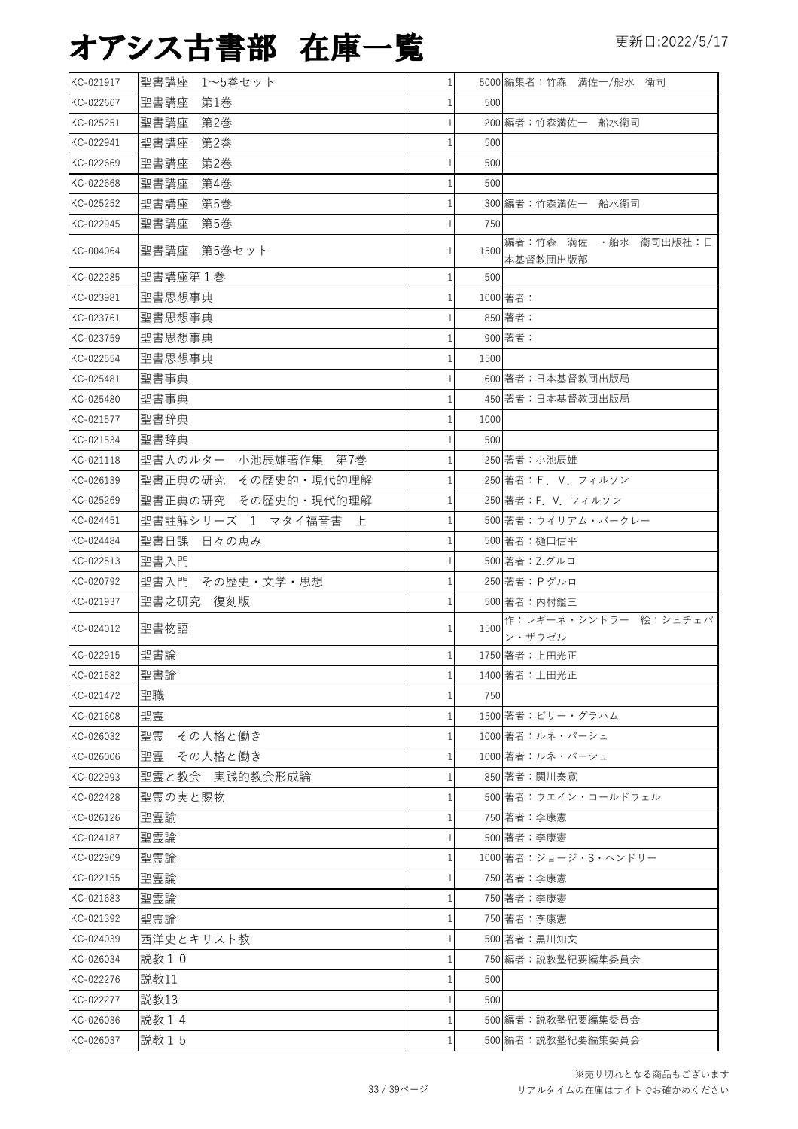| KC-021917 | 聖書講座<br>1~5巻セット     | $\mathbf{1}$ |      | 5000 編集者:竹森 満佐一/船水 衛司            |
|-----------|---------------------|--------------|------|----------------------------------|
| KC-022667 | 聖書講座<br>第1巻         | 1            | 500  |                                  |
| KC-025251 | 第2巻<br>聖書講座         | 1            |      | 200 編者:竹森満佐一 船水衞司                |
| KC-022941 | 聖書講座<br>第2巻         | 1            | 500  |                                  |
| KC-022669 | 第2巻<br>聖書講座         | 1            | 500  |                                  |
| KC-022668 | 聖書講座<br>第4巻         | 1            | 500  |                                  |
| KC-025252 | 聖書講座<br>第5巻         |              |      | 300 編者:竹森満佐一 船水衞司                |
| KC-022945 | 聖書講座<br>第5巻         |              | 750  |                                  |
| KC-004064 | 聖書講座 第5巻セット         | 1            | 1500 | 編者:竹森 満佐一·船水 衞司出版社:日<br>本基督教団出版部 |
| KC-022285 | 聖書講座第1巻             | 1            | 500  |                                  |
| KC-023981 | 聖書思想事典              |              |      | 1000 著者:                         |
| KC-023761 | 聖書思想事典              |              |      | 850 著者:                          |
| KC-023759 | 聖書思想事典              | 1            |      | 900 著者:                          |
| KC-022554 | 聖書思想事典              |              | 1500 |                                  |
| KC-025481 | 聖書事典                |              |      | 600 著者:日本基督教団出版局                 |
| KC-025480 | 聖書事典                |              |      | 450 著者:日本基督教団出版局                 |
| KC-021577 | 聖書辞典                |              | 1000 |                                  |
| KC-021534 | 聖書辞典                |              | 500  |                                  |
| KC-021118 | 聖書人のルター 小池辰雄著作集 第7巻 |              |      | 250 著者:小池辰雄                      |
| KC-026139 | 聖書正典の研究 その歴史的・現代的理解 |              |      | 250 著者: F. V. フィルソン              |
| KC-025269 | 聖書正典の研究 その歴史的・現代的理解 |              |      | 250 著者:F. V. フィルソン               |
| KC-024451 | 聖書註解シリーズ 1 マタイ福音書 上 | 1            |      | 500 著者:ウイリアム・バークレー               |
| KC-024484 | 聖書日課 日々の恵み          |              |      | 500 著者:樋口信平                      |
| KC-022513 | 聖書入門                |              |      | 500 著者: Z.グルロ                    |
| KC-020792 | 聖書入門 その歴史・文学・思想     |              |      | 250 著者: Pグルロ                     |
| KC-021937 | 聖書之研究 復刻版           |              |      | 500 著者:内村鑑三                      |
| KC-024012 | 聖書物語                |              | 1500 | 作:レギーネ・シントラー 絵:シュチェパ<br>ン・ザウゼル   |
| KC-022915 | 聖書論                 | 1            |      | 1750 著者:上田光正                     |
| KC-021582 | 聖書論                 | $\mathbf{1}$ |      | 1400 著者:上田光正                     |
| KC-021472 | 聖職                  |              | 750  |                                  |
| KC-021608 | 聖霊                  | 1            |      | 1500 著者:ビリー・グラハム                 |
| KC-026032 | 聖霊<br>その人格と働き       |              |      | 1000 著者:ルネ・パーシュ                  |
| KC-026006 | 聖霊<br>その人格と働き       |              |      | 1000 著者:ルネ・パーシュ                  |
| KC-022993 | 聖霊と教会 実践的教会形成論      |              |      | 850 著者:関川泰寛                      |
| KC-022428 | 聖霊の実と賜物             | 1            |      | 500 著者:ウエイン・コールドウェル              |
| KC-026126 | 聖霊諭                 |              |      | 750 著者:李康憲                       |
| KC-024187 | 聖霊論                 |              |      | 500 著者:李康憲                       |
| KC-022909 | 聖霊論                 |              |      | 1000 著者: ジョージ・S・ヘンドリー            |
| KC-022155 | 聖霊論                 |              |      | 750 著者:李康憲                       |
| KC-021683 | 聖霊論                 |              |      | 750 著者:李康憲                       |
| KC-021392 | 聖霊論                 |              |      | 750 著者:李康憲                       |
| KC-024039 | 西洋史とキリスト教           |              |      | 500 著者:黒川知文                      |
| KC-026034 | 説教10                |              |      | 750 編者:説教塾紀要編集委員会                |
| KC-022276 | 説教11                |              | 500  |                                  |
| KC-022277 | 説教13                |              | 500  |                                  |
| KC-026036 | 説教14                |              |      | 500 編者:説教塾紀要編集委員会                |
| KC-026037 | 説教15                |              |      | 500 編者:説教塾紀要編集委員会                |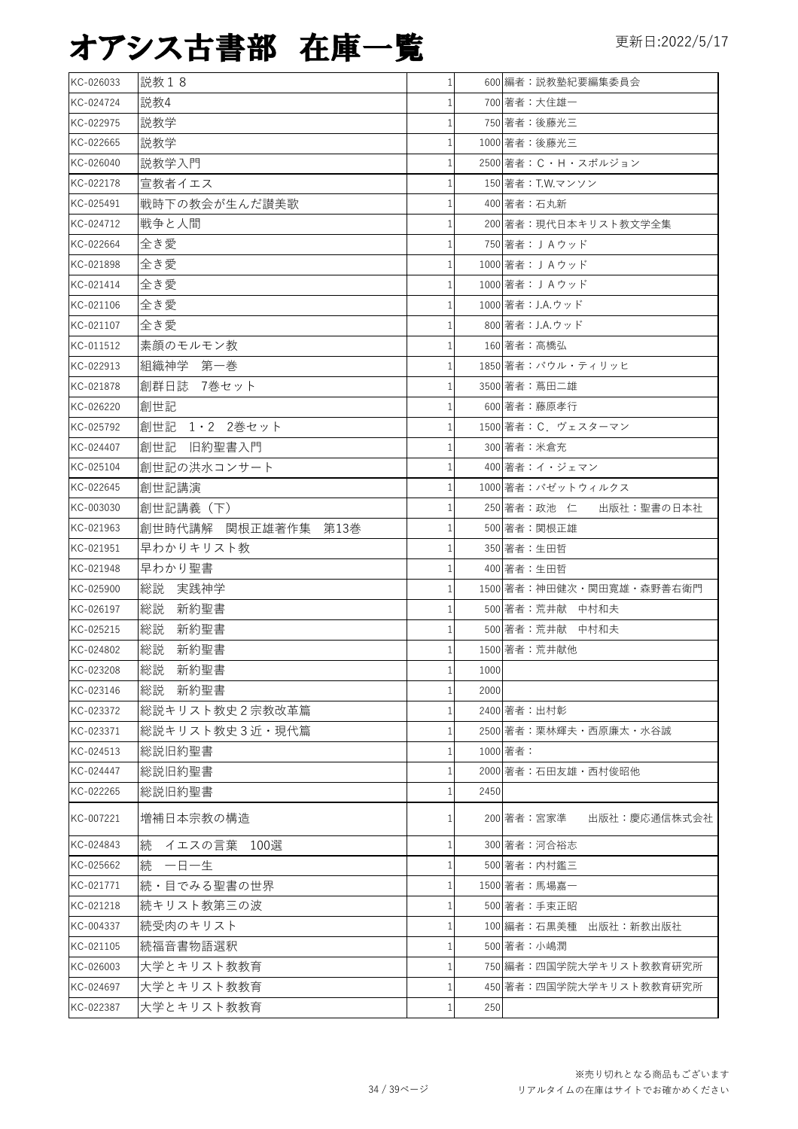| KC-026033 | 説教18                | 1 <sup>1</sup> |      | 600 編者:説教塾紀要編集委員会          |
|-----------|---------------------|----------------|------|----------------------------|
| KC-024724 | 説教4                 | 1              |      | 700 著者:大住雄一                |
| KC-022975 | 説教学                 | $\mathbf{1}$   |      | 750 著者:後藤光三                |
| KC-022665 | 説教学                 | $\mathbf{1}$   |      | 1000 著者:後藤光三               |
| KC-026040 | 説教学入門               | $\mathbf{1}$   |      | 2500 著者: C・H・スポルジョン        |
| KC-022178 | 宣教者イエス              | 1              |      | 150 著者:T.W.マンソン            |
| KC-025491 | 戦時下の教会が生んだ讃美歌       | 1              |      | 400 著者:石丸新                 |
| KC-024712 | 戦争と人間               | 1              |      | 200 著者:現代日本キリスト教文学全集       |
| KC-022664 | 全き愛                 | 1              |      | 750 著者: JAウッド              |
| KC-021898 | 全き愛                 | 1              |      | 1000 著者: JAウッド             |
| KC-021414 | 全き愛                 | 1              |      | 1000 著者: JAウッド             |
| KC-021106 | 全き愛                 | 1              |      | 1000 著者: J.A.ウッド           |
| KC-021107 | 全き愛                 | 1              |      | 800 著者: J.A.ウッド            |
| KC-011512 | 素顔のモルモン教            | $\mathbf{1}$   |      | 160 著者:高橋弘                 |
| KC-022913 | 組織神学 第一巻            | $\mathbf{1}$   |      | 1850 著者:パウル・ティリッヒ          |
| KC-021878 | 創群日誌 7巻セット          | 1              |      | 3500 著者:蔦田二雄               |
| KC-026220 | 創世記                 | $\mathbf{1}$   |      | 600 著者:藤原孝行                |
| KC-025792 | 創世記 1・2 2巻セット       | 1              |      | 1500 著者: C. ヴェスターマン        |
| KC-024407 | 創世記<br>旧約聖書入門       | $\mathbf{1}$   |      | 300 著者:米倉充                 |
| KC-025104 | 創世記の洪水コンサート         | 1              |      | 400 著者:イ・ジェマン              |
| KC-022645 | 創世記講演               | 1              |      | 1000 著者:パゼットウィルクス          |
| KC-003030 | 創世記講義(下)            | 1              |      | 250 著者:政池 仁 出版社:聖書の日本社     |
| KC-021963 | 創世時代講解 関根正雄著作集 第13巻 | $\mathbf{1}$   |      | 500 著者:関根正雄                |
| KC-021951 | 早わかりキリスト教           | $\mathbf{1}$   |      | 350 著者:生田哲                 |
| KC-021948 | 早わかり聖書              | $\mathbf{1}$   |      | 400 著者:生田哲                 |
| KC-025900 | 総説<br>実践神学          | 1              |      | 1500 著者:神田健次・関田寛雄・森野善右衛門   |
| KC-026197 | 総説<br>新約聖書          | 1              |      | 500 著者:荒井献 中村和夫            |
| KC-025215 | 総説<br>新約聖書          | $\mathbf{1}$   |      | 500 著者:荒井献 中村和夫            |
| KC-024802 | 総説<br>新約聖書          | $\mathbf{1}$   |      | 1500 著者:荒井献他               |
| KC-023208 | 総説 新約聖書             | 1 <sup>1</sup> | 1000 |                            |
| KC-023146 | 総説  新約聖書            | $\mathbf{1}$   | 2000 |                            |
| KC-023372 | 総説キリスト教史2宗教改革篇      | 1              |      | 2400 著者:出村彰                |
| KC-023371 | 総説キリスト教史3近・現代篇      | 1              |      | 2500 著者:栗林輝夫・西原廉太・水谷誠      |
| KC-024513 | 総説旧約聖書              | 1              |      | 1000 著者:                   |
| KC-024447 | 総説旧約聖書              | 1              |      | 2000 著者:石田友雄・西村俊昭他         |
| KC-022265 | 総説旧約聖書              | 1              | 2450 |                            |
| KC-007221 | 増補日本宗教の構造           | 1              |      | 200 著者:宮家準<br>出版社:慶応通信株式会社 |
| KC-024843 | 続 イエスの言葉 100選       | 1              |      | 300 著者:河合裕志                |
| KC-025662 | 続 一日一生              | 1              |      | 500 著者:内村鑑三                |
| KC-021771 | 続・目でみる聖書の世界         | 1              |      | 1500 著者:馬場嘉一               |
| KC-021218 | 続キリスト教第三の波          | 1              |      | 500 著者:手束正昭                |
| KC-004337 | 続受肉のキリスト            | 1              |      | 100 編者:石黒美種 出版社:新教出版社      |
| KC-021105 | 続福音書物語選釈            | $\mathbf{1}$   |      | 500 著者:小嶋潤                 |
| KC-026003 | 大学とキリスト教教育          | 1              |      | 750 編者:四国学院大学キリスト教教育研究所    |
| KC-024697 | 大学とキリスト教教育          | $\mathbf{1}$   |      | 450 著者:四国学院大学キリスト教教育研究所    |
| KC-022387 | 大学とキリスト教教育          | 1              | 250  |                            |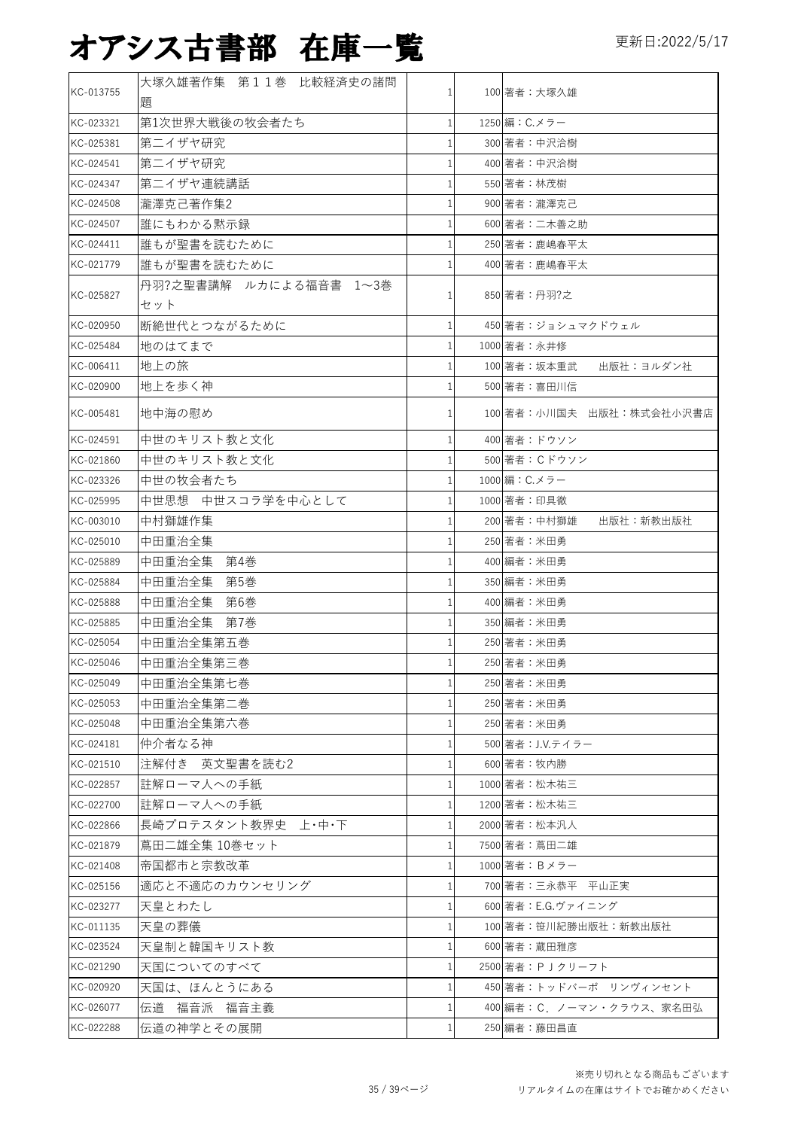| KC-013755 | 大塚久雄著作集 第11巻 比較経済史の諸問  |              | 100 著者:大塚久雄               |
|-----------|------------------------|--------------|---------------------------|
|           | 題                      |              |                           |
| KC-023321 | 第1次世界大戦後の牧会者たち         |              | 1250 編: C.メラー             |
| KC-025381 | 第二イザヤ研究                |              | 300 著者:中沢洽樹               |
| KC-024541 | 第二イザヤ研究                |              | 400 著者:中沢洽樹               |
| KC-024347 | 第二イザヤ連続講話              |              | 550 著者:林茂樹                |
| KC-024508 | 瀧澤克己著作集2               |              | 900 著者:瀧澤克己               |
| KC-024507 | 誰にもわかる黙示録              |              | 600 著者:二木善之助              |
| KC-024411 | 誰もが聖書を読むために            |              | 250 著者:鹿嶋春平太              |
| KC-021779 | 誰もが聖書を読むために            |              | 400 著者:鹿嶋春平太              |
|           | 丹羽?之聖書講解 ルカによる福音書 1~3巻 |              |                           |
| KC-025827 | セット                    |              | 850 著者:丹羽?之               |
| KC-020950 | 断絶世代とつながるために           | $\mathbf{1}$ | 450 著者:ジョシュマクドウェル         |
| KC-025484 | 地のはてまで                 |              | 1000 著者: 永井修              |
| KC-006411 | 地上の旅                   |              | 100 著者:坂本重武<br>出版社:ヨルダン社  |
| KC-020900 | 地上を歩く神                 |              | 500 著者:喜田川信               |
|           |                        |              |                           |
| KC-005481 | 地中海の慰め                 | 1            | 100 著者:小川国夫 出版社:株式会社小沢書店  |
| KC-024591 | 中世のキリスト教と文化            |              | 400 著者:ドウソン               |
| KC-021860 | 中世のキリスト教と文化            |              | 500 著者:Cドウソン              |
| KC-023326 | 中世の牧会者たち               |              | 1000 編: C.メラー             |
| KC-025995 | 中世思想 中世スコラ学を中心として      |              | 1000 著者: 印具徹              |
| KC-003010 | 中村獅雄作集                 |              | 200 著者:中村獅雄<br>出版社:新教出版社  |
| KC-025010 | 中田重治全集                 |              | 250 著者: 米田勇               |
| KC-025889 | 中田重治全集<br>第4巻          | 1            | 400 編者:米田勇                |
| KC-025884 | 中田重治全集<br>第5巻          |              | 350 編者:米田勇                |
| KC-025888 | 中田重治全集<br>第6巻          |              | 400 編者:米田勇                |
| KC-025885 | 中田重治全集<br>第7巻          |              | 350 編者:米田勇                |
| KC-025054 | 中田重治全集第五巻              |              | 250 著者:米田勇                |
| KC-025046 | 中田重治全集第三巻              |              | 250 著者:米田勇                |
| KC-025049 | 中田重治全集第七巻              | $1\vert$     | 250 著者:米田勇                |
| KC-025053 | 中田重治全集第二巻              |              | 250 著者: 米田勇               |
| KC-025048 | 中田重治全集第六巻              | 1            | 250 著者:米田勇                |
| KC-024181 | 仲介者なる神                 |              | 500 著者:J.V.テイラー           |
| KC-021510 | 注解付き 英文聖書を読む2          | $\mathbf{1}$ | 600 著者:牧内勝                |
| KC-022857 | 註解ローマ人への手紙             |              | 1000 著者:松木祐三              |
| KC-022700 | 註解ローマ人への手紙             | 1            | 1200 著者:松木祐三              |
| KC-022866 | 長崎プロテスタント教界史 上・中・下     | 1            | 2000 著者:松本汎人              |
| KC-021879 |                        | $\mathbf{1}$ | 7500 著者: 蔦田二雄             |
|           | 蔦田二雄全集 10巻セット          |              |                           |
| KC-021408 | 帝国都市と宗教改革              |              | 1000 著者: Bメラー             |
| KC-025156 | 適応と不適応のカウンセリング         | 1            | 700 著者:三永恭平 平山正実          |
| KC-023277 | 天皇とわたし                 |              | 600 著者: E.G.ヴァイニング        |
| KC-011135 | 天皇の葬儀                  |              | 100 著者:笹川紀勝出版社:新教出版社      |
| KC-023524 | 天皇制と韓国キリスト教            |              | 600 著者:蔵田雅彦               |
| KC-021290 | 天国についてのすべて             |              | 2500 著者: P J クリーフト        |
| KC-020920 | 天国は、ほんとうにある            |              | 450 著者:トッドバーポ リンヴィンセント    |
| KC-026077 | 伝道 福音派 福音主義            |              | 400 編者: C. ノーマン・クラウス、家名田弘 |
| KC-022288 | 伝道の神学とその展開             | 1            | 250 編者:藤田昌直               |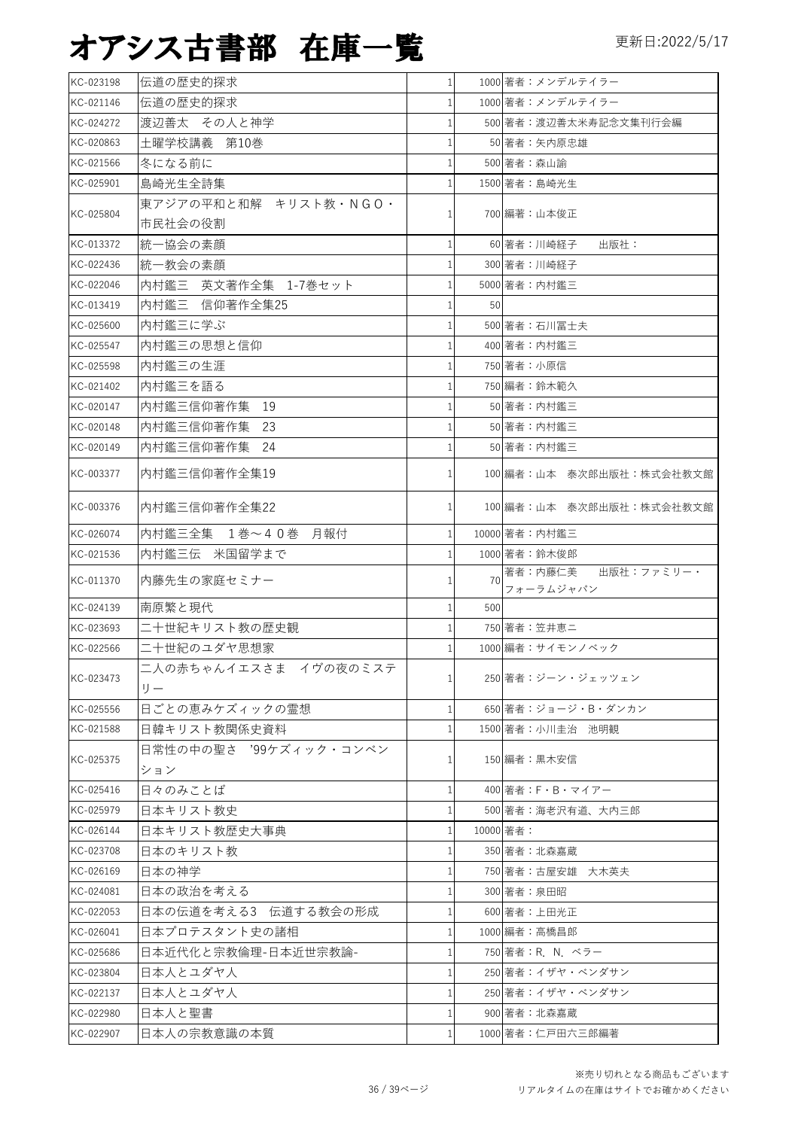| KC-023198 | 伝道の歴史的探求                   | 1 <sup>1</sup> |     | 1000 著者:メンデルテイラー                   |
|-----------|----------------------------|----------------|-----|------------------------------------|
| KC-021146 | 伝道の歴史的探求                   | $\mathbf{1}$   |     | 1000 著者:メンデルテイラー                   |
| KC-024272 | 渡辺善太 その人と神学                | 1              |     | 500 著者:渡辺善太米寿記念文集刊行会編              |
| KC-020863 | 土曜学校講義 第10巻                | $\mathbf{1}$   |     | 50 著者:矢内原忠雄                        |
| KC-021566 | 冬になる前に                     | $\mathbf{1}$   |     | 500 著者:森山諭                         |
| KC-025901 | 島崎光生全詩集                    | 1              |     | 1500 著者:島崎光生                       |
| KC-025804 | 東アジアの平和と和解 キリスト教·NGO·      | 1              |     | 700 編著:山本俊正                        |
|           | 市民社会の役割                    |                |     |                                    |
| KC-013372 | 統一協会の素顔                    | $\mathbf{1}$   |     | 60 著者:川崎経子<br>出版社:                 |
| KC-022436 | 統一教会の素顔                    | 1              |     | 300 著者:川崎経子                        |
| KC-022046 | 内村鑑三 英文著作全集 1-7巻セット        | 1              |     | 5000 著者:内村鑑三                       |
| KC-013419 | 内村鑑三 信仰著作全集25              | 1 <sup>1</sup> | 50  |                                    |
| KC-025600 | 内村鑑三に学ぶ                    | 1              |     | 500 著者:石川冨士夫                       |
| KC-025547 | 内村鑑三の思想と信仰                 |                |     | 400 著者:内村鑑三                        |
| KC-025598 | 内村鑑三の生涯                    | 1              |     | 750 著者:小原信                         |
| KC-021402 | 内村鑑三を語る                    | 1              |     | 750 編者:鈴木範久                        |
| KC-020147 | 内村鑑三信仰著作集 19               | 1              |     | 50 著者:内村鑑三                         |
| KC-020148 | 内村鑑三信仰著作集<br>-23           | $\mathbf{1}$   |     | 50 著者:内村鑑三                         |
| KC-020149 | 内村鑑三信仰著作集<br>-24           | $\mathbf{1}$   |     | 50 著者:内村鑑三                         |
| KC-003377 | 内村鑑三信仰著作全集19               | 1 <sup>1</sup> |     | 100 編者:山本 泰次郎出版社:株式会社教文館           |
| KC-003376 | 内村鑑三信仰著作全集22               | $\mathbf{1}$   |     | 100 編者:山本 泰次郎出版社:株式会社教文館           |
| KC-026074 | 内村鑑三全集 1巻~40巻 月報付          | $\mathbf{1}$   |     | 10000 著者: 内村鑑三                     |
| KC-021536 | 内村鑑三伝 米国留学まで               | $\mathbf{1}$   |     | 1000 著者:鈴木俊郎                       |
| KC-011370 | 内藤先生の家庭セミナー                | 1              | 70  | 著者:内藤仁美<br>出版社:ファミリー・<br>フォーラムジャパン |
| KC-024139 | 南原繁と現代                     | $\mathbf{1}$   | 500 |                                    |
| KC-023693 | 二十世紀キリスト教の歴史観              | $\mathbf{1}$   |     | 750 著者:笠井恵二                        |
| KC-022566 | 二十世紀のユダヤ思想家                |                |     | 1000 編者: サイモンノベック                  |
| KC-023473 | 二人の赤ちゃんイエスさま イヴの夜のミステ<br>I | $1\vert$       |     | 250 著者:ジーン・ジェッツェン                  |
| KC-025556 | 日ごとの恵みケズィックの霊想             | $\mathbf{1}$   |     | 650 著者:ジョージ・B・ダンカン                 |
| KC-021588 | 日韓キリスト教関係史資料               | $\mathbf{1}$   |     | 1500 著者:小川圭治 池明観                   |
| KC-025375 | 日常性の中の聖さ '99ケズィック・コンベン     | 1              |     | 150 編者:黒木安信                        |
|           | ション                        |                |     |                                    |
| KC-025416 | 日々のみことば                    | $\mathbf{1}$   |     | 400 著者:F・B・マイアー                    |
| KC-025979 | 日本キリスト教史                   | $\mathbf{1}$   |     | 500 著者:海老沢有道、大内三郎                  |
| KC-026144 | 日本キリスト教歴史大事典               | 1              |     | 10000 著者:                          |
| KC-023708 | 日本のキリスト教                   | $\mathbf{1}$   |     | 350 著者:北森嘉蔵                        |
| KC-026169 | 日本の神学                      | 1              |     | 750 著者:古屋安雄 大木英夫                   |
| KC-024081 | 日本の政治を考える                  | $\mathbf{1}$   |     | 300 著者:泉田昭                         |
| KC-022053 | 日本の伝道を考える3 伝道する教会の形成       | $\mathbf{1}$   |     | 600 著者:上田光正                        |
| KC-026041 | 日本プロテスタント史の諸相              | $\mathbf{1}$   |     | 1000 編者:高橋昌郎                       |
| KC-025686 | 日本近代化と宗教倫理-日本近世宗教論-        | 1              |     | 750 著者: R. N. ベラー                  |
| KC-023804 | 日本人とユダヤ人                   | $\mathbf{1}$   |     | 250 著者:イザヤ・ベンダサン                   |
| KC-022137 | 日本人とユダヤ人                   | 1              |     | 250 著者:イザヤ・ベンダサン                   |
| KC-022980 | 日本人と聖書                     | $\mathbf{1}$   |     | 900 著者:北森嘉蔵                        |
| KC-022907 | 日本人の宗教意識の本質                | 1 <sup>1</sup> |     | 1000 著者:仁戸田六三郎編著                   |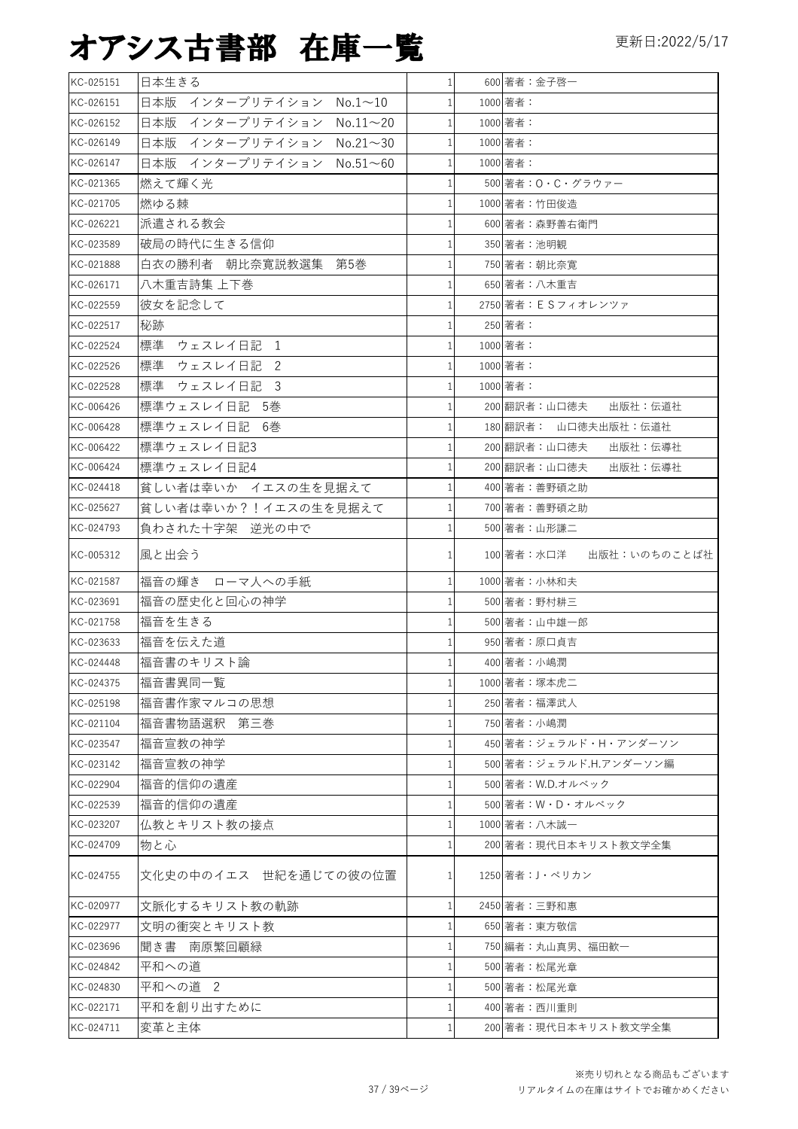| KC-025151 | 日本生きる                                 | $\mathbf{1}$ | 600 著者:金子啓一                |
|-----------|---------------------------------------|--------------|----------------------------|
| KC-026151 | 日本版 インタープリテイション<br>$No.1 \sim 10$     | $\mathbf{1}$ | 1000 著者:                   |
| KC-026152 | 日本版<br>インタープリテイション<br>$No.11 \sim 20$ | 1            | 1000 著者:                   |
| KC-026149 | 日本版<br>インタープリテイション No.21~30           | $\mathbf{1}$ | 1000 著者:                   |
| KC-026147 | 日本版 インタープリテイション No.51~60              | 1            | 1000 著者:                   |
| KC-021365 | 燃えて輝く光                                |              | 500 著者:O・C・グラウァー           |
| KC-021705 | 燃ゆる棘                                  | 1            | 1000 著者:竹田俊造               |
| KC-026221 | 派遣される教会                               |              | 600 著者:森野善右衛門              |
| KC-023589 | 破局の時代に生きる信仰                           |              | 350 著者:池明観                 |
| KC-021888 | 白衣の勝利者 朝比奈寛説教選集 第5巻                   | 1            | 750 著者:朝比奈寛                |
| KC-026171 | 八木重吉詩集 上下巻                            | $\mathbf{1}$ | 650 著者: 八木重吉               |
| KC-022559 | 彼女を記念して                               |              | 2750 著者: ESフィオレンツァ         |
| KC-022517 | 秘跡                                    |              | 250 著者:                    |
| KC-022524 | 標準 ウェスレイ日記<br>1                       | 1            | 1000 著者:                   |
| KC-022526 | 標準 ウェスレイ日記<br>2                       | 1            | 1000 著者:                   |
| KC-022528 | 標準<br>ウェスレイ日記<br>- 3                  | 1            | 1000 著者:                   |
| KC-006426 | 標準ウェスレイ日記 5巻                          |              | 200 翻訳者:山口徳夫<br>出版社:伝道社    |
| KC-006428 | 標準ウェスレイ日記<br>- 6巻                     |              | 180 翻訳者: 山口徳夫出版社:伝道社       |
| KC-006422 | 標準ウェスレイ日記3                            |              | 200 翻訳者:山口徳夫<br>出版社:伝導社    |
| KC-006424 | 標準ウェスレイ日記4                            |              | 200 翻訳者:山口徳夫<br>出版社:伝導社    |
| KC-024418 | 貧しい者は幸いか イエスの生を見据えて                   |              | 400 著者:善野碩之助               |
| KC-025627 | 貧しい者は幸いか?!イエスの生を見据えて                  |              | 700 著者:善野碩之助               |
| KC-024793 | 負わされた十字架 逆光の中で                        | 1            | 500 著者:山形謙二                |
| KC-005312 | 風と出会う                                 | 1            | 100 著者:水口洋<br>出版社:いのちのことば社 |
| KC-021587 | 福音の輝き ローマ人への手紙                        |              | 1000 著者:小林和夫               |
| KC-023691 | 福音の歴史化と回心の神学                          |              | 500 著者:野村耕三                |
| KC-021758 | 福音を生きる                                |              | 500 著者:山中雄一郎               |
| KC-023633 | 福音を伝えた道                               |              | 950 著者:原口貞吉                |
| KC-024448 | 福音書のキリスト論                             | $\mathbf{1}$ | 400 著者:小嶋潤                 |
| KC-024375 | 福音書異同一覧                               | 1            | 1000 著者:塚本虎二               |
| KC-025198 | 福音書作家マルコの思想                           |              | 250 著者:福澤武人                |
| KC-021104 | 福音書物語選釈 第三巻                           |              | 750 著者:小嶋潤                 |
| KC-023547 | 福音宣教の神学                               | $\mathbf{1}$ | 450 著者:ジェラルド・H・アンダーソン      |
| KC-023142 | 福音宣教の神学                               |              | 500 著者:ジェラルド.H.アンダーソン編     |
| KC-022904 | 福音的信仰の遺産                              |              | 500 著者: W.D.オルベック          |
| KC-022539 | 福音的信仰の遺産                              |              | 500 著者:W・D・オルベック           |
| KC-023207 | 仏教とキリスト教の接点                           | $\mathbf{1}$ | 1000 著者:八木誠一               |
| KC-024709 | 物と心                                   |              | 200 著者:現代日本キリスト教文学全集       |
| KC-024755 | 文化史の中のイエス 世紀を通じての彼の位置                 |              | 1250 著者:J・ペリカン             |
| KC-020977 | 文脈化するキリスト教の軌跡                         | 1            | 2450 著者:三野和惠               |
| KC-022977 | 文明の衝突とキリスト教                           |              | 650 著者:東方敬信                |
| KC-023696 | 聞き書 南原繁回顧緑                            |              | 750 編者:丸山真男、福田歓一           |
| KC-024842 | 平和への道                                 |              | 500 著者:松尾光章                |
| KC-024830 | 平和への道 2                               |              | 500 著者:松尾光章                |
| KC-022171 | 平和を創り出すために                            | 1            | 400 著者:西川重則                |
| KC-024711 | 変革と主体                                 | $\mathbf{1}$ | 200 著者:現代日本キリスト教文学全集       |
|           |                                       |              |                            |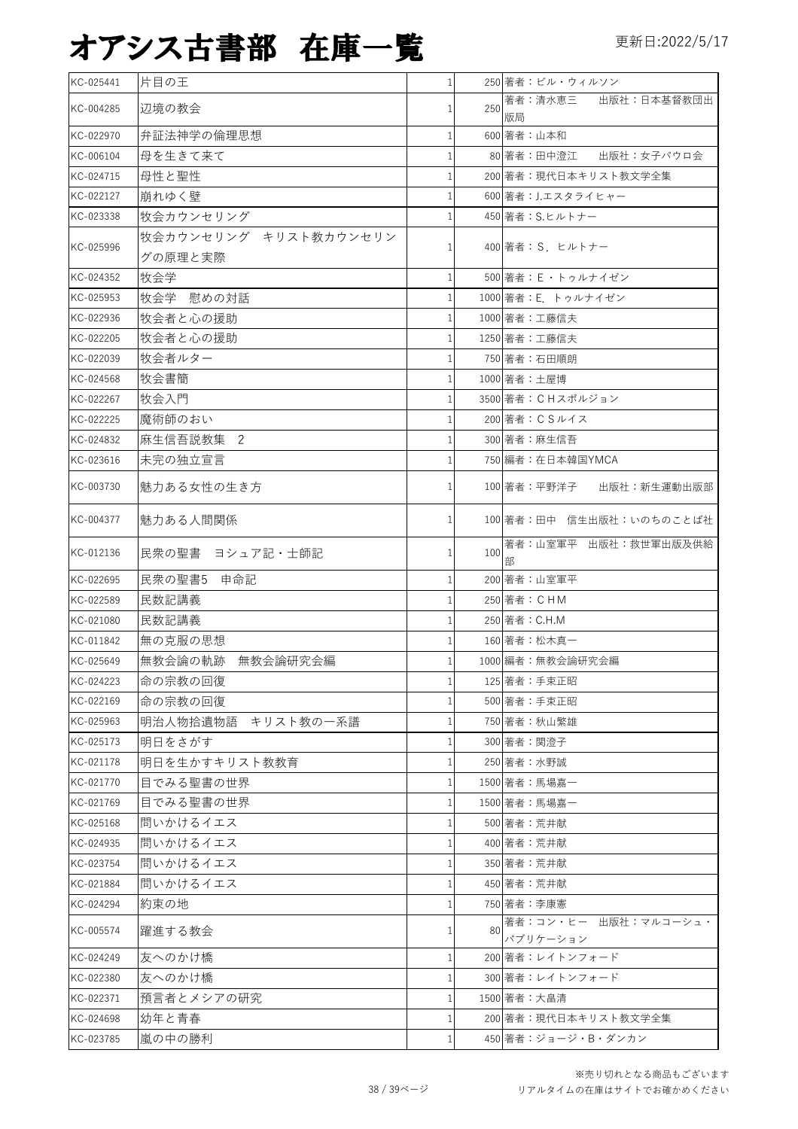| KC-025441 | 片目の王                  | 1              |     | 250 著者:ビル・ウィルソン                  |
|-----------|-----------------------|----------------|-----|----------------------------------|
| KC-004285 | 辺境の教会                 |                | 250 | 著者:清水恵三<br>出版社:日本基督教団出<br>版局     |
| KC-022970 | 弁証法神学の倫理思想            |                |     | 600 著者:山本和                       |
| KC-006104 | 母を生きて来て               |                |     | 80 著者:田中澄江<br>出版社:女子パウロ会         |
| KC-024715 | 母性と聖性                 |                |     | 200 著者:現代日本キリスト教文学全集             |
| KC-022127 | 崩れゆく壁                 |                |     | 600 著者: J.エスタライヒャー               |
| KC-023338 | 牧会カウンセリング             |                |     | 450 著者: S.ヒルトナー                  |
|           | 牧会カウンセリング キリスト教カウンセリン |                |     |                                  |
| KC-025996 | グの原理と実際               |                |     | 400 著者: S. ヒルトナー                 |
| KC-024352 | 牧会学                   | 1              |     | 500 著者: E · トゥルナイゼン              |
| KC-025953 | 牧会学 慰めの対話             |                |     | 1000 著者: E. トゥルナイゼン              |
| KC-022936 | 牧会者と心の援助              |                |     | 1000 著者:工藤信夫                     |
| KC-022205 | 牧会者と心の援助              |                |     | 1250 著者:工藤信夫                     |
| KC-022039 | 牧会者ルター                |                |     | 750 著者:石田順朗                      |
| KC-024568 | 牧会書簡                  |                |     | 1000 著者:土屋博                      |
| KC-022267 | 牧会入門                  |                |     | 3500 著者: CHスポルジョン                |
| KC-022225 | 魔術師のおい                |                |     | 200 著者: CSルイス                    |
| KC-024832 | 麻生信吾説教集 2             |                |     | 300 著者:麻生信吾                      |
| KC-023616 | 未完の独立宣言               |                |     | 750 編者:在日本韓国YMCA                 |
| KC-003730 | 魅力ある女性の生き方            |                |     | 100 著者:平野洋子<br>出版社:新生運動出版部       |
| KC-004377 | 魅力ある人間関係              |                |     | 100 著者:田中 信生出版社:いのちのことば社         |
| KC-012136 | 民衆の聖書 ヨシュア記・士師記       |                | 100 | 著者:山室軍平 出版社:救世軍出版及供給<br>部        |
| KC-022695 | 民衆の聖書5 申命記            |                |     | 200 著者:山室軍平                      |
| KC-022589 | 民数記講義                 |                |     | 250 著者: CHM                      |
| KC-021080 | 民数記講義                 |                |     | 250 著者: C.H.M                    |
| KC-011842 | 無の克服の思想               |                |     | 160 著者:松木真一                      |
| KC-025649 | 無教会論の軌跡 無教会論研究会編      |                |     | 1000 編者:無教会論研究会編                 |
| KC-024223 | 命の宗教の回復               | 1 <sup>1</sup> |     | 125 著者:手束正昭                      |
| KC-022169 | 命の宗教の回復               |                |     | 500 著者:手束正昭                      |
| KC-025963 | キリスト教の一系譜<br>明治人物拾遺物語 | 1              |     | 750 著者:秋山繁雄                      |
| KC-025173 | 明日をさがす                |                |     | 300 著者:関澄子                       |
| KC-021178 | 明日を生かすキリスト教教育         |                |     | 250 著者:水野誠                       |
| KC-021770 | 目でみる聖書の世界             |                |     | 1500 著者:馬場嘉一                     |
| KC-021769 | 目でみる聖書の世界             |                |     | 1500 著者:馬場嘉一                     |
| KC-025168 | 間いかけるイエス              |                |     | 500 著者:荒井献                       |
| KC-024935 | 問いかけるイエス              |                |     | 400 著者:荒井献                       |
| KC-023754 | 問いかけるイエス              |                |     | 350 著者:荒井献                       |
| KC-021884 | 問いかけるイエス              |                |     | 450 著者: 荒井献                      |
| KC-024294 | 約束の地                  |                |     | 750 著者:李康憲                       |
| KC-005574 | 躍進する教会                |                | 80  | 著者:コン・ヒー 出版社:マルコーシュ・<br>パブリケーション |
| KC-024249 | 友へのかけ橋                |                |     | 200 著者:レイトンフォード                  |
| KC-022380 | 友へのかけ橋                |                |     | 300 著者:レイトンフォード                  |
| KC-022371 | 預言者とメシアの研究            |                |     | 1500 著者: 大畠清                     |
| KC-024698 | 幼年と青春                 |                |     | 200 著者:現代日本キリスト教文学全集             |
| KC-023785 | 嵐の中の勝利                |                |     | 450 著者:ジョージ・B・ダンカン               |